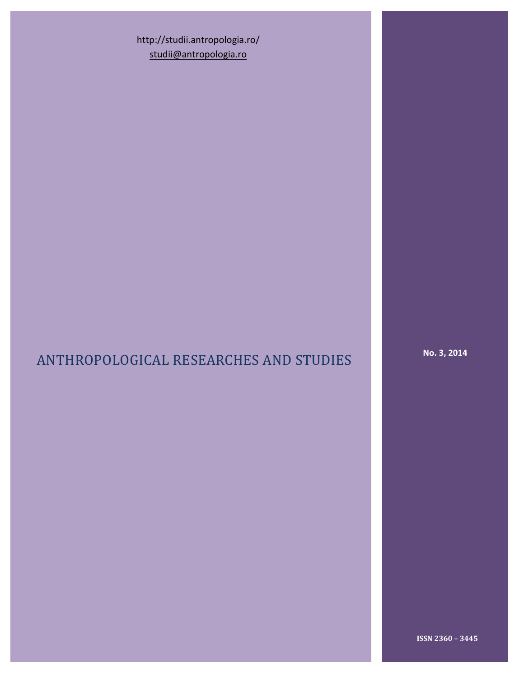http://studii.antropologia.ro/ studii@antropologia.ro

# ANTHROPOLOGICAL RESEARCHES AND STUDIES

**No. 3, 2014**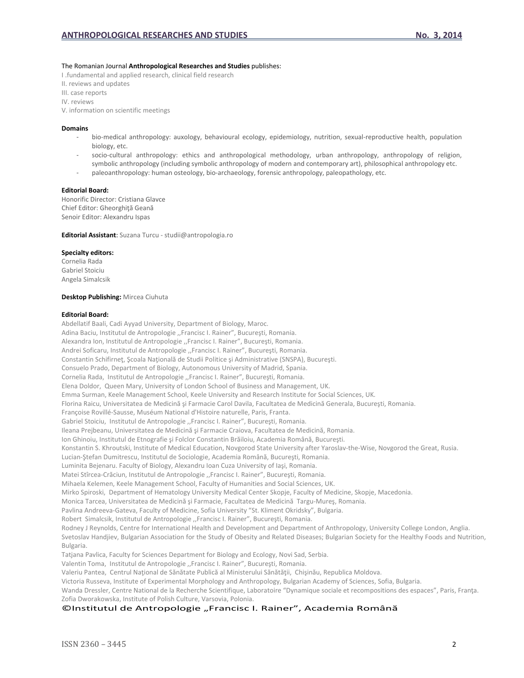#### The Romanian Journal **Anthropological Researches and Studies** publishes:

I .fundamental and applied research, clinical field research

II. reviews and updates

III. case reports

IV. reviews

V. information on scientific meetings

#### **Domains**

- bio-medical anthropology: auxology, behavioural ecology, epidemiology, nutrition, sexual-reproductive health, population biology, etc.
- socio-cultural anthropology: ethics and anthropological methodology, urban anthropology, anthropology of religion, symbolic anthropology (including symbolic anthropology of modern and contemporary art), philosophical anthropology etc.
- paleoanthropology: human osteology, bio-archaeology, forensic anthropology, paleopathology, etc.

#### **Editorial Board:**

Honorific Director: Cristiana Glavce Chief Editor: Gheorghiţă Geană Senoir Editor: Alexandru Ispas

**Editorial Assistant**: Suzana Turcu - studii@antropologia.ro

#### **Specialty editors:**

Cornelia Rada Gabriel Stoiciu Angela Simalcsik

#### **Desktop Publishing:** Mircea Ciuhuta

#### **Editorial Board:**

Abdellatif Baali, Cadi Ayyad University, Department of Biology, Maroc. Adina Baciu, Institutul de Antropologie ,,Francisc I. Rainer", Bucureşti, Romania. Alexandra Ion, Institutul de Antropologie ,,Francisc I. Rainer", Bucureşti, Romania. Andrei Soficaru, Institutul de Antropologie ,,Francisc I. Rainer", Bucureşti, Romania. Constantin Schifirneţ, Şcoala Naţională de Studii Politice şi Administrative (SNSPA), Bucureşti. Consuelo Prado, Department of Biology, Autonomous University of Madrid, Spania. Cornelia Rada, Institutul de Antropologie ,,Francisc I. Rainer", Bucureşti, Romania. Elena Doldor, Queen Mary, University of London School of Business and Management, UK. Emma Surman, Keele Management School, Keele University and Research Institute for Social Sciences, UK. Florina Raicu, Universitatea de Medicină şi Farmacie Carol Davila, Facultatea de Medicină Generala, Bucureşti, Romania. Françoise Rovillé-Sausse, Muséum National d'Histoire naturelle, Paris, Franta. Gabriel Stoiciu, Institutul de Antropologie ,,Francisc I. Rainer", Bucureşti, Romania. Ileana Prejbeanu, Universitatea de Medicină şi Farmacie Craiova, Facultatea de Medicină, Romania. Ion Ghinoiu, Institutul de Etnografie şi Folclor Constantin Brăiloiu, Academia Română, Bucureşti. Konstantin S. Khroutski, Institute of Medical Education, Novgorod State University after Yaroslav-the-Wise, Novgorod the Great, Rusia. Lucian-Ştefan Dumitrescu, Institutul de Sociologie, Academia Română, Bucureşti, Romania. Luminita Bejenaru. Faculty of Biology, Alexandru Ioan Cuza University of Iaşi, Romania. Matei Stîrcea-Crăciun, Institutul de Antropologie ,,Francisc I. Rainer", Bucureşti, Romania. Mihaela Kelemen, Keele Management School, Faculty of Humanities and Social Sciences, UK. Mirko Spiroski, Department of Hematology University Medical Center Skopje, Faculty of Medicine, Skopje, Macedonia. Monica Tarcea, Universitatea de Medicină şi Farmacie, Facultatea de Medicină Targu-Mureş, Romania. Pavlina Andreeva-Gateva, Faculty of Medicine, Sofia University "St. Kliment Okridsky", Bulgaria. Robert Simalcsik, Institutul de Antropologie ,,Francisc I. Rainer", Bucureşti, Romania. Rodney J Reynolds, Centre for International Health and Development and Department of Anthropology, University College London, Anglia. Svetoslav Handjiev, Bulgarian Association for the Study of Obesity and Related Diseases; Bulgarian Society for the Healthy Foods and Nutrition, Bulgaria. Tatjana Pavlica, Faculty for Sciences Department for Biology and Ecology, Novi Sad, Serbia. Valentin Toma, Institutul de Antropologie ,,Francisc I. Rainer", Bucureşti, Romania. Valeriu Pantea, Centrul Național de Sănătate Publică al Ministerului Sănătății, Chișinău, Republica Moldova. Victoria Russeva, Institute of Experimental Morphology and Anthropology, Bulgarian Academy of Sciences, Sofia, Bulgaria. Wanda Dressler, Centre National de la Recherche Scientifique, Laboratoire "Dynamique sociale et recompositions des espaces", Paris, Franţa. Zofia Dworakowska, Institute of Polish Culture, Varsovia, Polonia.

#### ©Institutul de Antropologie "Francisc I. Rainer", Academia Română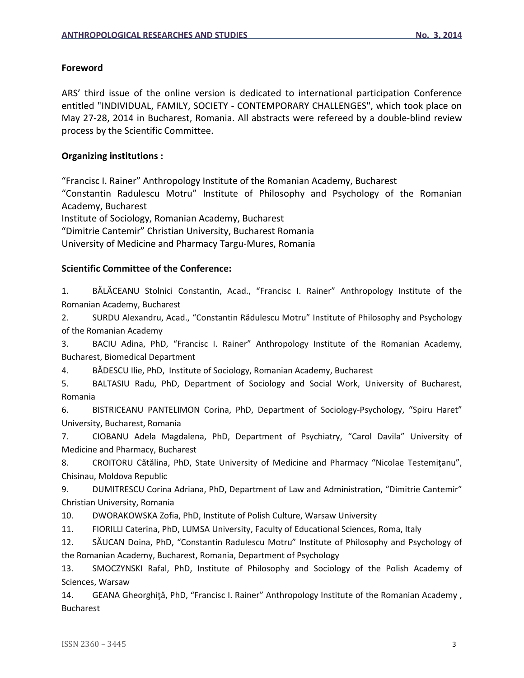## **Foreword**

ARS' third issue of the online version is dedicated to international participation Conference entitled "INDIVIDUAL, FAMILY, SOCIETY - CONTEMPORARY CHALLENGES", which took place on May 27-28, 2014 in Bucharest, Romania. All abstracts were refereed by a double-blind review process by the Scientific Committee.

## **Organizing institutions :**

"Francisc I. Rainer" Anthropology Institute of the Romanian Academy, Bucharest

"Constantin Radulescu Motru" Institute of Philosophy and Psychology of the Romanian Academy, Bucharest

Institute of Sociology, Romanian Academy, Bucharest

"Dimitrie Cantemir" Christian University, Bucharest Romania

University of Medicine and Pharmacy Targu-Mures, Romania

## **Scientific Committee of the Conference:**

1. BĂLĂCEANU Stolnici Constantin, Acad., "Francisc I. Rainer" Anthropology Institute of the Romanian Academy, Bucharest

2. SURDU Alexandru, Acad., "Constantin Rădulescu Motru" Institute of Philosophy and Psychology of the Romanian Academy

3. BACIU Adina, PhD, "Francisc I. Rainer" Anthropology Institute of the Romanian Academy, Bucharest, Biomedical Department

4. BĂDESCU Ilie, PhD, Institute of Sociology, Romanian Academy, Bucharest

5. BALTASIU Radu, PhD, Department of Sociology and Social Work, University of Bucharest, Romania

6. BISTRICEANU PANTELIMON Corina, PhD, Department of Sociology-Psychology, "Spiru Haret" University, Bucharest, Romania

7. CIOBANU Adela Magdalena, PhD, Department of Psychiatry, "Carol Davila" University of Medicine and Pharmacy, Bucharest

8. CROITORU Cătălina, PhD, State University of Medicine and Pharmacy "Nicolae Testemitanu", Chisinau, Moldova Republic

9. DUMITRESCU Corina Adriana, PhD, Department of Law and Administration, "Dimitrie Cantemir" Christian University, Romania

10. DWORAKOWSKA Zofia, PhD, Institute of Polish Culture, Warsaw University

11. FIORILLI Caterina, PhD, LUMSA University, Faculty of Educational Sciences, Roma, Italy

12. SĂUCAN Doina, PhD, "Constantin Radulescu Motru" Institute of Philosophy and Psychology of the Romanian Academy, Bucharest, Romania, Department of Psychology

13. SMOCZYNSKI Rafal, PhD, Institute of Philosophy and Sociology of the Polish Academy of Sciences, Warsaw

14. GEANA Gheorghiţă, PhD, "Francisc I. Rainer" Anthropology Institute of the Romanian Academy , Bucharest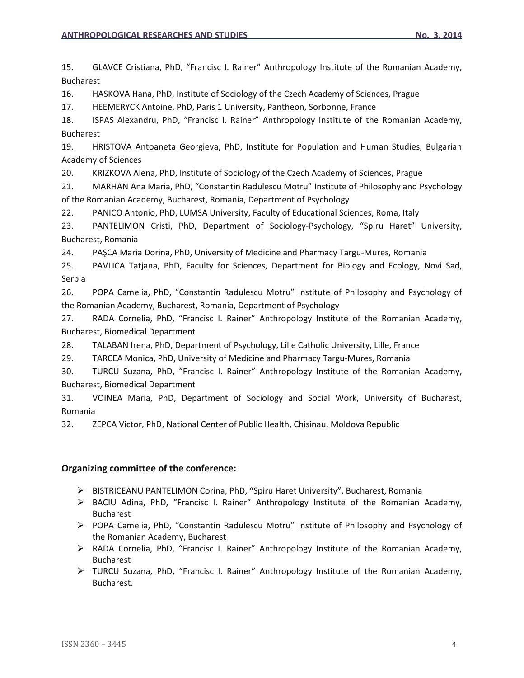15. GLAVCE Cristiana, PhD, "Francisc I. Rainer" Anthropology Institute of the Romanian Academy, Bucharest

16. HASKOVA Hana, PhD, Institute of Sociology of the Czech Academy of Sciences, Prague

17. HEEMERYCK Antoine, PhD, Paris 1 University, Pantheon, Sorbonne, France

18. ISPAS Alexandru, PhD, "Francisc I. Rainer" Anthropology Institute of the Romanian Academy, Bucharest

19. HRISTOVA Antoaneta Georgieva, PhD, Institute for Population and Human Studies, Bulgarian Academy of Sciences

20. KRIZKOVA Alena, PhD, Institute of Sociology of the Czech Academy of Sciences, Prague

21. MARHAN Ana Maria, PhD, "Constantin Radulescu Motru" Institute of Philosophy and Psychology of the Romanian Academy, Bucharest, Romania, Department of Psychology

22. PANICO Antonio, PhD, LUMSA University, Faculty of Educational Sciences, Roma, Italy

23. PANTELIMON Cristi, PhD, Department of Sociology-Psychology, "Spiru Haret" University, Bucharest, Romania

24. PAŞCA Maria Dorina, PhD, University of Medicine and Pharmacy Targu-Mures, Romania

25. PAVLICA Tatjana, PhD, Faculty for Sciences, Department for Biology and Ecology, Novi Sad, Serbia

26. POPA Camelia, PhD, "Constantin Radulescu Motru" Institute of Philosophy and Psychology of the Romanian Academy, Bucharest, Romania, Department of Psychology

27. RADA Cornelia, PhD, "Francisc I. Rainer" Anthropology Institute of the Romanian Academy, Bucharest, Biomedical Department

28. TALABAN Irena, PhD, Department of Psychology, Lille Catholic University, Lille, France

29. TARCEA Monica, PhD, University of Medicine and Pharmacy Targu-Mures, Romania

30. TURCU Suzana, PhD, "Francisc I. Rainer" Anthropology Institute of the Romanian Academy, Bucharest, Biomedical Department

31. VOINEA Maria, PhD, Department of Sociology and Social Work, University of Bucharest, Romania

32. ZEPCA Victor, PhD, National Center of Public Health, Chisinau, Moldova Republic

## **Organizing committee of the conference:**

- BISTRICEANU PANTELIMON Corina, PhD, "Spiru Haret University", Bucharest, Romania
- BACIU Adina, PhD, "Francisc I. Rainer" Anthropology Institute of the Romanian Academy, Bucharest
- POPA Camelia, PhD, "Constantin Radulescu Motru" Institute of Philosophy and Psychology of the Romanian Academy, Bucharest
- RADA Cornelia, PhD, "Francisc I. Rainer" Anthropology Institute of the Romanian Academy, Bucharest
- TURCU Suzana, PhD, "Francisc I. Rainer" Anthropology Institute of the Romanian Academy, Bucharest.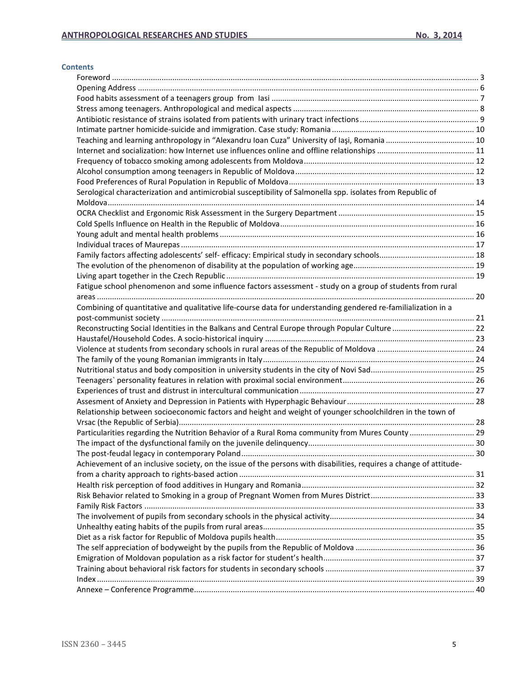#### **Contents**

| Serological characterization and antimicrobial susceptibility of Salmonella spp. isolates from Republic of         |    |
|--------------------------------------------------------------------------------------------------------------------|----|
|                                                                                                                    |    |
|                                                                                                                    |    |
|                                                                                                                    |    |
|                                                                                                                    |    |
|                                                                                                                    |    |
|                                                                                                                    |    |
|                                                                                                                    |    |
|                                                                                                                    |    |
|                                                                                                                    |    |
| Fatigue school phenomenon and some influence factors assessment - study on a group of students from rural          |    |
|                                                                                                                    |    |
| Combining of quantitative and qualitative life-course data for understanding gendered re-familialization in a      |    |
|                                                                                                                    |    |
|                                                                                                                    |    |
|                                                                                                                    |    |
|                                                                                                                    |    |
|                                                                                                                    |    |
|                                                                                                                    |    |
|                                                                                                                    |    |
|                                                                                                                    |    |
|                                                                                                                    |    |
| Relationship between socioeconomic factors and height and weight of younger schoolchildren in the town of          |    |
|                                                                                                                    |    |
| Particularities regarding the Nutrition Behavior of a Rural Roma community from Mures County  29                   |    |
|                                                                                                                    |    |
| The post-feudal legacy in contemporary Poland                                                                      | 30 |
| Achievement of an inclusive society, on the issue of the persons with disabilities, requires a change of attitude- |    |
|                                                                                                                    |    |
|                                                                                                                    |    |
|                                                                                                                    |    |
|                                                                                                                    |    |
|                                                                                                                    |    |
|                                                                                                                    |    |
|                                                                                                                    |    |
|                                                                                                                    |    |
|                                                                                                                    |    |
|                                                                                                                    |    |
|                                                                                                                    |    |
|                                                                                                                    |    |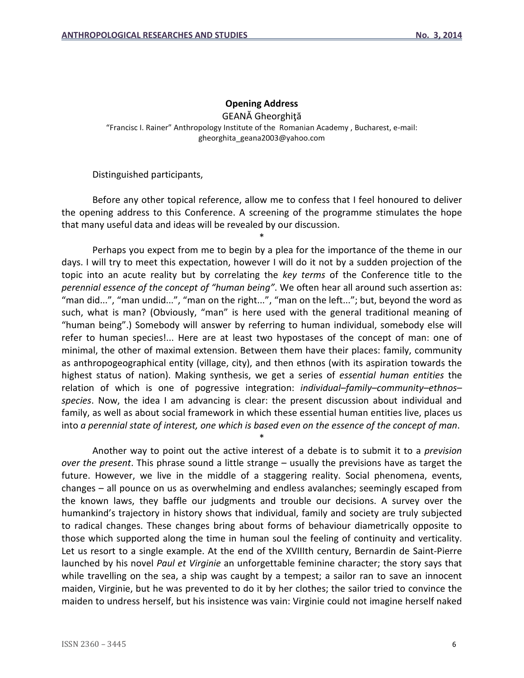**Opening Address**  GEANĂ Gheorghiţă "Francisc I. Rainer" Anthropology Institute of the Romanian Academy , Bucharest, e-mail: gheorghita\_geana2003@yahoo.com

Distinguished participants,

Before any other topical reference, allow me to confess that I feel honoured to deliver the opening address to this Conference. A screening of the programme stimulates the hope that many useful data and ideas will be revealed by our discussion.

\*

Perhaps you expect from me to begin by a plea for the importance of the theme in our days. I will try to meet this expectation, however I will do it not by a sudden projection of the topic into an acute reality but by correlating the *key terms* of the Conference title to the *perennial essence of the concept of "human being"*. We often hear all around such assertion as: "man did...", "man undid...", "man on the right...", "man on the left..."; but, beyond the word as such, what is man? (Obviously, "man" is here used with the general traditional meaning of "human being".) Somebody will answer by referring to human individual, somebody else will refer to human species!... Here are at least two hypostases of the concept of man: one of minimal, the other of maximal extension. Between them have their places: family, community as anthropogeographical entity (village, city), and then ethnos (with its aspiration towards the highest status of nation). Making synthesis, we get a series of *essential human entities* the relation of which is one of pogressive integration: *individual–family–community–ethnos– species*. Now, the idea I am advancing is clear: the present discussion about individual and family, as well as about social framework in which these essential human entities live, places us into *a perennial state of interest, one which is based even on the essence of the concept of man*.

\*

Another way to point out the active interest of a debate is to submit it to a *prevision over the present*. This phrase sound a little strange – usually the previsions have as target the future. However, we live in the middle of a staggering reality. Social phenomena, events, changes – all pounce on us as overwhelming and endless avalanches; seemingly escaped from the known laws, they baffle our judgments and trouble our decisions. A survey over the humankind's trajectory in history shows that individual, family and society are truly subjected to radical changes. These changes bring about forms of behaviour diametrically opposite to those which supported along the time in human soul the feeling of continuity and verticality. Let us resort to a single example. At the end of the XVIIIth century, Bernardin de Saint-Pierre launched by his novel *Paul et Virginie* an unforgettable feminine character; the story says that while travelling on the sea, a ship was caught by a tempest; a sailor ran to save an innocent maiden, Virginie, but he was prevented to do it by her clothes; the sailor tried to convince the maiden to undress herself, but his insistence was vain: Virginie could not imagine herself naked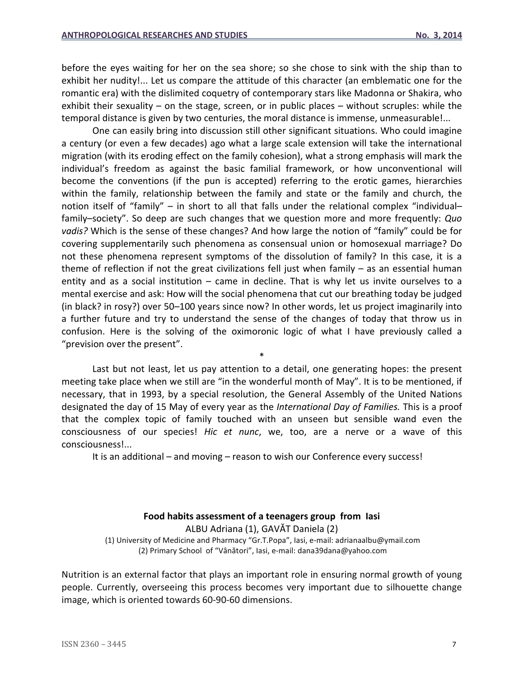before the eyes waiting for her on the sea shore; so she chose to sink with the ship than to exhibit her nudity!... Let us compare the attitude of this character (an emblematic one for the romantic era) with the dislimited coquetry of contemporary stars like Madonna or Shakira, who exhibit their sexuality – on the stage, screen, or in public places – without scruples: while the temporal distance is given by two centuries, the moral distance is immense, unmeasurable!...

 One can easily bring into discussion still other significant situations. Who could imagine a century (or even a few decades) ago what a large scale extension will take the international migration (with its eroding effect on the family cohesion), what a strong emphasis will mark the individual's freedom as against the basic familial framework, or how unconventional will become the conventions (if the pun is accepted) referring to the erotic games, hierarchies within the family, relationship between the family and state or the family and church, the notion itself of "family" – in short to all that falls under the relational complex "individual– family–society". So deep are such changes that we question more and more frequently: *Quo vadis?* Which is the sense of these changes? And how large the notion of "family" could be for covering supplementarily such phenomena as consensual union or homosexual marriage? Do not these phenomena represent symptoms of the dissolution of family? In this case, it is a theme of reflection if not the great civilizations fell just when family – as an essential human entity and as a social institution – came in decline. That is why let us invite ourselves to a mental exercise and ask: How will the social phenomena that cut our breathing today be judged (in black? in rosy?) over 50–100 years since now? In other words, let us project imaginarily into a further future and try to understand the sense of the changes of today that throw us in confusion. Here is the solving of the oximoronic logic of what I have previously called a "prevision over the present".

 Last but not least, let us pay attention to a detail, one generating hopes: the present meeting take place when we still are "in the wonderful month of May". It is to be mentioned, if necessary, that in 1993, by a special resolution, the General Assembly of the United Nations designated the day of 15 May of every year as the *International Day of Families.* This is a proof that the complex topic of family touched with an unseen but sensible wand even the consciousness of our species! *Hic et nunc*, we, too, are a nerve or a wave of this consciousness!...

\*

It is an additional – and moving – reason to wish our Conference every success!

**Food habits assessment of a teenagers group from Iasi**  ALBU Adriana (1), GAVĂT Daniela (2) (1) University of Medicine and Pharmacy "Gr.T.Popa", Iasi, e-mail: adrianaalbu@ymail.com (2) Primary School of "Vânători", Iasi, e-mail: dana39dana@yahoo.com

Nutrition is an external factor that plays an important role in ensuring normal growth of young people. Currently, overseeing this process becomes very important due to silhouette change image, which is oriented towards 60-90-60 dimensions.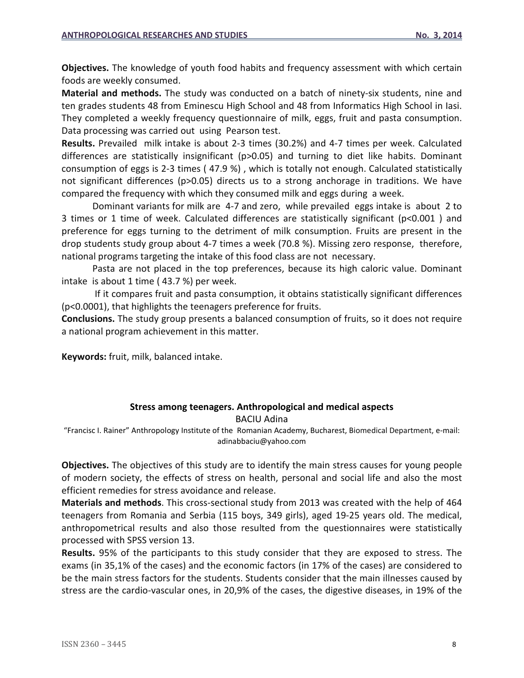**Objectives.** The knowledge of youth food habits and frequency assessment with which certain foods are weekly consumed.

**Material and methods.** The study was conducted on a batch of ninety-six students, nine and ten grades students 48 from Eminescu High School and 48 from Informatics High School in Iasi. They completed a weekly frequency questionnaire of milk, eggs, fruit and pasta consumption. Data processing was carried out using Pearson test.

**Results.** Prevailed milk intake is about 2-3 times (30.2%) and 4-7 times per week. Calculated differences are statistically insignificant (p>0.05) and turning to diet like habits. Dominant consumption of eggs is 2-3 times ( 47.9 %) , which is totally not enough. Calculated statistically not significant differences (p>0.05) directs us to a strong anchorage in traditions. We have compared the frequency with which they consumed milk and eggs during a week.

 Dominant variants for milk are 4-7 and zero, while prevailed eggs intake is about 2 to 3 times or 1 time of week. Calculated differences are statistically significant (p<0.001 ) and preference for eggs turning to the detriment of milk consumption. Fruits are present in the drop students study group about 4-7 times a week (70.8 %). Missing zero response, therefore, national programs targeting the intake of this food class are not necessary.

 Pasta are not placed in the top preferences, because its high caloric value. Dominant intake is about 1 time ( 43.7 %) per week.

 If it compares fruit and pasta consumption, it obtains statistically significant differences (p<0.0001), that highlights the teenagers preference for fruits.

**Conclusions.** The study group presents a balanced consumption of fruits, so it does not require a national program achievement in this matter.

**Keywords:** fruit, milk, balanced intake.

#### **Stress among teenagers. Anthropological and medical aspects** BACIU Adina

"Francisc I. Rainer" Anthropology Institute of the Romanian Academy, Bucharest, Biomedical Department, e-mail: adinabbaciu@yahoo.com

**Objectives.** The objectives of this study are to identify the main stress causes for young people of modern society, the effects of stress on health, personal and social life and also the most efficient remedies for stress avoidance and release.

**Materials and methods**. This cross-sectional study from 2013 was created with the help of 464 teenagers from Romania and Serbia (115 boys, 349 girls), aged 19-25 years old. The medical, anthropometrical results and also those resulted from the questionnaires were statistically processed with SPSS version 13.

**Results.** 95% of the participants to this study consider that they are exposed to stress. The exams (in 35,1% of the cases) and the economic factors (in 17% of the cases) are considered to be the main stress factors for the students. Students consider that the main illnesses caused by stress are the cardio-vascular ones, in 20,9% of the cases, the digestive diseases, in 19% of the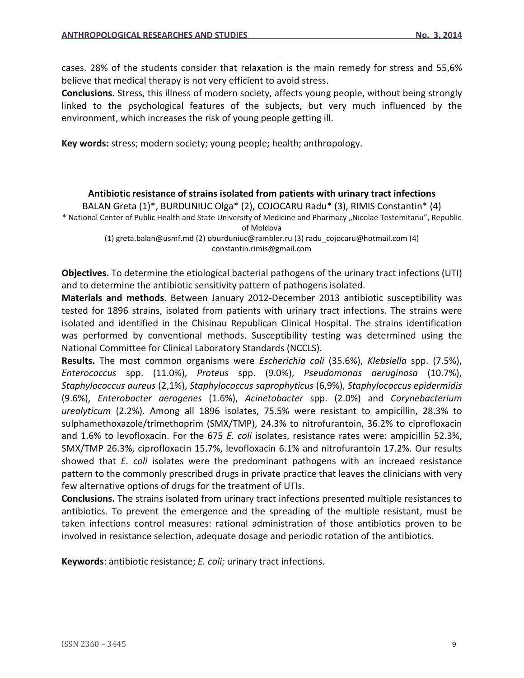cases. 28% of the students consider that relaxation is the main remedy for stress and 55,6% believe that medical therapy is not very efficient to avoid stress.

**Conclusions.** Stress, this illness of modern society, affects young people, without being strongly linked to the psychological features of the subjects, but very much influenced by the environment, which increases the risk of young people getting ill.

**Key words:** stress; modern society; young people; health; anthropology.

## **Antibiotic resistance of strains isolated from patients with urinary tract infections**

BALAN Greta (1)\*, BURDUNIUC Olga\* (2), COJOCARU Radu\* (3), RIMIS Constantin\* (4) \* National Center of Public Health and State University of Medicine and Pharmacy "Nicolae Testemitanu", Republic of Moldova

(1) greta.balan@usmf.md (2) oburduniuc@rambler.ru (3) radu\_cojocaru@hotmail.com (4) constantin.rimis@gmail.com

**Objectives.** To determine the etiological bacterial pathogens of the urinary tract infections (UTI) and to determine the antibiotic sensitivity pattern of pathogens isolated.

**Materials and methods**. Between January 2012-December 2013 antibiotic susceptibility was tested for 1896 strains, isolated from patients with urinary tract infections. The strains were isolated and identified in the Chisinau Republican Clinical Hospital. The strains identification was performed by conventional methods. Susceptibility testing was determined using the National Committee for Clinical Laboratory Standards (NCCLS).

**Results.** The most common organisms were *Escherichia coli* (35.6%), *Klebsiella* spp. (7.5%), *Enterococcus* spp. (11.0%), *Proteus* spp. (9.0%), *Pseudomonas aeruginosa* (10.7%), *Staphylococcus aureus* (2,1%), *Staphylococcus saprophyticus* (6,9%), *Staphylococcus epidermidis* (9.6%), *Enterobacter aerogenes* (1.6%), *Acinetobacter* spp. (2.0%) and *Corynebacterium urealyticum* (2.2%). Among all 1896 isolates, 75.5% were resistant to ampicillin, 28.3% to sulphamethoxazole/trimethoprim (SMX/TMP), 24.3% to nitrofurantoin, 36.2% to ciprofloxacin and 1.6% to levofloxacin. For the 675 *E. coli* isolates, resistance rates were: ampicillin 52.3%, SMX/TMP 26.3%, ciprofloxacin 15.7%, levofloxacin 6.1% and nitrofurantoin 17.2%. Our results showed that *E. coli* isolates were the predominant pathogens with an increaed resistance pattern to the commonly prescribed drugs in private practice that leaves the clinicians with very few alternative options of drugs for the treatment of UTIs.

**Conclusions.** The strains isolated from urinary tract infections presented multiple resistances to antibiotics. To prevent the emergence and the spreading of the multiple resistant, must be taken infections control measures: rational administration of those antibiotics proven to be involved in resistance selection, adequate dosage and periodic rotation of the antibiotics.

**Keywords**: antibiotic resistance; *E. coli;* urinary tract infections.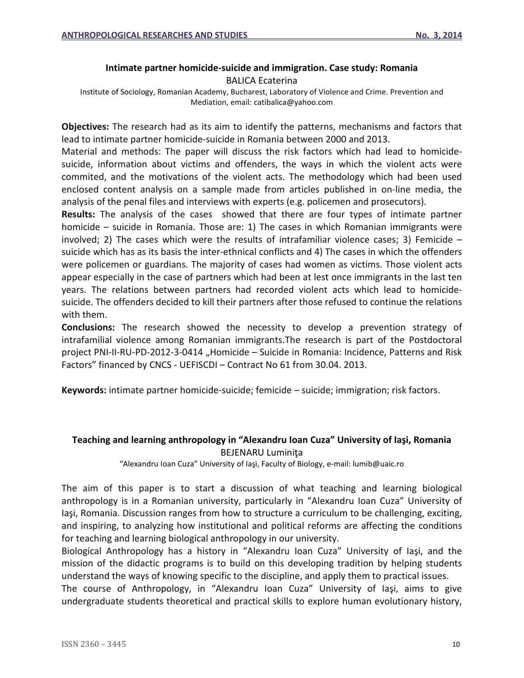# **Intimate partner homicide-suicide and immigration. Case study: Romania**

BALICA Ecaterina

Institute of Sociology, Romanian Academy, Bucharest, Laboratory of Violence and Crime. Prevention and Mediation, email: catibalica@yahoo.com

**Objectives:** The research had as its aim to identify the patterns, mechanisms and factors that lead to intimate partner homicide-suicide in Romania between 2000 and 2013.

Material and methods: The paper will discuss the risk factors which had lead to homicidesuicide, information about victims and offenders, the ways in which the violent acts were commited, and the motivations of the violent acts. The methodology which had been used enclosed content analysis on a sample made from articles published in on-line media, the analysis of the penal files and interviews with experts (e.g. policemen and prosecutors).

**Results:** The analysis of the cases showed that there are four types of intimate partner homicide – suicide in Romania. Those are: 1) The cases in which Romanian immigrants were involved; 2) The cases which were the results of intrafamiliar violence cases; 3) Femicide – suicide which has as its basis the inter-ethnical conflicts and 4) The cases in which the offenders were policemen or guardians. The majority of cases had women as victims. Those violent acts appear especially in the case of partners which had been at lest once immigrants in the last ten years. The relations between partners had recorded violent acts which lead to homicidesuicide. The offenders decided to kill their partners after those refused to continue the relations with them.

**Conclusions:** The research showed the necessity to develop a prevention strategy of intrafamilial violence among Romanian immigrants.The research is part of the Postdoctoral project PNI-II-RU-PD-2012-3-0414 "Homicide – Suicide in Romania: Incidence, Patterns and Risk Factors" financed by CNCS - UEFISCDI – Contract No 61 from 30.04. 2013.

**Keywords:** intimate partner homicide-suicide; femicide – suicide; immigration; risk factors.

## **Teaching and learning anthropology in "Alexandru Ioan Cuza" University of Iaşi, Romania**  BEJENARU Luminiţa

"Alexandru Ioan Cuza" University of Iaşi, Faculty of Biology, e-mail: lumib@uaic.ro

The aim of this paper is to start a discussion of what teaching and learning biological anthropology is in a Romanian university, particularly in "Alexandru Ioan Cuza" University of Iaşi, Romania. Discussion ranges from how to structure a curriculum to be challenging, exciting, and inspiring, to analyzing how institutional and political reforms are affecting the conditions for teaching and learning biological anthropology in our university.

Biological Anthropology has a history in "Alexandru Ioan Cuza" University of Iaşi, and the mission of the didactic programs is to build on this developing tradition by helping students understand the ways of knowing specific to the discipline, and apply them to practical issues.

The course of Anthropology, in "Alexandru Ioan Cuza" University of Iaşi, aims to give undergraduate students theoretical and practical skills to explore human evolutionary history,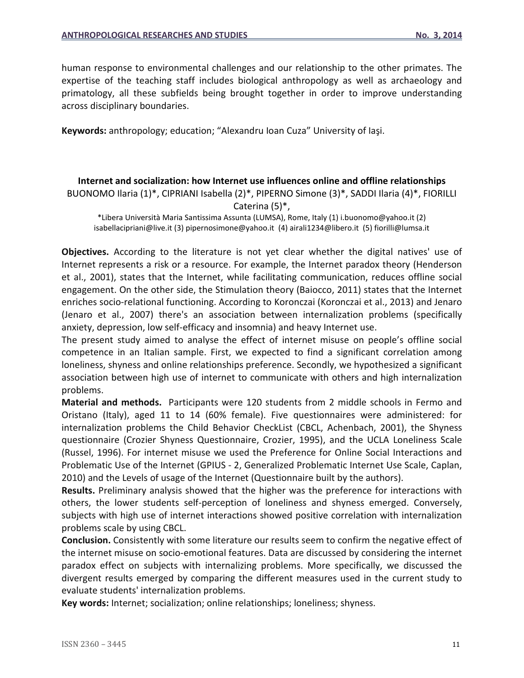human response to environmental challenges and our relationship to the other primates. The expertise of the teaching staff includes biological anthropology as well as archaeology and primatology, all these subfields being brought together in order to improve understanding across disciplinary boundaries.

**Keywords:** anthropology; education; "Alexandru Ioan Cuza" University of Iaşi.

## **Internet and socialization: how Internet use influences online and offline relationships**

BUONOMO Ilaria (1)\*, CIPRIANI Isabella (2)\*, PIPERNO Simone (3)\*, SADDI Ilaria (4)\*, FIORILLI Caterina (5)\*,

\*Libera Università Maria Santissima Assunta (LUMSA), Rome, Italy (1) i.buonomo@yahoo.it (2) isabellacipriani@live.it (3) pipernosimone@yahoo.it (4) airali1234@libero.it (5) fiorilli@lumsa.it

**Objectives.** According to the literature is not yet clear whether the digital natives' use of Internet represents a risk or a resource. For example, the Internet paradox theory (Henderson et al., 2001), states that the Internet, while facilitating communication, reduces offline social engagement. On the other side, the Stimulation theory (Baiocco, 2011) states that the Internet enriches socio-relational functioning. According to Koronczai (Koronczai et al., 2013) and Jenaro (Jenaro et al., 2007) there's an association between internalization problems (specifically anxiety, depression, low self-efficacy and insomnia) and heavy Internet use.

The present study aimed to analyse the effect of internet misuse on people's offline social competence in an Italian sample. First, we expected to find a significant correlation among loneliness, shyness and online relationships preference. Secondly, we hypothesized a significant association between high use of internet to communicate with others and high internalization problems.

**Material and methods.** Participants were 120 students from 2 middle schools in Fermo and Oristano (Italy), aged 11 to 14 (60% female). Five questionnaires were administered: for internalization problems the Child Behavior CheckList (CBCL, Achenbach, 2001), the Shyness questionnaire (Crozier Shyness Questionnaire, Crozier, 1995), and the UCLA Loneliness Scale (Russel, 1996). For internet misuse we used the Preference for Online Social Interactions and Problematic Use of the Internet (GPIUS - 2, Generalized Problematic Internet Use Scale, Caplan, 2010) and the Levels of usage of the Internet (Questionnaire built by the authors).

**Results.** Preliminary analysis showed that the higher was the preference for interactions with others, the lower students self-perception of loneliness and shyness emerged. Conversely, subjects with high use of internet interactions showed positive correlation with internalization problems scale by using CBCL.

**Conclusion.** Consistently with some literature our results seem to confirm the negative effect of the internet misuse on socio-emotional features. Data are discussed by considering the internet paradox effect on subjects with internalizing problems. More specifically, we discussed the divergent results emerged by comparing the different measures used in the current study to evaluate students' internalization problems.

**Key words:** Internet; socialization; online relationships; loneliness; shyness.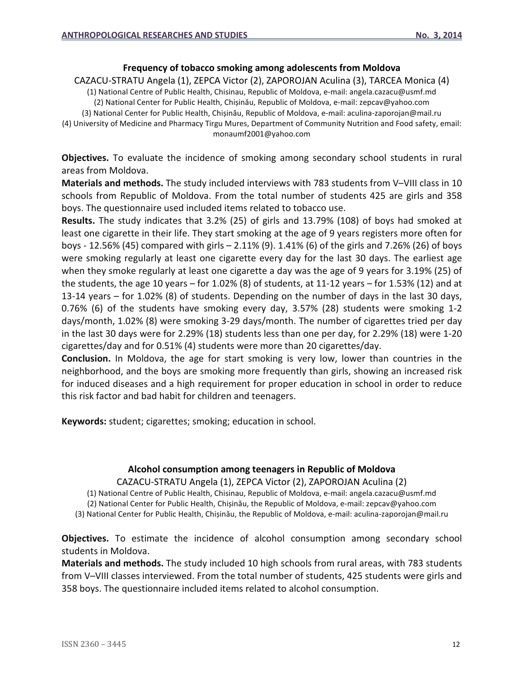#### **Frequency of tobacco smoking among adolescents from Moldova**

CAZACU-STRATU Angela (1), ZEPCA Victor (2), ZAPOROJAN Aculina (3), TARCEA Monica (4)

(1) National Centre of Public Health, Chisinau, Republic of Moldova, e-mail: angela.cazacu@usmf.md (2) National Center for Public Health, Chișinău, Republic of Moldova, e-mail: zepcav@yahoo.com

(3) National Center for Public Health, Chișinău, Republic of Moldova, e-mail: aculina-zaporojan@mail.ru

(4) University of Medicine and Pharmacy Tirgu Mures, Department of Community Nutrition and Food safety, email: monaumf2001@yahoo.com

**Objectives.** To evaluate the incidence of smoking among secondary school students in rural areas from Moldova.

**Materials and methods.** The study included interviews with 783 students from V–VIII class in 10 schools from Republic of Moldova. From the total number of students 425 are girls and 358 boys. The questionnaire used included items related to tobacco use.

**Results.** The study indicates that 3.2% (25) of girls and 13.79% (108) of boys had smoked at least one cigarette in their life. They start smoking at the age of 9 years registers more often for boys - 12.56% (45) compared with girls – 2.11% (9). 1.41% (6) of the girls and 7.26% (26) of boys were smoking regularly at least one cigarette every day for the last 30 days. The earliest age when they smoke regularly at least one cigarette a day was the age of 9 years for 3.19% (25) of the students, the age 10 years – for 1.02% (8) of students, at 11-12 years – for 1.53% (12) and at 13-14 years – for 1.02% (8) of students. Depending on the number of days in the last 30 days, 0.76% (6) of the students have smoking every day, 3.57% (28) students were smoking 1-2 days/month, 1.02% (8) were smoking 3-29 days/month. The number of cigarettes tried per day in the last 30 days were for 2.29% (18) students less than one per day, for 2.29% (18) were 1-20 cigarettes/day and for 0.51% (4) students were more than 20 cigarettes/day.

**Conclusion.** In Moldova, the age for start smoking is very low, lower than countries in the neighborhood, and the boys are smoking more frequently than girls, showing an increased risk for induced diseases and a high requirement for proper education in school in order to reduce this risk factor and bad habit for children and teenagers.

**Keywords:** student; cigarettes; smoking; education in school.

## **Alcohol consumption among teenagers in Republic of Moldova**

CAZACU-STRATU Angela (1), ZEPCA Victor (2), ZAPOROJAN Aculina (2)

(1) National Centre of Public Health, Chisinau, Republic of Moldova, e-mail: angela.cazacu@usmf.md

(2) National Center for Public Health, Chișinău, the Republic of Moldova, e-mail: zepcav@yahoo.com

(3) National Center for Public Health, Chișinău, the Republic of Moldova, e-mail: aculina-zaporojan@mail.ru

**Objectives.** To estimate the incidence of alcohol consumption among secondary school students in Moldova.

**Materials and methods.** The study included 10 high schools from rural areas, with 783 students from V–VIII classes interviewed. From the total number of students, 425 students were girls and 358 boys. The questionnaire included items related to alcohol consumption.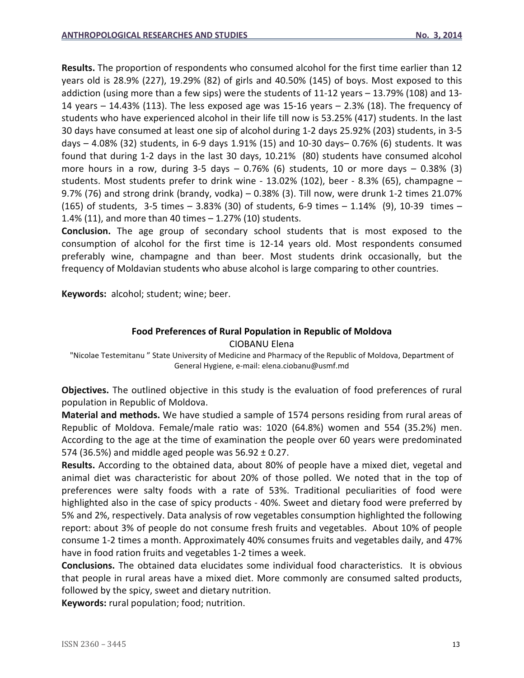**Results.** The proportion of respondents who consumed alcohol for the first time earlier than 12 years old is 28.9% (227), 19.29% (82) of girls and 40.50% (145) of boys. Most exposed to this addiction (using more than a few sips) were the students of 11-12 years – 13.79% (108) and 13- 14 years – 14.43% (113). The less exposed age was 15-16 years – 2.3% (18). The frequency of students who have experienced alcohol in their life till now is 53.25% (417) students. In the last 30 days have consumed at least one sip of alcohol during 1-2 days 25.92% (203) students, in 3-5 days – 4.08% (32) students, in 6-9 days 1.91% (15) and 10-30 days– 0.76% (6) students. It was found that during 1-2 days in the last 30 days, 10.21% (80) students have consumed alcohol more hours in a row, during  $3-5$  days  $-0.76\%$  (6) students, 10 or more days  $-0.38\%$  (3) students. Most students prefer to drink wine - 13.02% (102), beer - 8.3% (65), champagne – 9.7% (76) and strong drink (brandy, vodka) – 0.38% (3). Till now, were drunk 1-2 times 21.07% (165) of students, 3-5 times – 3.83% (30) of students, 6-9 times – 1.14% (9), 10-39 times – 1.4% (11), and more than 40 times – 1.27% (10) students.

**Conclusion.** The age group of secondary school students that is most exposed to the consumption of alcohol for the first time is 12-14 years old. Most respondents consumed preferably wine, champagne and than beer. Most students drink occasionally, but the frequency of Moldavian students who abuse alcohol is large comparing to other countries.

**Keywords:** alcohol; student; wine; beer.

## **Food Preferences of Rural Population in Republic of Moldova**  CIOBANU Elena

"Nicolae Testemitanu " State University of Medicine and Pharmacy of the Republic of Moldova, Department of General Hygiene, e-mail: elena.ciobanu@usmf.md

**Objectives.** The outlined objective in this study is the evaluation of food preferences of rural population in Republic of Moldova.

**Material and methods.** We have studied a sample of 1574 persons residing from rural areas of Republic of Moldova. Female/male ratio was: 1020 (64.8%) women and 554 (35.2%) men. According to the age at the time of examination the people over 60 years were predominated 574 (36.5%) and middle aged people was  $56.92 \pm 0.27$ .

**Results.** According to the obtained data, about 80% of people have a mixed diet, vegetal and animal diet was characteristic for about 20% of those polled. We noted that in the top of preferences were salty foods with a rate of 53%. Traditional peculiarities of food were highlighted also in the case of spicy products - 40%. Sweet and dietary food were preferred by 5% and 2%, respectively. Data analysis of row vegetables consumption highlighted the following report: about 3% of people do not consume fresh fruits and vegetables. About 10% of people consume 1-2 times a month. Approximately 40% consumes fruits and vegetables daily, and 47% have in food ration fruits and vegetables 1-2 times a week.

**Conclusions.** The obtained data elucidates some individual food characteristics. It is obvious that people in rural areas have a mixed diet. More commonly are consumed salted products, followed by the spicy, sweet and dietary nutrition.

**Keywords:** rural population; food; nutrition.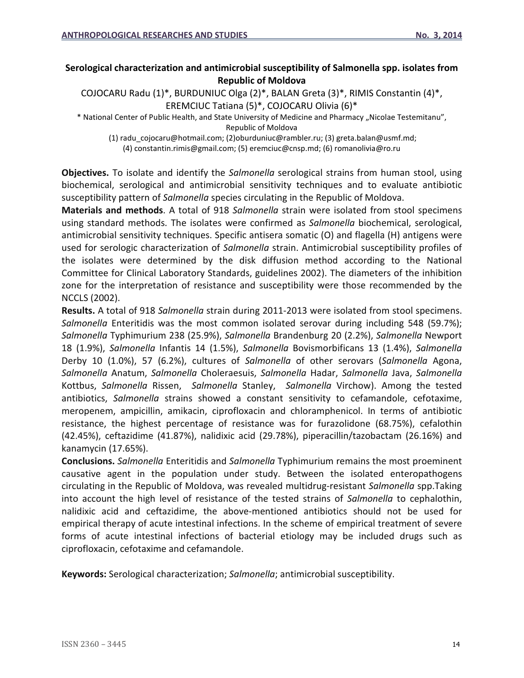## **Serological characterization and antimicrobial susceptibility of Salmonella spp. isolates from Republic of Moldova**

COJOCARU Radu (1)\*, BURDUNIUC Olga (2)\*, BALAN Greta (3)\*, RIMIS Constantin (4)\*, EREMCIUC Tatiana (5)\*, COJOCARU Olivia (6)\*

\* National Center of Public Health, and State University of Medicine and Pharmacy "Nicolae Testemitanu", Republic of Moldova

 (1) radu\_cojocaru@hotmail.com; (2)oburduniuc@rambler.ru; (3) greta.balan@usmf.md; (4) constantin.rimis@gmail.com; (5) eremciuc@cnsp.md; (6) romanolivia@ro.ru

**Objectives.** To isolate and identify the *Salmonella* serological strains from human stool, using biochemical, serological and antimicrobial sensitivity techniques and to evaluate antibiotic susceptibility pattern of *Salmonella* species circulating in the Republic of Moldova.

**Materials and methods**. A total of 918 *Salmonella* strain were isolated from stool specimens using standard methods. The isolates were confirmed as *Salmonella* biochemical, serological, antimicrobial sensitivity techniques. Specific antisera somatic (O) and flagella (H) antigens were used for serologic characterization of *Salmonella* strain. Antimicrobial susceptibility profiles of the isolates were determined by the disk diffusion method according to the National Committee for Clinical Laboratory Standards, guidelines 2002). The diameters of the inhibition zone for the interpretation of resistance and susceptibility were those recommended by the NCCLS (2002).

**Results.** A total of 918 *Salmonella* strain during 2011-2013 were isolated from stool specimens. *Salmonella* Enteritidis was the most common isolated serovar during including 548 (59.7%); *Salmonella* Typhimurium 238 (25.9%), *Salmonella* Brandenburg 20 (2.2%), *Salmonella* Newport 18 (1.9%), *Salmonella* Infantis 14 (1.5%), *Salmonella* Bovismorbificans 13 (1.4%), *Salmonella*  Derby 10 (1.0%), 57 (6.2%), cultures of *Salmonella* of other serovars (*Salmonella* Agona, *Salmonella* Anatum, *Salmonella* Choleraesuis, *Salmonella* Hadar, *Salmonella* Java, *Salmonella* Kottbus, *Salmonella* Rissen, *Salmonella* Stanley, *Salmonella* Virchow). Among the tested antibiotics, *Salmonella* strains showed a constant sensitivity to cefamandole, cefotaxime, meropenem, ampicillin, amikacin, ciprofloxacin and chloramphenicol. In terms of antibiotic resistance, the highest percentage of resistance was for furazolidone (68.75%), cefalothin (42.45%), ceftazidime (41.87%), nalidixic acid (29.78%), piperacillin/tazobactam (26.16%) and kanamycin (17.65%).

**Conclusions.** *Salmonella* Enteritidis and *Salmonella* Typhimurium remains the most proeminent causative agent in the population under study. Between the isolated enteropathogens circulating in the Republic of Moldova, was revealed multidrug-resistant *Salmonella* spp.Taking into account the high level of resistance of the tested strains of *Salmonella* to cephalothin, nalidixic acid and ceftazidime, the above-mentioned antibiotics should not be used for empirical therapy of acute intestinal infections. In the scheme of empirical treatment of severe forms of acute intestinal infections of bacterial etiology may be included drugs such as ciprofloxacin, cefotaxime and cefamandole.

**Keywords:** Serological characterization; *Salmonella*; antimicrobial susceptibility.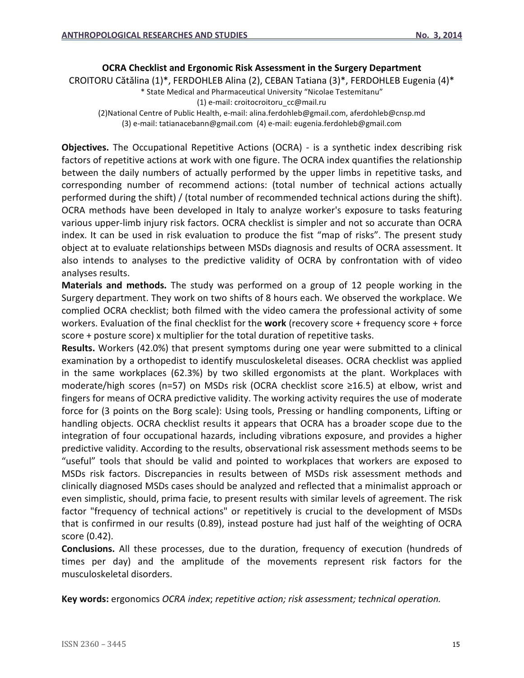#### **OCRA Checklist and Ergonomic Risk Assessment in the Surgery Department**

CROITORU Cătălina (1)\*, FERDOHLEB Alina (2), CEBAN Tatiana (3)\*, FERDOHLEB Eugenia (4)\*

\* State Medical and Pharmaceutical University "Nicolae Testemitanu" (1) e-mail: croitocroitoru\_cc@mail.ru (2)National Centre of Public Health, e-mail: alina.ferdohleb@gmail.com, aferdohleb@cnsp.md

(3) e-mail: tatianacebann@gmail.com (4) e-mail: eugenia.ferdohleb@gmail.com

**Objectives.** The Occupational Repetitive Actions (OCRA) - is a synthetic index describing risk factors of repetitive actions at work with one figure. The OCRA index quantifies the relationship between the daily numbers of actually performed by the upper limbs in repetitive tasks, and corresponding number of recommend actions: (total number of technical actions actually performed during the shift) / (total number of recommended technical actions during the shift). OCRA methods have been developed in Italy to analyze worker's exposure to tasks featuring various upper-limb injury risk factors. OCRA checklist is simpler and not so accurate than OCRA index. It can be used in risk evaluation to produce the fist "map of risks". The present study object at to evaluate relationships between MSDs diagnosis and results of OCRA assessment. It also intends to analyses to the predictive validity of OCRA by confrontation with of video analyses results.

**Materials and methods.** The study was performed on a group of 12 people working in the Surgery department. They work on two shifts of 8 hours each. We observed the workplace. We complied OCRA checklist; both filmed with the video camera the professional activity of some workers. Evaluation of the final checklist for the **work** (recovery score + frequency score + force score + posture score) x multiplier for the total duration of repetitive tasks.

**Results.** Workers (42.0%) that present symptoms during one year were submitted to a clinical examination by a orthopedist to identify musculoskeletal diseases. OCRA checklist was applied in the same workplaces (62.3%) by two skilled ergonomists at the plant. Workplaces with moderate/high scores (n=57) on MSDs risk (OCRA checklist score ≥16.5) at elbow, wrist and fingers for means of OCRA predictive validity. The working activity requires the use of moderate force for (3 points on the Borg scale): Using tools, Pressing or handling components, Lifting or handling objects. OCRA checklist results it appears that OCRA has a broader scope due to the integration of four occupational hazards, including vibrations exposure, and provides a higher predictive validity. According to the results, observational risk assessment methods seems to be "useful" tools that should be valid and pointed to workplaces that workers are exposed to MSDs risk factors. Discrepancies in results between of MSDs risk assessment methods and clinically diagnosed MSDs cases should be analyzed and reflected that a minimalist approach or even simplistic, should, prima facie, to present results with similar levels of agreement. The risk factor "frequency of technical actions" or repetitively is crucial to the development of MSDs that is confirmed in our results (0.89), instead posture had just half of the weighting of OCRA score (0.42).

**Conclusions.** All these processes, due to the duration, frequency of execution (hundreds of times per day) and the amplitude of the movements represent risk factors for the musculoskeletal disorders.

**Key words:** ergonomics *OCRA index*; *repetitive action; risk assessment; technical operation.*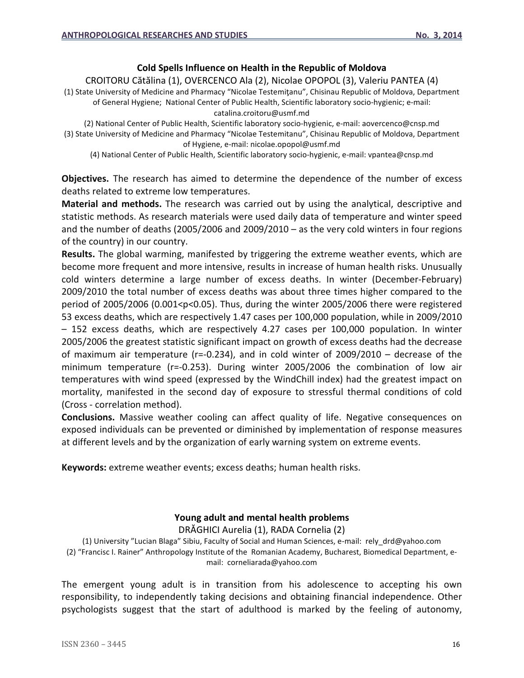## **Cold Spells Influence on Health in the Republic of Moldova**

CROITORU Cătălina (1), OVERCENCO Ala (2), Nicolae OPOPOL (3), Valeriu PANTEA (4)

(1) State University of Medicine and Pharmacy "Nicolae Testemiţanu", Chisinau Republic of Moldova, Department of General Hygiene; National Center of Public Health, Scientific laboratory socio-hygienic; e-mail:

catalina.croitoru@usmf.md

(2) National Center of Public Health, Scientific laboratory socio-hygienic, e-mail: aovercenco@cnsp.md (3) State University of Medicine and Pharmacy "Nicolae Testemitanu", Chisinau Republic of Moldova, Department

of Hygiene, e-mail: nicolae.opopol@usmf.md

(4) National Center of Public Health, Scientific laboratory socio-hygienic, e-mail: vpantea@cnsp.md

**Objectives.** The research has aimed to determine the dependence of the number of excess deaths related to extreme low temperatures.

**Material and methods.** The research was carried out by using the analytical, descriptive and statistic methods. As research materials were used daily data of temperature and winter speed and the number of deaths (2005/2006 and 2009/2010 – as the very cold winters in four regions of the country) in our country.

**Results.** The global warming, manifested by triggering the extreme weather events, which are become more frequent and more intensive, results in increase of human health risks. Unusually cold winters determine a large number of excess deaths. In winter (December-February) 2009/2010 the total number of excess deaths was about three times higher compared to the period of 2005/2006 (0.001<p<0.05). Thus, during the winter 2005/2006 there were registered 53 excess deaths, which are respectively 1.47 cases per 100,000 population, while in 2009/2010 – 152 excess deaths, which are respectively 4.27 cases per 100,000 population. In winter 2005/2006 the greatest statistic significant impact on growth of excess deaths had the decrease of maximum air temperature ( $r=-0.234$ ), and in cold winter of 2009/2010 – decrease of the minimum temperature (r=-0.253). During winter 2005/2006 the combination of low air temperatures with wind speed (expressed by the WindChill index) had the greatest impact on mortality, manifested in the second day of exposure to stressful thermal conditions of cold (Cross - correlation method).

**Conclusions.** Massive weather cooling can affect quality of life. Negative consequences on exposed individuals can be prevented or diminished by implementation of response measures at different levels and by the organization of early warning system on extreme events.

**Keywords:** extreme weather events; excess deaths; human health risks.

# **Young adult and mental health problems**

DRĂGHICI Aurelia (1), RADA Cornelia (2)

(1) University "Lucian Blaga" Sibiu, Faculty of Social and Human Sciences, e-mail: rely\_drd@yahoo.com (2) "Francisc I. Rainer" Anthropology Institute of the Romanian Academy, Bucharest, Biomedical Department, email: corneliarada@yahoo.com

The emergent young adult is in transition from his adolescence to accepting his own responsibility, to independently taking decisions and obtaining financial independence. Other psychologists suggest that the start of adulthood is marked by the feeling of autonomy,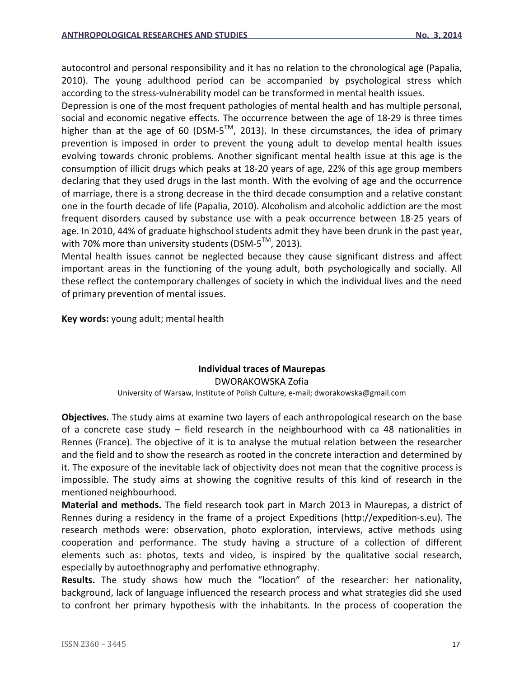autocontrol and personal responsibility and it has no relation to the chronological age (Papalia, 2010). The young adulthood period can be accompanied by psychological stress which according to the stress-vulnerability model can be transformed in mental health issues.

Depression is one of the most frequent pathologies of mental health and has multiple personal, social and economic negative effects. The occurrence between the age of 18-29 is three times higher than at the age of 60 (DSM-5<sup>TM</sup>, 2013). In these circumstances, the idea of primary prevention is imposed in order to prevent the young adult to develop mental health issues evolving towards chronic problems. Another significant mental health issue at this age is the consumption of illicit drugs which peaks at 18-20 years of age, 22% of this age group members declaring that they used drugs in the last month. With the evolving of age and the occurrence of marriage, there is a strong decrease in the third decade consumption and a relative constant one in the fourth decade of life (Papalia, 2010). Alcoholism and alcoholic addiction are the most frequent disorders caused by substance use with a peak occurrence between 18-25 years of age. In 2010, 44% of graduate highschool students admit they have been drunk in the past year, with 70% more than university students (DSM-5™, 2013).

Mental health issues cannot be neglected because they cause significant distress and affect important areas in the functioning of the young adult, both psychologically and socially. All these reflect the contemporary challenges of society in which the individual lives and the need of primary prevention of mental issues.

**Key words:** young adult; mental health

## **Individual traces of Maurepas**  DWORAKOWSKA Zofia University of Warsaw, Institute of Polish Culture, e-mail; dworakowska@gmail.com

**Objectives.** The study aims at examine two layers of each anthropological research on the base of a concrete case study – field research in the neighbourhood with ca 48 nationalities in Rennes (France). The objective of it is to analyse the mutual relation between the researcher and the field and to show the research as rooted in the concrete interaction and determined by it. The exposure of the inevitable lack of objectivity does not mean that the cognitive process is impossible. The study aims at showing the cognitive results of this kind of research in the mentioned neighbourhood.

**Material and methods.** The field research took part in March 2013 in Maurepas, a district of Rennes during a residency in the frame of a project Expeditions (http://expedition-s.eu). The research methods were: observation, photo exploration, interviews, active methods using cooperation and performance. The study having a structure of a collection of different elements such as: photos, texts and video, is inspired by the qualitative social research, especially by autoethnography and perfomative ethnography.

**Results.** The study shows how much the "location" of the researcher: her nationality, background, lack of language influenced the research process and what strategies did she used to confront her primary hypothesis with the inhabitants. In the process of cooperation the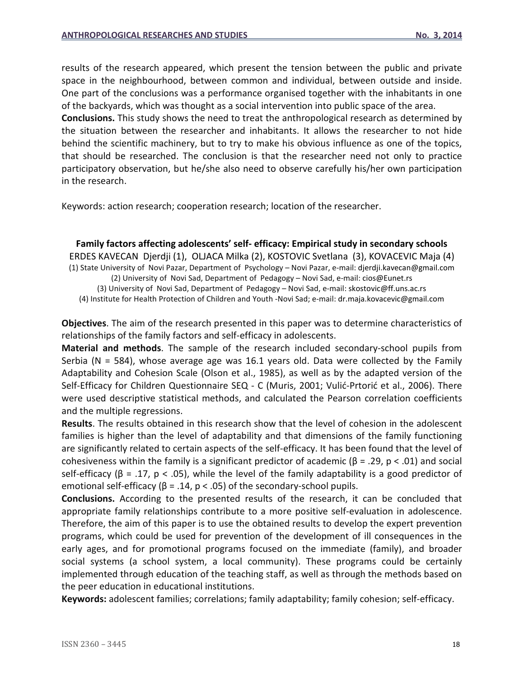results of the research appeared, which present the tension between the public and private space in the neighbourhood, between common and individual, between outside and inside. One part of the conclusions was a performance organised together with the inhabitants in one of the backyards, which was thought as a social intervention into public space of the area.

**Conclusions.** This study shows the need to treat the anthropological research as determined by the situation between the researcher and inhabitants. It allows the researcher to not hide behind the scientific machinery, but to try to make his obvious influence as one of the topics, that should be researched. The conclusion is that the researcher need not only to practice participatory observation, but he/she also need to observe carefully his/her own participation in the research.

Keywords: action research; cooperation research; location of the researcher.

**Family factors affecting adolescents' self- efficacy: Empirical study in secondary schools**  ERDES KAVECAN Djerdji (1), OLJACA Milka (2), KOSTOVIC Svetlana (3), KOVACEVIC Maja (4) (1) State University of Novi Pazar, Department of Psychology – Novi Pazar, e-mail: djerdji.kavecan@gmail.com (2) University of Novi Sad, Department of Pedagogy – Novi Sad, e-mail: cios@Eunet.rs (3) University of Novi Sad, Department of Pedagogy – Novi Sad, e-mail: skostovic@ff.uns.ac.rs (4) Institute for Health Protection of Children and Youth -Novi Sad; e-mail: dr.maja.kovacevic@gmail.com

**Objectives**. The aim of the research presented in this paper was to determine characteristics of relationships of the family factors and self-efficacy in adolescents.

**Material and methods**. The sample of the research included secondary-school pupils from Serbia ( $N = 584$ ), whose average age was 16.1 years old. Data were collected by the Family Adaptability and Cohesion Scale (Olson et al., 1985), as well as by the adapted version of the Self-Efficacy for Children Questionnaire SEQ - C (Muris, 2001; Vulić-Prtorić et al., 2006). There were used descriptive statistical methods, and calculated the Pearson correlation coefficients and the multiple regressions.

**Results**. The results obtained in this research show that the level of cohesion in the adolescent families is higher than the level of adaptability and that dimensions of the family functioning are significantly related to certain aspects of the self-efficacy. It has been found that the level of cohesiveness within the family is a significant predictor of academic ( $β = .29$ ,  $p < .01$ ) and social self-efficacy ( $\beta$  = .17, p < .05), while the level of the family adaptability is a good predictor of emotional self-efficacy ( $β = .14$ ,  $p < .05$ ) of the secondary-school pupils.

**Conclusions.** According to the presented results of the research, it can be concluded that appropriate family relationships contribute to a more positive self-evaluation in adolescence. Therefore, the aim of this paper is to use the obtained results to develop the expert prevention programs, which could be used for prevention of the development of ill consequences in the early ages, and for promotional programs focused on the immediate (family), and broader social systems (a school system, a local community). These programs could be certainly implemented through education of the teaching staff, as well as through the methods based on the peer education in educational institutions.

**Keywords:** adolescent families; correlations; family adaptability; family cohesion; self-efficacy.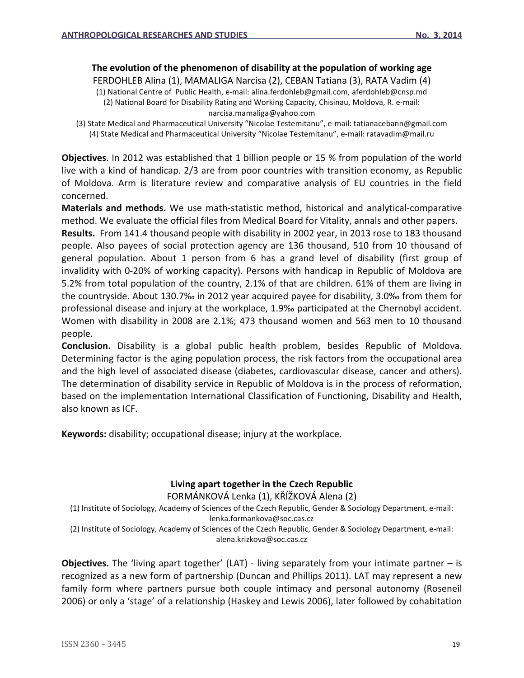## **The evolution of the phenomenon of disability at the population of working age**

FERDOHLEB Alina (1), MAMALIGA Narcisa (2), CEBAN Tatiana (3), RATA Vadim (4)

(1) National Centre of Public Health, e-mail: alina.ferdohleb@gmail.com, aferdohleb@cnsp.md (2) National Board for Disability Rating and Working Capacity, Chisinau, Moldova, R. e-mail: narcisa.mamaliga@yahoo.com

(3) State Medical and Pharmaceutical University "Nicolae Testemitanu", e-mail: tatianacebann@gmail.com (4) State Medical and Pharmaceutical University "Nicolae Testemitanu", e-mail: ratavadim@mail.ru

**Objectives**. In 2012 was established that 1 billion people or 15 % from population of the world live with a kind of handicap. 2/3 are from poor countries with transition economy, as Republic of Moldova. Arm is literature review and comparative analysis of EU countries in the field concerned.

**Materials and methods.** We use math-statistic method, historical and analytical-comparative method. We evaluate the official files from Medical Board for Vitality, annals and other papers.

**Results.** From 141.4 thousand people with disability in 2002 year, in 2013 rose to 183 thousand people. Also payees of social protection agency are 136 thousand, 510 from 10 thousand of general population. About 1 person from 6 has a grand level of disability (first group of invalidity with 0-20% of working capacity). Persons with handicap in Republic of Moldova are 5.2% from total population of the country, 2.1% of that are children. 61% of them are living in the countryside. About 130.7‰ in 2012 year acquired payee for disability, 3.0‰ from them for professional disease and injury at the workplace, 1.9‰ participated at the Chernobyl accident. Women with disability in 2008 are 2.1%; 473 thousand women and 563 men to 10 thousand people.

**Conclusion.** Disability is a global public health problem, besides Republic of Moldova. Determining factor is the aging population process, the risk factors from the occupational area and the high level of associated disease (diabetes, cardiovascular disease, cancer and others). The determination of disability service in Republic of Moldova is in the process of reformation, based on the implementation International Classification of Functioning, Disability and Health, also known as ICF.

**Keywords:** disability; occupational disease; injury at the workplace.

## **Living apart together in the Czech Republic**

FORMÁNKOVÁ Lenka (1), KŘÍŽKOVÁ Alena (2)

(1) Institute of Sociology, Academy of Sciences of the Czech Republic, Gender & Sociology Department, e-mail: lenka.formankova@soc.cas.cz

(2) Institute of Sociology, Academy of Sciences of the Czech Republic, Gender & Sociology Department, e-mail: alena.krizkova@soc.cas.cz

**Objectives.** The 'living apart together' (LAT) - living separately from your intimate partner – is recognized as a new form of partnership (Duncan and Phillips 2011). LAT may represent a new family form where partners pursue both couple intimacy and personal autonomy (Roseneil 2006) or only a 'stage' of a relationship (Haskey and Lewis 2006), later followed by cohabitation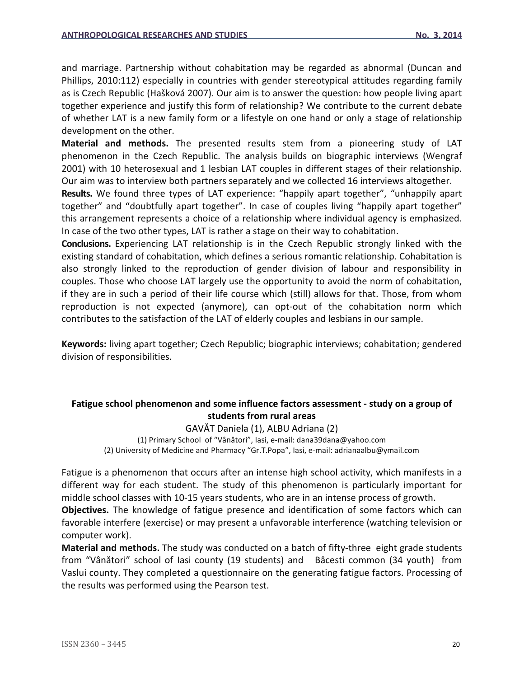and marriage. Partnership without cohabitation may be regarded as abnormal (Duncan and Phillips, 2010:112) especially in countries with gender stereotypical attitudes regarding family as is Czech Republic (Hašková 2007). Our aim is to answer the question: how people living apart together experience and justify this form of relationship? We contribute to the current debate of whether LAT is a new family form or a lifestyle on one hand or only a stage of relationship development on the other.

**Material and methods.** The presented results stem from a pioneering study of LAT phenomenon in the Czech Republic. The analysis builds on biographic interviews (Wengraf 2001) with 10 heterosexual and 1 lesbian LAT couples in different stages of their relationship. Our aim was to interview both partners separately and we collected 16 interviews altogether.

**Results.** We found three types of LAT experience: "happily apart together", "unhappily apart together" and "doubtfully apart together". In case of couples living "happily apart together" this arrangement represents a choice of a relationship where individual agency is emphasized. In case of the two other types, LAT is rather a stage on their way to cohabitation.

**Conclusions.** Experiencing LAT relationship is in the Czech Republic strongly linked with the existing standard of cohabitation, which defines a serious romantic relationship. Cohabitation is also strongly linked to the reproduction of gender division of labour and responsibility in couples. Those who choose LAT largely use the opportunity to avoid the norm of cohabitation, if they are in such a period of their life course which (still) allows for that. Those, from whom reproduction is not expected (anymore), can opt-out of the cohabitation norm which contributes to the satisfaction of the LAT of elderly couples and lesbians in our sample.

**Keywords:** living apart together; Czech Republic; biographic interviews; cohabitation; gendered division of responsibilities.

## **Fatigue school phenomenon and some influence factors assessment - study on a group of students from rural areas**

#### GAVĂT Daniela (1), ALBU Adriana (2)

(1) Primary School of "Vânători", Iasi, e-mail: dana39dana@yahoo.com (2) University of Medicine and Pharmacy "Gr.T.Popa", Iasi, e-mail: adrianaalbu@ymail.com

Fatigue is a phenomenon that occurs after an intense high school activity, which manifests in a different way for each student. The study of this phenomenon is particularly important for middle school classes with 10-15 years students, who are in an intense process of growth.

**Objectives.** The knowledge of fatigue presence and identification of some factors which can favorable interfere (exercise) or may present a unfavorable interference (watching television or computer work).

**Material and methods.** The study was conducted on a batch of fifty-three eight grade students from "Vânători" school of Iasi county (19 students) and Bâcesti common (34 youth) from Vaslui county. They completed a questionnaire on the generating fatigue factors. Processing of the results was performed using the Pearson test.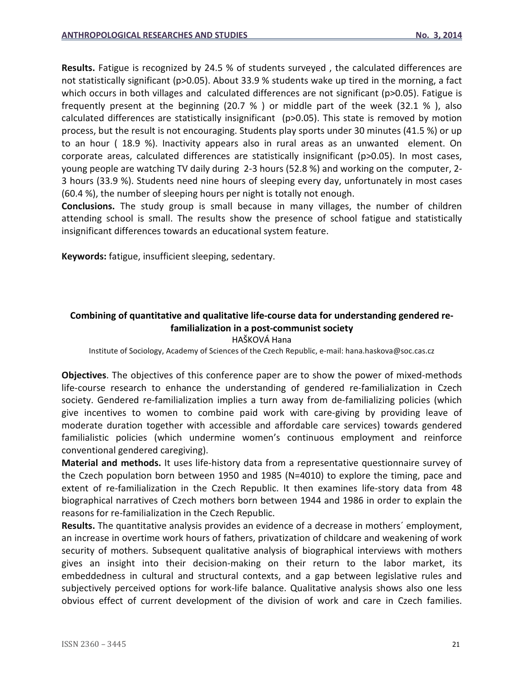**Results.** Fatigue is recognized by 24.5 % of students surveyed , the calculated differences are not statistically significant (p>0.05). About 33.9 % students wake up tired in the morning, a fact which occurs in both villages and calculated differences are not significant (p>0.05). Fatigue is frequently present at the beginning (20.7 % ) or middle part of the week (32.1 % ), also calculated differences are statistically insignificant (p>0.05). This state is removed by motion process, but the result is not encouraging. Students play sports under 30 minutes (41.5 %) or up to an hour ( 18.9 %). Inactivity appears also in rural areas as an unwanted element. On corporate areas, calculated differences are statistically insignificant (p>0.05). In most cases, young people are watching TV daily during 2-3 hours (52.8 %) and working on the computer, 2- 3 hours (33.9 %). Students need nine hours of sleeping every day, unfortunately in most cases (60.4 %), the number of sleeping hours per night is totally not enough.

**Conclusions.** The study group is small because in many villages, the number of children attending school is small. The results show the presence of school fatigue and statistically insignificant differences towards an educational system feature.

**Keywords:** fatigue, insufficient sleeping, sedentary.

# **Combining of quantitative and qualitative life-course data for understanding gendered refamilialization in a post-communist society**

HAŠKOVÁ Hana

Institute of Sociology, Academy of Sciences of the Czech Republic, e-mail: hana.haskova@soc.cas.cz

**Objectives**. The objectives of this conference paper are to show the power of mixed-methods life-course research to enhance the understanding of gendered re-familialization in Czech society. Gendered re-familialization implies a turn away from de-familializing policies (which give incentives to women to combine paid work with care-giving by providing leave of moderate duration together with accessible and affordable care services) towards gendered familialistic policies (which undermine women's continuous employment and reinforce conventional gendered caregiving).

**Material and methods.** It uses life-history data from a representative questionnaire survey of the Czech population born between 1950 and 1985 (N=4010) to explore the timing, pace and extent of re-familialization in the Czech Republic. It then examines life-story data from 48 biographical narratives of Czech mothers born between 1944 and 1986 in order to explain the reasons for re-familialization in the Czech Republic.

**Results.** The quantitative analysis provides an evidence of a decrease in mothers´ employment, an increase in overtime work hours of fathers, privatization of childcare and weakening of work security of mothers. Subsequent qualitative analysis of biographical interviews with mothers gives an insight into their decision-making on their return to the labor market, its embeddedness in cultural and structural contexts, and a gap between legislative rules and subjectively perceived options for work-life balance. Qualitative analysis shows also one less obvious effect of current development of the division of work and care in Czech families.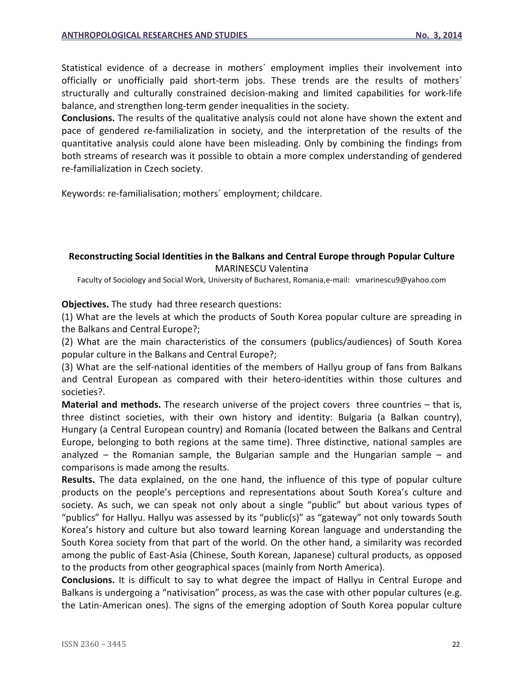Statistical evidence of a decrease in mothers´ employment implies their involvement into officially or unofficially paid short-term jobs. These trends are the results of mothers´ structurally and culturally constrained decision-making and limited capabilities for work-life balance, and strengthen long-term gender inequalities in the society.

**Conclusions.** The results of the qualitative analysis could not alone have shown the extent and pace of gendered re-familialization in society, and the interpretation of the results of the quantitative analysis could alone have been misleading. Only by combining the findings from both streams of research was it possible to obtain a more complex understanding of gendered re-familialization in Czech society.

Keywords: re-familialisation; mothers´ employment; childcare.

## **Reconstructing Social Identities in the Balkans and Central Europe through Popular Culture**  MARINESCU Valentina

Faculty of Sociology and Social Work, University of Bucharest, Romania,e-mail: vmarinescu9@yahoo.com

**Objectives.** The study had three research questions:

(1) What are the levels at which the products of South Korea popular culture are spreading in the Balkans and Central Europe?;

(2) What are the main characteristics of the consumers (publics/audiences) of South Korea popular culture in the Balkans and Central Europe?;

(3) What are the self-national identities of the members of Hallyu group of fans from Balkans and Central European as compared with their hetero-identities within those cultures and societies?.

**Material and methods.** The research universe of the project covers three countries – that is, three distinct societies, with their own history and identity: Bulgaria (a Balkan country), Hungary (a Central European country) and Romania (located between the Balkans and Central Europe, belonging to both regions at the same time). Three distinctive, national samples are analyzed – the Romanian sample, the Bulgarian sample and the Hungarian sample – and comparisons is made among the results.

**Results.** The data explained, on the one hand, the influence of this type of popular culture products on the people's perceptions and representations about South Korea's culture and society. As such, we can speak not only about a single "public" but about various types of "publics" for Hallyu. Hallyu was assessed by its "public(s)" as "gateway" not only towards South Korea's history and culture but also toward learning Korean language and understanding the South Korea society from that part of the world. On the other hand, a similarity was recorded among the public of East-Asia (Chinese, South Korean, Japanese) cultural products, as opposed to the products from other geographical spaces (mainly from North America).

**Conclusions.** It is difficult to say to what degree the impact of Hallyu in Central Europe and Balkans is undergoing a "nativisation" process, as was the case with other popular cultures (e.g. the Latin-American ones). The signs of the emerging adoption of South Korea popular culture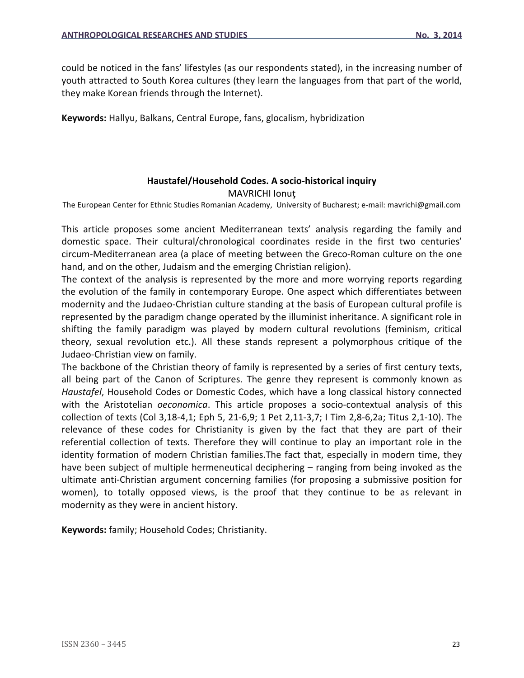could be noticed in the fans' lifestyles (as our respondents stated), in the increasing number of youth attracted to South Korea cultures (they learn the languages from that part of the world, they make Korean friends through the Internet).

**Keywords:** Hallyu, Balkans, Central Europe, fans, glocalism, hybridization

# **Haustafel/Household Codes. A socio-historical inquiry**

#### MAVRICHI Ionuţ

The European Center for Ethnic Studies Romanian Academy, University of Bucharest; e-mail: mavrichi@gmail.com

This article proposes some ancient Mediterranean texts' analysis regarding the family and domestic space. Their cultural/chronological coordinates reside in the first two centuries' circum-Mediterranean area (a place of meeting between the Greco-Roman culture on the one hand, and on the other, Judaism and the emerging Christian religion).

The context of the analysis is represented by the more and more worrying reports regarding the evolution of the family in contemporary Europe. One aspect which differentiates between modernity and the Judaeo-Christian culture standing at the basis of European cultural profile is represented by the paradigm change operated by the illuminist inheritance. A significant role in shifting the family paradigm was played by modern cultural revolutions (feminism, critical theory, sexual revolution etc.). All these stands represent a polymorphous critique of the Judaeo-Christian view on family.

The backbone of the Christian theory of family is represented by a series of first century texts, all being part of the Canon of Scriptures. The genre they represent is commonly known as *Haustafel*, Household Codes or Domestic Codes, which have a long classical history connected with the Aristotelian *oeconomica*. This article proposes a socio-contextual analysis of this collection of texts (Col 3,18-4,1; Eph 5, 21-6,9; 1 Pet 2,11-3,7; I Tim 2,8-6,2a; Titus 2,1-10). The relevance of these codes for Christianity is given by the fact that they are part of their referential collection of texts. Therefore they will continue to play an important role in the identity formation of modern Christian families.The fact that, especially in modern time, they have been subject of multiple hermeneutical deciphering – ranging from being invoked as the ultimate anti-Christian argument concerning families (for proposing a submissive position for women), to totally opposed views, is the proof that they continue to be as relevant in modernity as they were in ancient history.

**Keywords:** family; Household Codes; Christianity.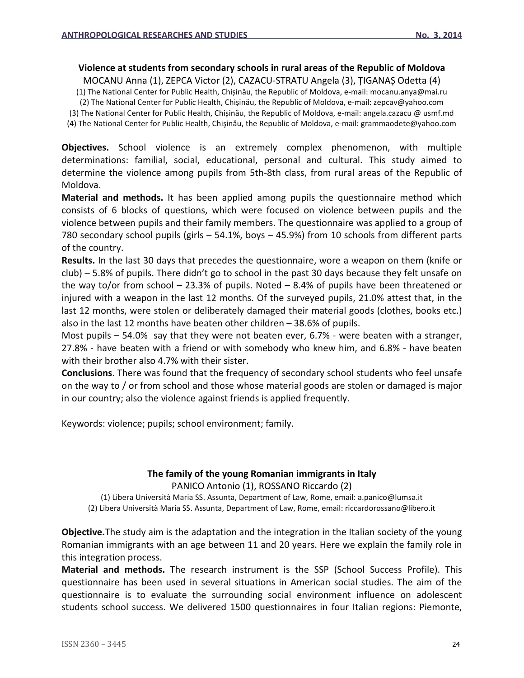#### **Violence at students from secondary schools in rural areas of the Republic of Moldova**

MOCANU Anna (1), ZEPCA Victor (2), CAZACU-STRATU Angela (3), ȚIGANAȘ Odetta (4)

(1) The National Center for Public Health, Chișinău, the Republic of Moldova, e-mail: mocanu.anya@mai.ru

(2) The National Center for Public Health, Chișinău, the Republic of Moldova, e-mail: zepcav@yahoo.com (3) The National Center for Public Health, Chișinău, the Republic of Moldova, e-mail: angela.cazacu @ usmf.md

(4) The National Center for Public Health, Chişinău, the Republic of Moldova, e-mail: grammaodete@yahoo.com

**Objectives.** School violence is an extremely complex phenomenon, with multiple determinations: familial, social, educational, personal and cultural. This study aimed to determine the violence among pupils from 5th-8th class, from rural areas of the Republic of Moldova.

**Material and methods.** It has been applied among pupils the questionnaire method which consists of 6 blocks of questions, which were focused on violence between pupils and the violence between pupils and their family members. The questionnaire was applied to a group of 780 secondary school pupils (girls – 54.1%, boys – 45.9%) from 10 schools from different parts of the country.

**Results.** In the last 30 days that precedes the questionnaire, wore a weapon on them (knife or club) – 5.8% of pupils. There didn't go to school in the past 30 days because they felt unsafe on the way to/or from school – 23.3% of pupils. Noted – 8.4% of pupils have been threatened or injured with a weapon in the last 12 months. Of the surveyed pupils, 21.0% attest that, in the last 12 months, were stolen or deliberately damaged their material goods (clothes, books etc.) also in the last 12 months have beaten other children – 38.6% of pupils.

Most pupils – 54.0% say that they were not beaten ever, 6.7% - were beaten with a stranger, 27.8% - have beaten with a friend or with somebody who knew him, and 6.8% - have beaten with their brother also 4.7% with their sister.

**Conclusions**. There was found that the frequency of secondary school students who feel unsafe on the way to / or from school and those whose material goods are stolen or damaged is major in our country; also the violence against friends is applied frequently.

Keywords: violence; pupils; school environment; family.

#### **The family of the young Romanian immigrants in Italy**  PANICO Antonio (1), ROSSANO Riccardo (2)

(1) Libera Università Maria SS. Assunta, Department of Law, Rome, email: a.panico@lumsa.it (2) Libera Università Maria SS. Assunta, Department of Law, Rome, email: riccardorossano@libero.it

**Objective.**The study aim is the adaptation and the integration in the Italian society of the young Romanian immigrants with an age between 11 and 20 years. Here we explain the family role in this integration process.

**Material and methods.** The research instrument is the SSP (School Success Profile). This questionnaire has been used in several situations in American social studies. The aim of the questionnaire is to evaluate the surrounding social environment influence on adolescent students school success. We delivered 1500 questionnaires in four Italian regions: Piemonte,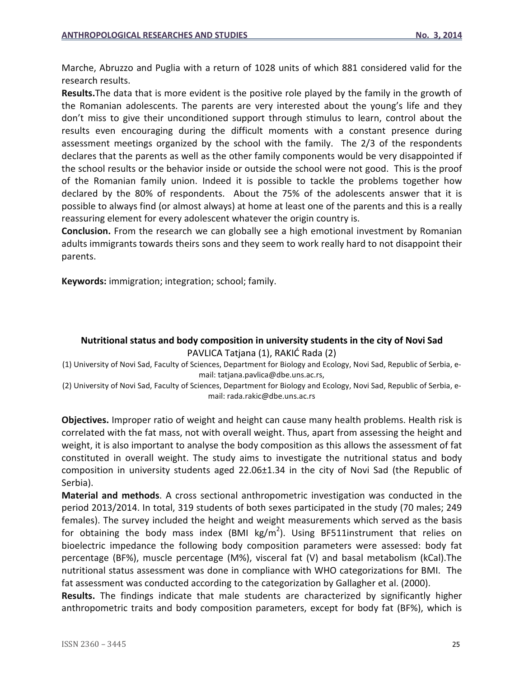Marche, Abruzzo and Puglia with a return of 1028 units of which 881 considered valid for the research results.

**Results.**The data that is more evident is the positive role played by the family in the growth of the Romanian adolescents. The parents are very interested about the young's life and they don't miss to give their unconditioned support through stimulus to learn, control about the results even encouraging during the difficult moments with a constant presence during assessment meetings organized by the school with the family. The 2/3 of the respondents declares that the parents as well as the other family components would be very disappointed if the school results or the behavior inside or outside the school were not good. This is the proof of the Romanian family union. Indeed it is possible to tackle the problems together how declared by the 80% of respondents. About the 75% of the adolescents answer that it is possible to always find (or almost always) at home at least one of the parents and this is a really reassuring element for every adolescent whatever the origin country is.

**Conclusion.** From the research we can globally see a high emotional investment by Romanian adults immigrants towards theirs sons and they seem to work really hard to not disappoint their parents.

**Keywords:** immigration; integration; school; family.

#### **Nutritional status and body composition in university students in the city of Novi Sad**  PAVLICA Tatjana (1), RAKIĆ Rada (2)

(1) University of Novi Sad, Faculty of Sciences, Department for Biology and Ecology, Novi Sad, Republic of Serbia, email: tatjana.pavlica@dbe.uns.ac.rs,

(2) University of Novi Sad, Faculty of Sciences, Department for Biology and Ecology, Novi Sad, Republic of Serbia, email: rada.rakic@dbe.uns.ac.rs

**Objectives.** Improper ratio of weight and height can cause many health problems. Health risk is correlated with the fat mass, not with overall weight. Thus, apart from assessing the height and weight, it is also important to analyse the body composition as this allows the assessment of fat constituted in overall weight. The study aims to investigate the nutritional status and body composition in university students aged 22.06±1.34 in the city of Novi Sad (the Republic of Serbia).

**Material and methods**. A cross sectional anthropometric investigation was conducted in the period 2013/2014. In total, 319 students of both sexes participated in the study (70 males; 249 females). The survey included the height and weight measurements which served as the basis for obtaining the body mass index (BMI kg/m<sup>2</sup>). Using BF511instrument that relies on bioelectric impedance the following body composition parameters were assessed: body fat percentage (BF%), muscle percentage (M%), visceral fat (V) and basal metabolism (kCal).The nutritional status assessment was done in compliance with WHO categorizations for BMI. The fat assessment was conducted according to the categorization by Gallagher et al. (2000).

**Results.** The findings indicate that male students are characterized by significantly higher anthropometric traits and body composition parameters, except for body fat (BF%), which is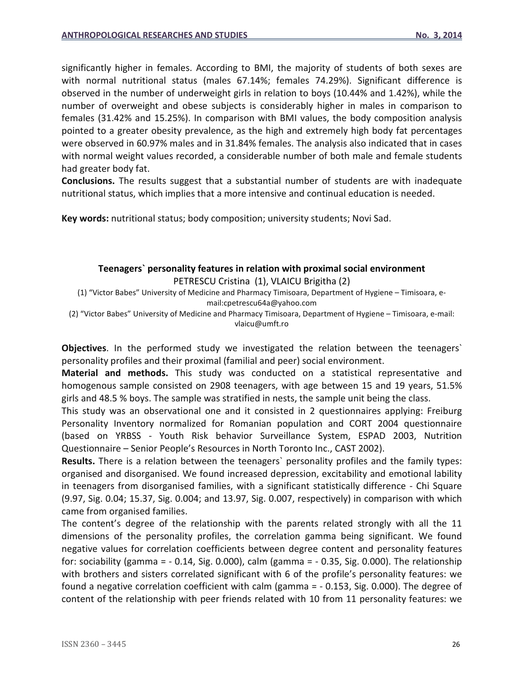significantly higher in females. According to BMI, the majority of students of both sexes are with normal nutritional status (males 67.14%; females 74.29%). Significant difference is observed in the number of underweight girls in relation to boys (10.44% and 1.42%), while the number of overweight and obese subjects is considerably higher in males in comparison to females (31.42% and 15.25%). In comparison with BMI values, the body composition analysis pointed to a greater obesity prevalence, as the high and extremely high body fat percentages were observed in 60.97% males and in 31.84% females. The analysis also indicated that in cases with normal weight values recorded, a considerable number of both male and female students had greater body fat.

**Conclusions.** The results suggest that a substantial number of students are with inadequate nutritional status, which implies that a more intensive and continual education is needed.

**Key words:** nutritional status; body composition; university students; Novi Sad.

# **Teenagers` personality features in relation with proximal social environment**

PETRESCU Cristina (1), VLAICU Brigitha (2)

(1) "Victor Babes" University of Medicine and Pharmacy Timisoara, Department of Hygiene – Timisoara, email:cpetrescu64a@yahoo.com

(2) "Victor Babes" University of Medicine and Pharmacy Timisoara, Department of Hygiene – Timisoara, e-mail: vlaicu@umft.ro

**Objectives**. In the performed study we investigated the relation between the teenagers` personality profiles and their proximal (familial and peer) social environment.

**Material and methods.** This study was conducted on a statistical representative and homogenous sample consisted on 2908 teenagers, with age between 15 and 19 years, 51.5% girls and 48.5 % boys. The sample was stratified in nests, the sample unit being the class.

This study was an observational one and it consisted in 2 questionnaires applying: Freiburg Personality Inventory normalized for Romanian population and CORT 2004 questionnaire (based on YRBSS - Youth Risk behavior Surveillance System, ESPAD 2003, Nutrition Questionnaire – Senior People's Resources in North Toronto Inc., CAST 2002).

**Results.** There is a relation between the teenagers` personality profiles and the family types: organised and disorganised. We found increased depression, excitability and emotional lability in teenagers from disorganised families, with a significant statistically difference - Chi Square (9.97, Sig. 0.04; 15.37, Sig. 0.004; and 13.97, Sig. 0.007, respectively) in comparison with which came from organised families.

The content's degree of the relationship with the parents related strongly with all the 11 dimensions of the personality profiles, the correlation gamma being significant. We found negative values for correlation coefficients between degree content and personality features for: sociability (gamma =  $-0.14$ , Sig. 0.000), calm (gamma =  $-0.35$ , Sig. 0.000). The relationship with brothers and sisters correlated significant with 6 of the profile's personality features: we found a negative correlation coefficient with calm (gamma = - 0.153, Sig. 0.000). The degree of content of the relationship with peer friends related with 10 from 11 personality features: we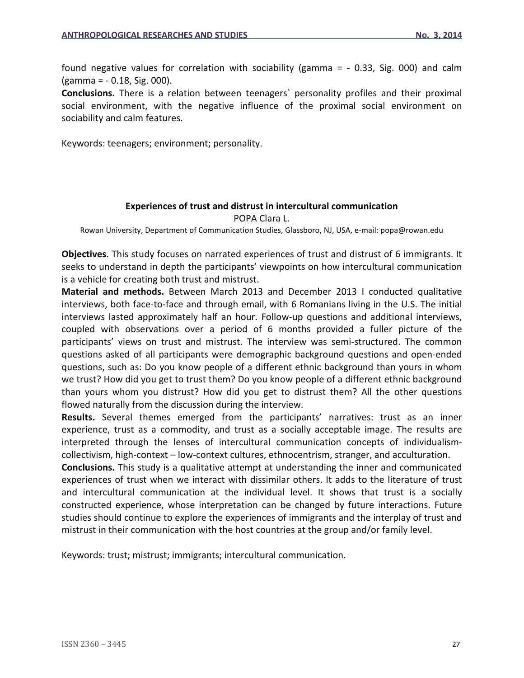found negative values for correlation with sociability (gamma = - 0.33, Sig. 000) and calm (gamma = - 0.18, Sig. 000).

**Conclusions.** There is a relation between teenagers` personality profiles and their proximal social environment, with the negative influence of the proximal social environment on sociability and calm features.

Keywords: teenagers; environment; personality.

#### **Experiences of trust and distrust in intercultural communication**

POPA Clara L.

Rowan University, Department of Communication Studies, Glassboro, NJ, USA, e-mail: popa@rowan.edu

**Objectives**. This study focuses on narrated experiences of trust and distrust of 6 immigrants. It seeks to understand in depth the participants' viewpoints on how intercultural communication is a vehicle for creating both trust and mistrust.

**Material and methods.** Between March 2013 and December 2013 I conducted qualitative interviews, both face-to-face and through email, with 6 Romanians living in the U.S. The initial interviews lasted approximately half an hour. Follow-up questions and additional interviews, coupled with observations over a period of 6 months provided a fuller picture of the participants' views on trust and mistrust. The interview was semi-structured. The common questions asked of all participants were demographic background questions and open-ended questions, such as: Do you know people of a different ethnic background than yours in whom we trust? How did you get to trust them? Do you know people of a different ethnic background than yours whom you distrust? How did you get to distrust them? All the other questions flowed naturally from the discussion during the interview.

**Results.** Several themes emerged from the participants' narratives: trust as an inner experience, trust as a commodity, and trust as a socially acceptable image. The results are interpreted through the lenses of intercultural communication concepts of individualismcollectivism, high-context – low-context cultures, ethnocentrism, stranger, and acculturation.

**Conclusions.** This study is a qualitative attempt at understanding the inner and communicated experiences of trust when we interact with dissimilar others. It adds to the literature of trust and intercultural communication at the individual level. It shows that trust is a socially constructed experience, whose interpretation can be changed by future interactions. Future studies should continue to explore the experiences of immigrants and the interplay of trust and mistrust in their communication with the host countries at the group and/or family level.

Keywords: trust; mistrust; immigrants; intercultural communication.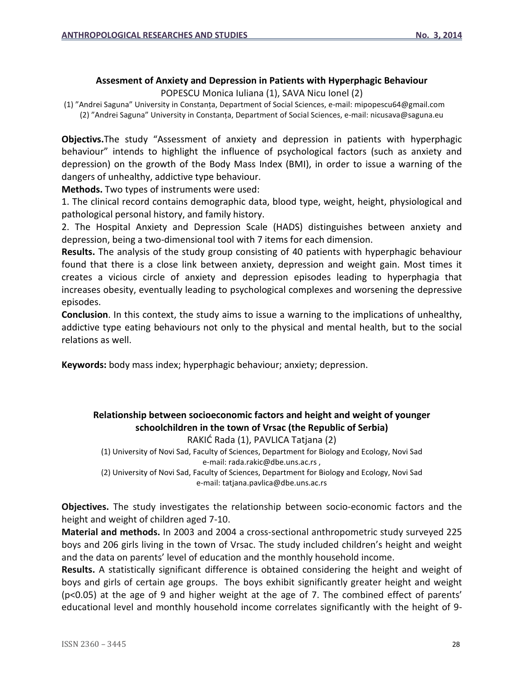## **Assesment of Anxiety and Depression in Patients with Hyperphagic Behaviour**

POPESCU Monica Iuliana (1), SAVA Nicu Ionel (2)

(1) "Andrei Saguna" University in Constanța, Department of Social Sciences, e-mail: mipopescu64@gmail.com (2) "Andrei Saguna" University in Constanța, Department of Social Sciences, e-mail: nicusava@saguna.eu

**Objectivs.**The study "Assessment of anxiety and depression in patients with hyperphagic behaviour" intends to highlight the influence of psychological factors (such as anxiety and depression) on the growth of the Body Mass Index (BMI), in order to issue a warning of the dangers of unhealthy, addictive type behaviour.

**Methods.** Two types of instruments were used:

1. The clinical record contains demographic data, blood type, weight, height, physiological and pathological personal history, and family history.

2. The Hospital Anxiety and Depression Scale (HADS) distinguishes between anxiety and depression, being a two-dimensional tool with 7 items for each dimension.

**Results.** The analysis of the study group consisting of 40 patients with hyperphagic behaviour found that there is a close link between anxiety, depression and weight gain. Most times it creates a vicious circle of anxiety and depression episodes leading to hyperphagia that increases obesity, eventually leading to psychological complexes and worsening the depressive episodes.

**Conclusion**. In this context, the study aims to issue a warning to the implications of unhealthy, addictive type eating behaviours not only to the physical and mental health, but to the social relations as well.

**Keywords:** body mass index; hyperphagic behaviour; anxiety; depression.

## **Relationship between socioeconomic factors and height and weight of younger schoolchildren in the town of Vrsac (the Republic of Serbia)**

RAKIĆ Rada (1), PAVLICA Tatjana (2) (1) University of Novi Sad, Faculty of Sciences, Department for Biology and Ecology, Novi Sad e-mail: rada.rakic@dbe.uns.ac.rs , (2) University of Novi Sad, Faculty of Sciences, Department for Biology and Ecology, Novi Sad e-mail: tatjana.pavlica@dbe.uns.ac.rs

**Objectives.** The study investigates the relationship between socio-economic factors and the height and weight of children aged 7-10.

**Material and methods.** In 2003 and 2004 a cross-sectional anthropometric study surveyed 225 boys and 206 girls living in the town of Vrsac. The study included children's height and weight and the data on parents' level of education and the monthly household income.

**Results.** A statistically significant difference is obtained considering the height and weight of boys and girls of certain age groups. The boys exhibit significantly greater height and weight (p<0.05) at the age of 9 and higher weight at the age of 7. The combined effect of parents' educational level and monthly household income correlates significantly with the height of 9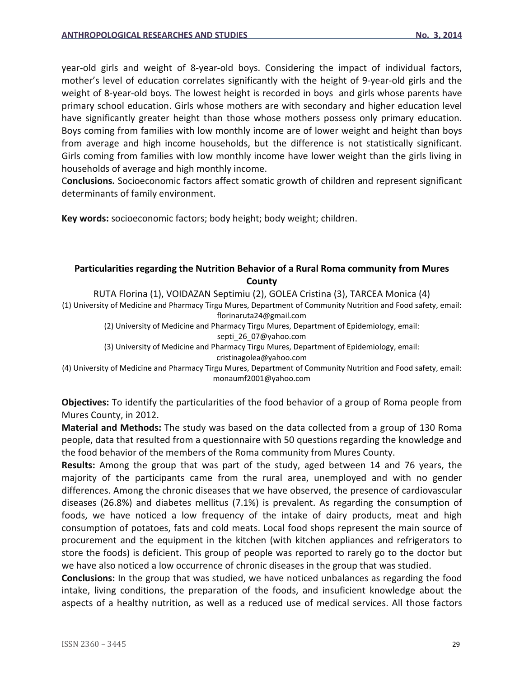year-old girls and weight of 8-year-old boys. Considering the impact of individual factors, mother's level of education correlates significantly with the height of 9-year-old girls and the weight of 8-year-old boys. The lowest height is recorded in boys and girls whose parents have primary school education. Girls whose mothers are with secondary and higher education level have significantly greater height than those whose mothers possess only primary education. Boys coming from families with low monthly income are of lower weight and height than boys from average and high income households, but the difference is not statistically significant. Girls coming from families with low monthly income have lower weight than the girls living in households of average and high monthly income.

C**onclusions.** Socioeconomic factors affect somatic growth of children and represent significant determinants of family environment.

**Key words:** socioeconomic factors; body height; body weight; children.

## **Particularities regarding the Nutrition Behavior of a Rural Roma community from Mures County**

RUTA Florina (1), VOIDAZAN Septimiu (2), GOLEA Cristina (3), TARCEA Monica (4) (1) University of Medicine and Pharmacy Tirgu Mures, Department of Community Nutrition and Food safety, email: florinaruta24@gmail.com (2) University of Medicine and Pharmacy Tirgu Mures, Department of Epidemiology, email: septi 26 07@yahoo.com (3) University of Medicine and Pharmacy Tirgu Mures, Department of Epidemiology, email:

cristinagolea@yahoo.com (4) University of Medicine and Pharmacy Tirgu Mures, Department of Community Nutrition and Food safety, email: monaumf2001@yahoo.com

**Objectives:** To identify the particularities of the food behavior of a group of Roma people from Mures County, in 2012.

**Material and Methods:** The study was based on the data collected from a group of 130 Roma people, data that resulted from a questionnaire with 50 questions regarding the knowledge and the food behavior of the members of the Roma community from Mures County.

**Results:** Among the group that was part of the study, aged between 14 and 76 years, the majority of the participants came from the rural area, unemployed and with no gender differences. Among the chronic diseases that we have observed, the presence of cardiovascular diseases (26.8%) and diabetes mellitus (7.1%) is prevalent. As regarding the consumption of foods, we have noticed a low frequency of the intake of dairy products, meat and high consumption of potatoes, fats and cold meats. Local food shops represent the main source of procurement and the equipment in the kitchen (with kitchen appliances and refrigerators to store the foods) is deficient. This group of people was reported to rarely go to the doctor but we have also noticed a low occurrence of chronic diseases in the group that was studied.

**Conclusions:** In the group that was studied, we have noticed unbalances as regarding the food intake, living conditions, the preparation of the foods, and insuficient knowledge about the aspects of a healthy nutrition, as well as a reduced use of medical services. All those factors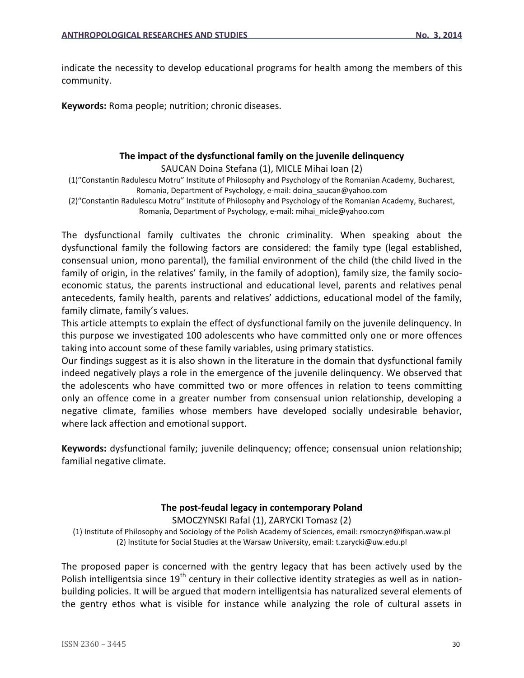indicate the necessity to develop educational programs for health among the members of this community.

**Keywords:** Roma people; nutrition; chronic diseases.

## **The impact of the dysfunctional family on the juvenile delinquency**

SAUCAN Doina Stefana (1), MICLE Mihai Ioan (2)

(1)"Constantin Radulescu Motru" Institute of Philosophy and Psychology of the Romanian Academy, Bucharest, Romania, Department of Psychology, e-mail: doina\_saucan@yahoo.com

(2)"Constantin Radulescu Motru" Institute of Philosophy and Psychology of the Romanian Academy, Bucharest, Romania, Department of Psychology, e-mail: mihai\_micle@yahoo.com

The dysfunctional family cultivates the chronic criminality. When speaking about the dysfunctional family the following factors are considered: the family type (legal established, consensual union, mono parental), the familial environment of the child (the child lived in the family of origin, in the relatives' family, in the family of adoption), family size, the family socioeconomic status, the parents instructional and educational level, parents and relatives penal antecedents, family health, parents and relatives' addictions, educational model of the family, family climate, family's values.

This article attempts to explain the effect of dysfunctional family on the juvenile delinquency. In this purpose we investigated 100 adolescents who have committed only one or more offences taking into account some of these family variables, using primary statistics.

Our findings suggest as it is also shown in the literature in the domain that dysfunctional family indeed negatively plays a role in the emergence of the juvenile delinquency. We observed that the adolescents who have committed two or more offences in relation to teens committing only an offence come in a greater number from consensual union relationship, developing a negative climate, families whose members have developed socially undesirable behavior, where lack affection and emotional support.

**Keywords:** dysfunctional family; juvenile delinquency; offence; consensual union relationship; familial negative climate.

## **The post-feudal legacy in contemporary Poland**

SMOCZYNSKI Rafal (1), ZARYCKI Tomasz (2)

(1) Institute of Philosophy and Sociology of the Polish Academy of Sciences, email: rsmoczyn@ifispan.waw.pl (2) Institute for Social Studies at the Warsaw University, email: t.zarycki@uw.edu.pl

The proposed paper is concerned with the gentry legacy that has been actively used by the Polish intelligentsia since 19<sup>th</sup> century in their collective identity strategies as well as in nationbuilding policies. It will be argued that modern intelligentsia has naturalized several elements of the gentry ethos what is visible for instance while analyzing the role of cultural assets in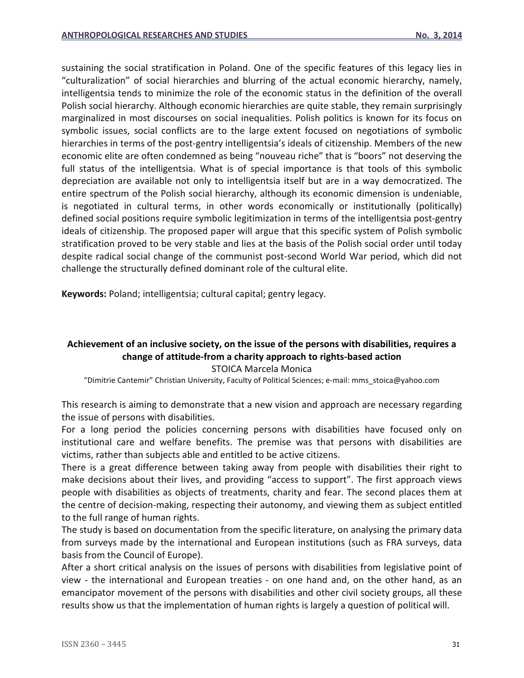sustaining the social stratification in Poland. One of the specific features of this legacy lies in "culturalization" of social hierarchies and blurring of the actual economic hierarchy, namely, intelligentsia tends to minimize the role of the economic status in the definition of the overall Polish social hierarchy. Although economic hierarchies are quite stable, they remain surprisingly marginalized in most discourses on social inequalities. Polish politics is known for its focus on symbolic issues, social conflicts are to the large extent focused on negotiations of symbolic hierarchies in terms of the post-gentry intelligentsia's ideals of citizenship. Members of the new economic elite are often condemned as being "nouveau riche" that is "boors" not deserving the full status of the intelligentsia. What is of special importance is that tools of this symbolic depreciation are available not only to intelligentsia itself but are in a way democratized. The entire spectrum of the Polish social hierarchy, although its economic dimension is undeniable, is negotiated in cultural terms, in other words economically or institutionally (politically) defined social positions require symbolic legitimization in terms of the intelligentsia post-gentry ideals of citizenship. The proposed paper will argue that this specific system of Polish symbolic stratification proved to be very stable and lies at the basis of the Polish social order until today despite radical social change of the communist post-second World War period, which did not challenge the structurally defined dominant role of the cultural elite.

**Keywords:** Poland; intelligentsia; cultural capital; gentry legacy.

# **Achievement of an inclusive society, on the issue of the persons with disabilities, requires a change of attitude-from a charity approach to rights-based action**

#### STOICA Marcela Monica

"Dimitrie Cantemir" Christian University, Faculty of Political Sciences; e-mail: mms\_stoica@yahoo.com

This research is aiming to demonstrate that a new vision and approach are necessary regarding the issue of persons with disabilities.

For a long period the policies concerning persons with disabilities have focused only on institutional care and welfare benefits. The premise was that persons with disabilities are victims, rather than subjects able and entitled to be active citizens.

There is a great difference between taking away from people with disabilities their right to make decisions about their lives, and providing "access to support". The first approach views people with disabilities as objects of treatments, charity and fear. The second places them at the centre of decision-making, respecting their autonomy, and viewing them as subject entitled to the full range of human rights.

The study is based on documentation from the specific literature, on analysing the primary data from surveys made by the international and European institutions (such as FRA surveys, data basis from the Council of Europe).

After a short critical analysis on the issues of persons with disabilities from legislative point of view - the international and European treaties - on one hand and, on the other hand, as an emancipator movement of the persons with disabilities and other civil society groups, all these results show us that the implementation of human rights is largely a question of political will.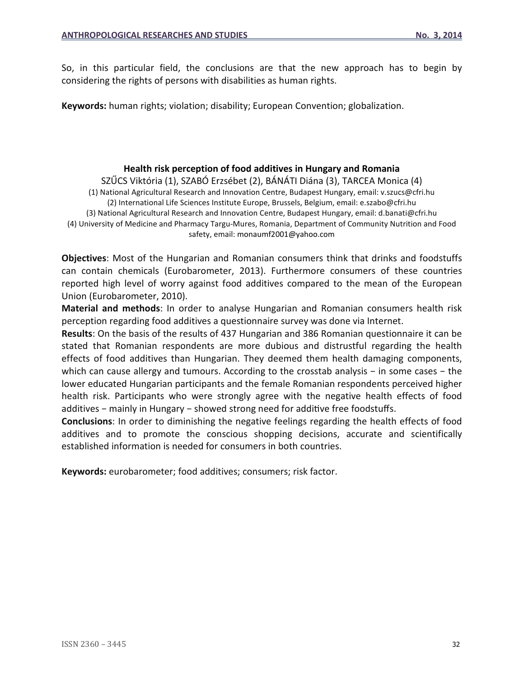So, in this particular field, the conclusions are that the new approach has to begin by considering the rights of persons with disabilities as human rights.

**Keywords:** human rights; violation; disability; European Convention; globalization.

## **Health risk perception of food additives in Hungary and Romania**

SZŰCS Viktória (1), SZABÓ Erzsébet (2), BÁNÁTI Diána (3), TARCEA Monica (4) (1) National Agricultural Research and Innovation Centre, Budapest Hungary, email: v.szucs@cfri.hu (2) International Life Sciences Institute Europe, Brussels, Belgium, email: e.szabo@cfri.hu (3) National Agricultural Research and Innovation Centre, Budapest Hungary, email: d.banati@cfri.hu (4) University of Medicine and Pharmacy Targu-Mures, Romania, Department of Community Nutrition and Food safety, email: monaumf2001@yahoo.com

**Objectives**: Most of the Hungarian and Romanian consumers think that drinks and foodstuffs can contain chemicals (Eurobarometer, 2013). Furthermore consumers of these countries reported high level of worry against food additives compared to the mean of the European Union (Eurobarometer, 2010).

**Material and methods**: In order to analyse Hungarian and Romanian consumers health risk perception regarding food additives a questionnaire survey was done via Internet.

**Results**: On the basis of the results of 437 Hungarian and 386 Romanian questionnaire it can be stated that Romanian respondents are more dubious and distrustful regarding the health effects of food additives than Hungarian. They deemed them health damaging components, which can cause allergy and tumours. According to the crosstab analysis − in some cases − the lower educated Hungarian participants and the female Romanian respondents perceived higher health risk. Participants who were strongly agree with the negative health effects of food additives − mainly in Hungary − showed strong need for additive free foodstuffs.

**Conclusions**: In order to diminishing the negative feelings regarding the health effects of food additives and to promote the conscious shopping decisions, accurate and scientifically established information is needed for consumers in both countries.

**Keywords:** eurobarometer; food additives; consumers; risk factor.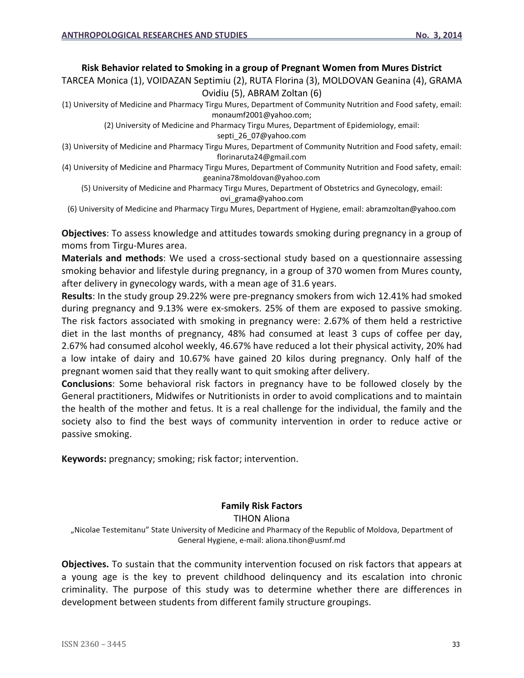## **Risk Behavior related to Smoking in a group of Pregnant Women from Mures District**

TARCEA Monica (1), VOIDAZAN Septimiu (2), RUTA Florina (3), MOLDOVAN Geanina (4), GRAMA Ovidiu (5), ABRAM Zoltan (6)

(1) University of Medicine and Pharmacy Tirgu Mures, Department of Community Nutrition and Food safety, email: monaumf2001@yahoo.com;

(2) University of Medicine and Pharmacy Tirgu Mures, Department of Epidemiology, email:

septi\_26\_07@yahoo.com

(3) University of Medicine and Pharmacy Tirgu Mures, Department of Community Nutrition and Food safety, email: florinaruta24@gmail.com

(4) University of Medicine and Pharmacy Tirgu Mures, Department of Community Nutrition and Food safety, email: geanina78moldovan@yahoo.com

(5) University of Medicine and Pharmacy Tirgu Mures, Department of Obstetrics and Gynecology, email:

ovi\_grama@yahoo.com

(6) University of Medicine and Pharmacy Tirgu Mures, Department of Hygiene, email: abramzoltan@yahoo.com

**Objectives**: To assess knowledge and attitudes towards smoking during pregnancy in a group of moms from Tirgu-Mures area.

**Materials and methods**: We used a cross-sectional study based on a questionnaire assessing smoking behavior and lifestyle during pregnancy, in a group of 370 women from Mures county, after delivery in gynecology wards, with a mean age of 31.6 years.

**Results**: In the study group 29.22% were pre-pregnancy smokers from wich 12.41% had smoked during pregnancy and 9.13% were ex-smokers. 25% of them are exposed to passive smoking. The risk factors associated with smoking in pregnancy were: 2.67% of them held a restrictive diet in the last months of pregnancy, 48% had consumed at least 3 cups of coffee per day, 2.67% had consumed alcohol weekly, 46.67% have reduced a lot their physical activity, 20% had a low intake of dairy and 10.67% have gained 20 kilos during pregnancy. Only half of the pregnant women said that they really want to quit smoking after delivery.

**Conclusions**: Some behavioral risk factors in pregnancy have to be followed closely by the General practitioners, Midwifes or Nutritionists in order to avoid complications and to maintain the health of the mother and fetus. It is a real challenge for the individual, the family and the society also to find the best ways of community intervention in order to reduce active or passive smoking.

**Keywords:** pregnancy; smoking; risk factor; intervention.

## **Family Risk Factors**

TIHON Aliona

"Nicolae Testemitanu" State University of Medicine and Pharmacy of the Republic of Moldova, Department of General Hygiene, e-mail: aliona.tihon@usmf.md

**Objectives.** To sustain that the community intervention focused on risk factors that appears at a young age is the key to prevent childhood delinquency and its escalation into chronic criminality. The purpose of this study was to determine whether there are differences in development between students from different family structure groupings.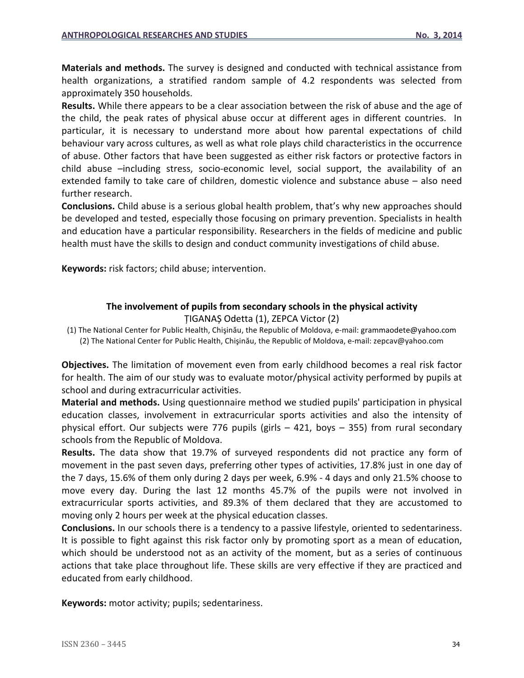**Materials and methods.** The survey is designed and conducted with technical assistance from health organizations, a stratified random sample of 4.2 respondents was selected from approximately 350 households.

**Results.** While there appears to be a clear association between the risk of abuse and the age of the child, the peak rates of physical abuse occur at different ages in different countries. In particular, it is necessary to understand more about how parental expectations of child behaviour vary across cultures, as well as what role plays child characteristics in the occurrence of abuse. Other factors that have been suggested as either risk factors or protective factors in child abuse –including stress, socio-economic level, social support, the availability of an extended family to take care of children, domestic violence and substance abuse – also need further research.

**Conclusions.** Child abuse is a serious global health problem, that's why new approaches should be developed and tested, especially those focusing on primary prevention. Specialists in health and education have a particular responsibility. Researchers in the fields of medicine and public health must have the skills to design and conduct community investigations of child abuse.

**Keywords:** risk factors; child abuse; intervention.

## **The involvement of pupils from secondary schools in the physical activity**  ȚIGANAȘ Odetta (1), ZEPCA Victor (2)

(1) The National Center for Public Health, Chişinău, the Republic of Moldova, e-mail: grammaodete@yahoo.com (2) The National Center for Public Health, Chişinău, the Republic of Moldova, e-mail: zepcav@yahoo.com

**Objectives.** The limitation of movement even from early childhood becomes a real risk factor for health. The aim of our study was to evaluate motor/physical activity performed by pupils at school and during extracurricular activities.

**Material and methods.** Using questionnaire method we studied pupils' participation in physical education classes, involvement in extracurricular sports activities and also the intensity of physical effort. Our subjects were 776 pupils (girls – 421, boys – 355) from rural secondary schools from the Republic of Moldova.

**Results.** The data show that 19.7% of surveyed respondents did not practice any form of movement in the past seven days, preferring other types of activities, 17.8% just in one day of the 7 days, 15.6% of them only during 2 days per week, 6.9% - 4 days and only 21.5% choose to move every day. During the last 12 months 45.7% of the pupils were not involved in extracurricular sports activities, and 89.3% of them declared that they are accustomed to moving only 2 hours per week at the physical education classes.

**Conclusions.** In our schools there is a tendency to a passive lifestyle, oriented to sedentariness. It is possible to fight against this risk factor only by promoting sport as a mean of education, which should be understood not as an activity of the moment, but as a series of continuous actions that take place throughout life. These skills are very effective if they are practiced and educated from early childhood.

**Keywords:** motor activity; pupils; sedentariness.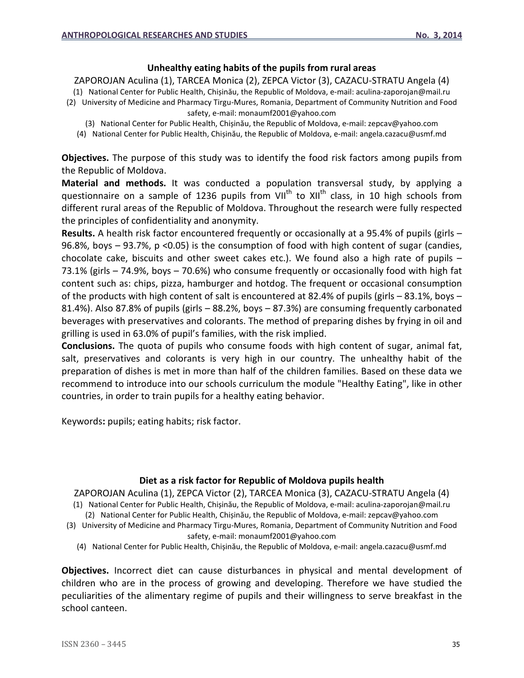#### **Unhealthy eating habits of the pupils from rural areas**

ZAPOROJAN Aculina (1), TARCEA Monica (2), ZEPCA Victor (3), CAZACU-STRATU Angela (4)

- (1) National Center for Public Health, Chișinău, the Republic of Moldova, e-mail: aculina-zaporojan@mail.ru (2) University of Medicine and Pharmacy Tirgu-Mures, Romania, Department of Community Nutrition and Food safety, e-mail: monaumf2001@yahoo.com
	- (3) National Center for Public Health, Chișinău, the Republic of Moldova, e-mail: zepcav@yahoo.com
	- (4) National Center for Public Health, Chișinău, the Republic of Moldova, e-mail: angela.cazacu@usmf.md

**Objectives.** The purpose of this study was to identify the food risk factors among pupils from the Republic of Moldova.

**Material and methods.** It was conducted a population transversal study, by applying a questionnaire on a sample of 1236 pupils from VII<sup>th</sup> to XII<sup>th</sup> class, in 10 high schools from different rural areas of the Republic of Moldova. Throughout the research were fully respected the principles of confidentiality and anonymity.

**Results.** A health risk factor encountered frequently or occasionally at a 95.4% of pupils (girls – 96.8%, boys – 93.7%, p <0.05) is the consumption of food with high content of sugar (candies, chocolate cake, biscuits and other sweet cakes etc.). We found also a high rate of pupils – 73.1% (girls – 74.9%, boys – 70.6%) who consume frequently or occasionally food with high fat content such as: chips, pizza, hamburger and hotdog. The frequent or occasional consumption of the products with high content of salt is encountered at 82.4% of pupils (girls – 83.1%, boys – 81.4%). Also 87.8% of pupils (girls – 88.2%, boys – 87.3%) are consuming frequently carbonated beverages with preservatives and colorants. The method of preparing dishes by frying in oil and grilling is used in 63.0% of pupil's families, with the risk implied.

**Conclusions.** The quota of pupils who consume foods with high content of sugar, animal fat, salt, preservatives and colorants is very high in our country. The unhealthy habit of the preparation of dishes is met in more than half of the children families. Based on these data we recommend to introduce into our schools curriculum the module "Healthy Eating", like in other countries, in order to train pupils for a healthy eating behavior.

Keywords**:** pupils; eating habits; risk factor.

## **Diet as a risk factor for Republic of Moldova pupils health**

ZAPOROJAN Aculina (1), ZEPCA Victor (2), TARCEA Monica (3), CAZACU-STRATU Angela (4)

- (1) National Center for Public Health, Chișinău, the Republic of Moldova, e-mail: aculina-zaporojan@mail.ru
- (2) National Center for Public Health, Chișinău, the Republic of Moldova, e-mail: zepcav@yahoo.com (3) University of Medicine and Pharmacy Tirgu-Mures, Romania, Department of Community Nutrition and Food

safety, e-mail: monaumf2001@yahoo.com

(4) National Center for Public Health, Chișinău, the Republic of Moldova, e-mail: angela.cazacu@usmf.md

**Objectives.** Incorrect diet can cause disturbances in physical and mental development of children who are in the process of growing and developing. Therefore we have studied the peculiarities of the alimentary regime of pupils and their willingness to serve breakfast in the school canteen.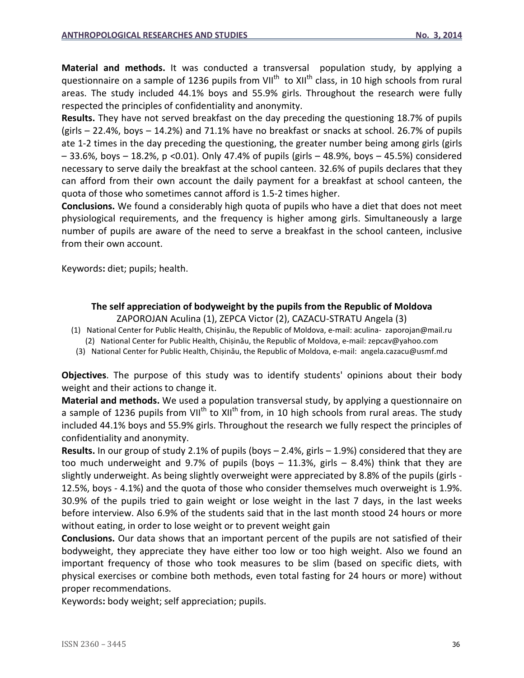**Material and methods.** It was conducted a transversal population study, by applying a questionnaire on a sample of 1236 pupils from VII<sup>th</sup> to XII<sup>th</sup> class, in 10 high schools from rural areas. The study included 44.1% boys and 55.9% girls. Throughout the research were fully respected the principles of confidentiality and anonymity.

**Results.** They have not served breakfast on the day preceding the questioning 18.7% of pupils (girls – 22.4%, boys – 14.2%) and 71.1% have no breakfast or snacks at school. 26.7% of pupils ate 1-2 times in the day preceding the questioning, the greater number being among girls (girls – 33.6%, boys – 18.2%, p <0.01). Only 47.4% of pupils (girls – 48.9%, boys – 45.5%) considered necessary to serve daily the breakfast at the school canteen. 32.6% of pupils declares that they can afford from their own account the daily payment for a breakfast at school canteen, the quota of those who sometimes cannot afford is 1.5-2 times higher.

**Conclusions.** We found a considerably high quota of pupils who have a diet that does not meet physiological requirements, and the frequency is higher among girls. Simultaneously a large number of pupils are aware of the need to serve a breakfast in the school canteen, inclusive from their own account.

Keywords**:** diet; pupils; health.

## **The self appreciation of bodyweight by the pupils from the Republic of Moldova**  ZAPOROJAN Aculina (1), ZEPCA Victor (2), CAZACU-STRATU Angela (3)

(1) National Center for Public Health, Chișinău, the Republic of Moldova, e-mail: aculina- zaporojan@mail.ru

- (2) National Center for Public Health, Chișinău, the Republic of Moldova, e-mail: zepcav@yahoo.com
- (3) National Center for Public Health, Chișinău, the Republic of Moldova, e-mail: angela.cazacu@usmf.md

**Objectives**. The purpose of this study was to identify students' opinions about their body weight and their actions to change it.

**Material and methods.** We used a population transversal study, by applying a questionnaire on a sample of 1236 pupils from VII<sup>th</sup> to XII<sup>th</sup> from, in 10 high schools from rural areas. The study included 44.1% boys and 55.9% girls. Throughout the research we fully respect the principles of confidentiality and anonymity.

**Results.** In our group of study 2.1% of pupils (boys – 2.4%, girls – 1.9%) considered that they are too much underweight and 9.7% of pupils (boys  $-$  11.3%, girls  $-$  8.4%) think that they are slightly underweight. As being slightly overweight were appreciated by 8.8% of the pupils (girls - 12.5%, boys - 4.1%) and the quota of those who consider themselves much overweight is 1.9%. 30.9% of the pupils tried to gain weight or lose weight in the last 7 days, in the last weeks before interview. Also 6.9% of the students said that in the last month stood 24 hours or more without eating, in order to lose weight or to prevent weight gain

**Conclusions.** Our data shows that an important percent of the pupils are not satisfied of their bodyweight, they appreciate they have either too low or too high weight. Also we found an important frequency of those who took measures to be slim (based on specific diets, with physical exercises or combine both methods, even total fasting for 24 hours or more) without proper recommendations.

Keywords**:** body weight; self appreciation; pupils.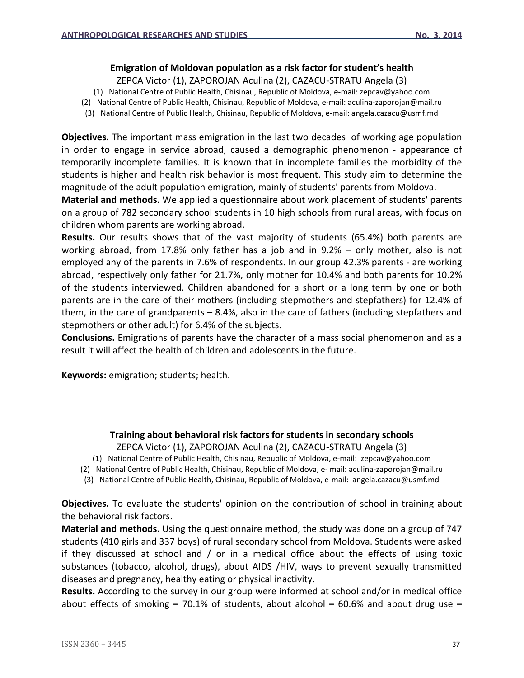#### **Emigration of Moldovan population as a risk factor for student's health**

ZEPCA Victor (1), ZAPOROJAN Aculina (2), CAZACU-STRATU Angela (3)

- (1) National Centre of Public Health, Chisinau, Republic of Moldova, e-mail: zepcav@yahoo.com
- (2) National Centre of Public Health, Chisinau, Republic of Moldova, e-mail: aculina-zaporojan@mail.ru
- (3) National Centre of Public Health, Chisinau, Republic of Moldova, e-mail: angela.cazacu@usmf.md

**Objectives.** The important mass emigration in the last two decades of working age population in order to engage in service abroad, caused a demographic phenomenon - appearance of temporarily incomplete families. It is known that in incomplete families the morbidity of the students is higher and health risk behavior is most frequent. This study aim to determine the magnitude of the adult population emigration, mainly of students' parents from Moldova.

**Material and methods.** We applied a questionnaire about work placement of students' parents on a group of 782 secondary school students in 10 high schools from rural areas, with focus on children whom parents are working abroad.

**Results.** Our results shows that of the vast majority of students (65.4%) both parents are working abroad, from 17.8% only father has a job and in 9.2% – only mother, also is not employed any of the parents in 7.6% of respondents. In our group 42.3% parents - are working abroad, respectively only father for 21.7%, only mother for 10.4% and both parents for 10.2% of the students interviewed. Children abandoned for a short or a long term by one or both parents are in the care of their mothers (including stepmothers and stepfathers) for 12.4% of them, in the care of grandparents – 8.4%, also in the care of fathers (including stepfathers and stepmothers or other adult) for 6.4% of the subjects.

**Conclusions.** Emigrations of parents have the character of a mass social phenomenon and as a result it will affect the health of children and adolescents in the future.

**Keywords:** emigration; students; health.

## **Training about behavioral risk factors for students in secondary schools**

ZEPCA Victor (1), ZAPOROJAN Aculina (2), CAZACU-STRATU Angela (3)

- (1) National Centre of Public Health, Chisinau, Republic of Moldova, e-mail: zepcav@yahoo.com
- (2) National Centre of Public Health, Chisinau, Republic of Moldova, e- mail: aculina-zaporojan@mail.ru
- (3) National Centre of Public Health, Chisinau, Republic of Moldova, e-mail: angela.cazacu@usmf.md

**Objectives.** To evaluate the students' opinion on the contribution of school in training about the behavioral risk factors.

**Material and methods.** Using the questionnaire method, the study was done on a group of 747 students (410 girls and 337 boys) of rural secondary school from Moldova. Students were asked if they discussed at school and / or in a medical office about the effects of using toxic substances (tobacco, alcohol, drugs), about AIDS /HIV, ways to prevent sexually transmitted diseases and pregnancy, healthy eating or physical inactivity.

**Results.** According to the survey in our group were informed at school and/or in medical office about effects of smoking **–** 70.1% of students, about alcohol **–** 60.6% and about drug use **–**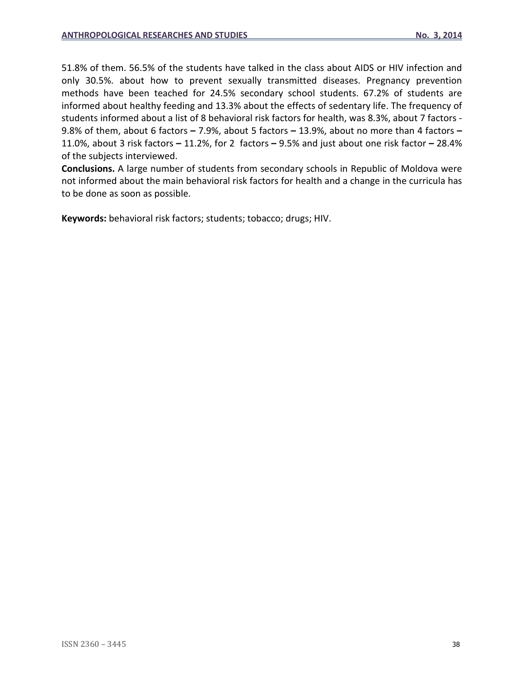51.8% of them. 56.5% of the students have talked in the class about AIDS or HIV infection and only 30.5%. about how to prevent sexually transmitted diseases. Pregnancy prevention methods have been teached for 24.5% secondary school students. 67.2% of students are informed about healthy feeding and 13.3% about the effects of sedentary life. The frequency of students informed about a list of 8 behavioral risk factors for health, was 8.3%, about 7 factors - 9.8% of them, about 6 factors **–** 7.9%, about 5 factors **–** 13.9%, about no more than 4 factors **–** 11.0%, about 3 risk factors **–** 11.2%, for 2 factors **–** 9.5% and just about one risk factor **–** 28.4% of the subjects interviewed.

**Conclusions.** A large number of students from secondary schools in Republic of Moldova were not informed about the main behavioral risk factors for health and a change in the curricula has to be done as soon as possible.

**Keywords:** behavioral risk factors; students; tobacco; drugs; HIV.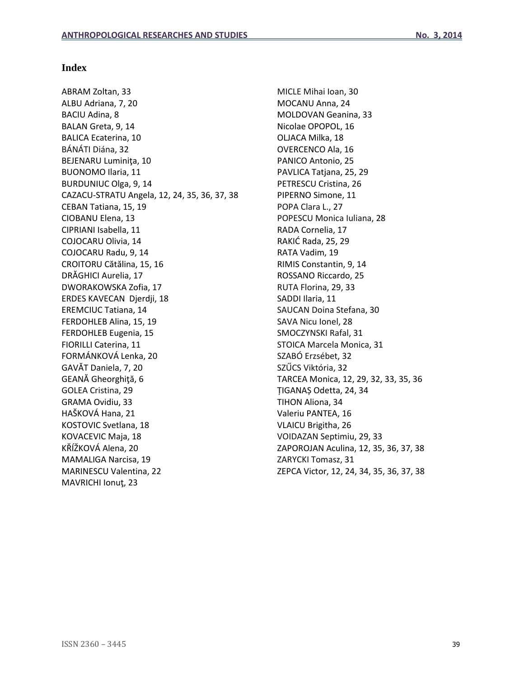#### **Index**

ABRAM Zoltan, 33 ALBU Adriana, 7, 20 BACIU Adina, 8 BALAN Greta, 9, 14 BALICA Ecaterina, 10 BÁNÁTI Diána, 32 BEJENARU Luminiţa, 10 BUONOMO Ilaria, 11 BURDUNIUC Olga, 9, 14 CAZACU-STRATU Angela, 12, 24, 35, 36, 37, 38 CEBAN Tatiana, 15, 19 CIOBANU Elena, 13 CIPRIANI Isabella, 11 COJOCARU Olivia, 14 COJOCARU Radu, 9, 14 CROITORU Cătălina, 15, 16 DRĂGHICI Aurelia, 17 DWORAKOWSKA Zofia, 17 ERDES KAVECAN Djerdji, 18 EREMCIUC Tatiana, 14 FERDOHLEB Alina, 15, 19 FERDOHLEB Eugenia, 15 FIORILLI Caterina, 11 FORMÁNKOVÁ Lenka, 20 GAVĂT Daniela, 7, 20 GEANĂ Gheorghiţă, 6 GOLEA Cristina, 29 GRAMA Ovidiu, 33 HAŠKOVÁ Hana, 21 KOSTOVIC Svetlana, 18 KOVACEVIC Maja, 18 KŘÍŽKOVÁ Alena, 20 MAMALIGA Narcisa, 19 MARINESCU Valentina, 22 MAVRICHI Ionuţ, 23

MICLE Mihai Ioan, 30 MOCANU Anna, 24 MOLDOVAN Geanina, 33 Nicolae OPOPOL, 16 OLJACA Milka, 18 OVERCENCO Ala, 16 PANICO Antonio, 25 PAVLICA Tatjana, 25, 29 PETRESCU Cristina, 26 PIPERNO Simone, 11 POPA Clara L., 27 POPESCU Monica Iuliana, 28 RADA Cornelia, 17 RAKIĆ Rada, 25, 29 RATA Vadim, 19 RIMIS Constantin, 9, 14 ROSSANO Riccardo, 25 RUTA Florina, 29, 33 SADDI Ilaria, 11 SAUCAN Doina Stefana, 30 SAVA Nicu Ionel, 28 SMOCZYNSKI Rafal, 31 STOICA Marcela Monica, 31 SZABÓ Erzsébet, 32 SZŰCS Viktória, 32 TARCEA Monica, 12, 29, 32, 33, 35, 36 ȚIGANAȘ Odetta, 24, 34 TIHON Aliona, 34 Valeriu PANTEA, 16 VLAICU Brigitha, 26 VOIDAZAN Septimiu, 29, 33 ZAPOROJAN Aculina, 12, 35, 36, 37, 38 ZARYCKI Tomasz, 31 ZEPCA Victor, 12, 24, 34, 35, 36, 37, 38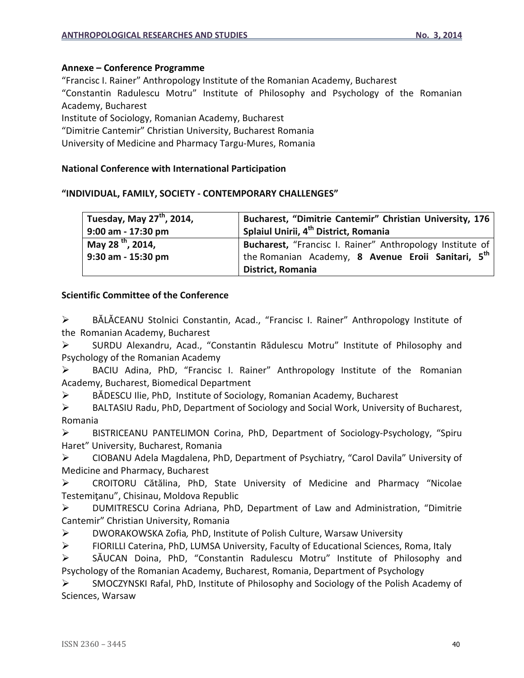## **Annexe – Conference Programme**

"Francisc I. Rainer" Anthropology Institute of the Romanian Academy, Bucharest "Constantin Radulescu Motru" Institute of Philosophy and Psychology of the Romanian Academy, Bucharest Institute of Sociology, Romanian Academy, Bucharest "Dimitrie Cantemir" Christian University, Bucharest Romania

University of Medicine and Pharmacy Targu-Mures, Romania

#### **National Conference with International Participation**

#### **"INDIVIDUAL, FAMILY, SOCIETY - CONTEMPORARY CHALLENGES"**

| Tuesday, May 27 <sup>th</sup> , 2014, | Bucharest, "Dimitrie Cantemir" Christian University, 176         |
|---------------------------------------|------------------------------------------------------------------|
| 9:00 am - 17:30 pm                    | Splaiul Unirii, 4 <sup>th</sup> District, Romania                |
| May 28 <sup>th</sup> , 2014,          | <b>Bucharest, "Francisc I. Rainer" Anthropology Institute of</b> |
| 9:30 am - 15:30 pm                    | the Romanian Academy, 8 Avenue Eroii Sanitari, 5 <sup>th</sup>   |
|                                       | District, Romania                                                |

#### **Scientific Committee of the Conference**

 BĂLĂCEANU Stolnici Constantin, Acad., "Francisc I. Rainer" Anthropology Institute of the Romanian Academy, Bucharest

 SURDU Alexandru, Acad., "Constantin Rădulescu Motru" Institute of Philosophy and Psychology of the Romanian Academy

 BACIU Adina, PhD, "Francisc I. Rainer" Anthropology Institute of the Romanian Academy, Bucharest, Biomedical Department

BĂDESCU Ilie, PhD, Institute of Sociology, Romanian Academy, Bucharest

 BALTASIU Radu, PhD, Department of Sociology and Social Work, University of Bucharest, Romania

 BISTRICEANU PANTELIMON Corina, PhD, Department of Sociology-Psychology, "Spiru Haret" University, Bucharest, Romania

 CIOBANU Adela Magdalena, PhD, Department of Psychiatry, "Carol Davila" University of Medicine and Pharmacy, Bucharest

 CROITORU Cătălina, PhD, State University of Medicine and Pharmacy "Nicolae Testemitanu", Chisinau, Moldova Republic

 DUMITRESCU Corina Adriana, PhD, Department of Law and Administration, "Dimitrie Cantemir" Christian University, Romania

DWORAKOWSKA Zofia*,* PhD, Institute of Polish Culture, Warsaw University

FIORILLI Caterina, PhD, LUMSA University, Faculty of Educational Sciences, Roma, Italy

 SĂUCAN Doina, PhD, "Constantin Radulescu Motru" Institute of Philosophy and Psychology of the Romanian Academy, Bucharest, Romania, Department of Psychology

 SMOCZYNSKI Rafal, PhD, Institute of Philosophy and Sociology of the Polish Academy of Sciences, Warsaw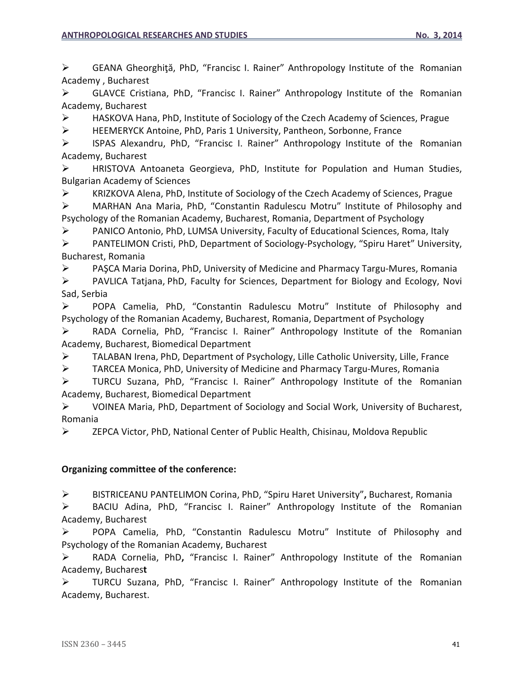$\triangleright$  GEANA Gheorghită, PhD, "Francisc I. Rainer" Anthropology Institute of the Romanian Academy , Bucharest

 GLAVCE Cristiana, PhD, "Francisc I. Rainer" Anthropology Institute of the Romanian Academy, Bucharest

HASKOVA Hana, PhD, Institute of Sociology of the Czech Academy of Sciences, Prague

HEEMERYCK Antoine, PhD, Paris 1 University, Pantheon, Sorbonne, France

 ISPAS Alexandru, PhD, "Francisc I. Rainer" Anthropology Institute of the Romanian Academy, Bucharest

 HRISTOVA Antoaneta Georgieva, PhD, Institute for Population and Human Studies, Bulgarian Academy of Sciences

 $\triangleright$  KRIZKOVA Alena, PhD, Institute of Sociology of the Czech Academy of Sciences, Prague

 MARHAN Ana Maria, PhD, "Constantin Radulescu Motru" Institute of Philosophy and Psychology of the Romanian Academy, Bucharest, Romania, Department of Psychology

PANICO Antonio, PhD, LUMSA University, Faculty of Educational Sciences, Roma, Italy

 PANTELIMON Cristi, PhD, Department of Sociology-Psychology, "Spiru Haret" University, Bucharest, Romania

 $\triangleright$  PASCA Maria Dorina, PhD, University of Medicine and Pharmacy Targu-Mures, Romania

 PAVLICA Tatjana, PhD, Faculty for Sciences, Department for Biology and Ecology, Novi Sad, Serbia

 POPA Camelia, PhD, "Constantin Radulescu Motru" Institute of Philosophy and Psychology of the Romanian Academy, Bucharest, Romania, Department of Psychology

 RADA Cornelia, PhD, "Francisc I. Rainer" Anthropology Institute of the Romanian Academy, Bucharest, Biomedical Department

TALABAN Irena, PhD, Department of Psychology, Lille Catholic University, Lille, France

TARCEA Monica, PhD, University of Medicine and Pharmacy Targu-Mures, Romania

 TURCU Suzana, PhD, "Francisc I. Rainer" Anthropology Institute of the Romanian Academy, Bucharest, Biomedical Department

 VOINEA Maria, PhD, Department of Sociology and Social Work, University of Bucharest, Romania

 $\triangleright$  ZEPCA Victor, PhD, National Center of Public Health, Chisinau, Moldova Republic

## **Organizing committee of the conference:**

BISTRICEANU PANTELIMON Corina, PhD, "Spiru Haret University"**,** Bucharest, Romania

 BACIU Adina, PhD, "Francisc I. Rainer" Anthropology Institute of the Romanian Academy, Bucharest

 POPA Camelia, PhD, "Constantin Radulescu Motru" Institute of Philosophy and Psychology of the Romanian Academy, Bucharest

 RADA Cornelia, PhD**,** "Francisc I. Rainer" Anthropology Institute of the Romanian Academy, Buchares**t** 

 TURCU Suzana, PhD, "Francisc I. Rainer" Anthropology Institute of the Romanian Academy, Bucharest.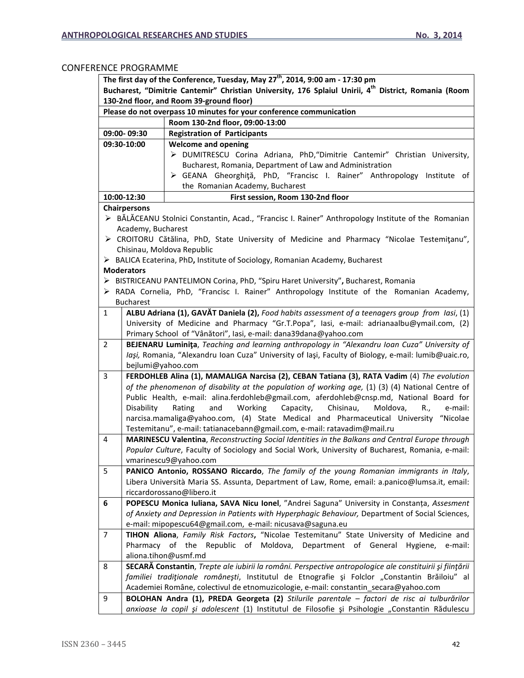# CONFERENCE PROGRAMME

|                                                                                                                  | The first day of the Conference, Tuesday, May $27^{th}$ , 2014, 9:00 am - 17:30 pm |                                                                                                          |  |  |  |  |  |
|------------------------------------------------------------------------------------------------------------------|------------------------------------------------------------------------------------|----------------------------------------------------------------------------------------------------------|--|--|--|--|--|
| Bucharest, "Dimitrie Cantemir" Christian University, 176 Splaiul Unirii, 4 <sup>th</sup> District, Romania (Room |                                                                                    |                                                                                                          |  |  |  |  |  |
| 130-2nd floor, and Room 39-ground floor)                                                                         |                                                                                    |                                                                                                          |  |  |  |  |  |
| Please do not overpass 10 minutes for your conference communication                                              |                                                                                    |                                                                                                          |  |  |  |  |  |
|                                                                                                                  | Room 130-2nd floor, 09:00-13:00                                                    |                                                                                                          |  |  |  |  |  |
|                                                                                                                  | 09:00-09:30                                                                        | <b>Registration of Participants</b>                                                                      |  |  |  |  |  |
|                                                                                                                  | 09:30-10:00                                                                        | <b>Welcome and opening</b>                                                                               |  |  |  |  |  |
|                                                                                                                  |                                                                                    | > DUMITRESCU Corina Adriana, PhD, "Dimitrie Cantemir" Christian University,                              |  |  |  |  |  |
|                                                                                                                  |                                                                                    | Bucharest, Romania, Department of Law and Administration                                                 |  |  |  |  |  |
|                                                                                                                  |                                                                                    | > GEANA Gheorghită, PhD, "Francisc I. Rainer" Anthropology Institute of                                  |  |  |  |  |  |
|                                                                                                                  |                                                                                    | the Romanian Academy, Bucharest                                                                          |  |  |  |  |  |
|                                                                                                                  | 10:00-12:30                                                                        | First session, Room 130-2nd floor                                                                        |  |  |  |  |  |
|                                                                                                                  | <b>Chairpersons</b>                                                                |                                                                                                          |  |  |  |  |  |
|                                                                                                                  |                                                                                    | > BĂLĂCEANU Stolnici Constantin, Acad., "Francisc I. Rainer" Anthropology Institute of the Romanian      |  |  |  |  |  |
|                                                                                                                  | Academy, Bucharest                                                                 |                                                                                                          |  |  |  |  |  |
|                                                                                                                  |                                                                                    | > CROITORU Cătălina, PhD, State University of Medicine and Pharmacy "Nicolae Testemițanu",               |  |  |  |  |  |
|                                                                                                                  |                                                                                    | Chisinau, Moldova Republic                                                                               |  |  |  |  |  |
|                                                                                                                  |                                                                                    | > BALICA Ecaterina, PhD, Institute of Sociology, Romanian Academy, Bucharest                             |  |  |  |  |  |
|                                                                                                                  | <b>Moderators</b>                                                                  |                                                                                                          |  |  |  |  |  |
|                                                                                                                  |                                                                                    | > BISTRICEANU PANTELIMON Corina, PhD, "Spiru Haret University", Bucharest, Romania                       |  |  |  |  |  |
|                                                                                                                  |                                                                                    | > RADA Cornelia, PhD, "Francisc I. Rainer" Anthropology Institute of the Romanian Academy,               |  |  |  |  |  |
|                                                                                                                  | <b>Bucharest</b>                                                                   |                                                                                                          |  |  |  |  |  |
| $\mathbf{1}$                                                                                                     |                                                                                    | ALBU Adriana (1), GAVAT Daniela (2), Food habits assessment of a teenagers group from lasi, (1)          |  |  |  |  |  |
|                                                                                                                  |                                                                                    | University of Medicine and Pharmacy "Gr.T.Popa", lasi, e-mail: adrianaalbu@ymail.com, (2)                |  |  |  |  |  |
|                                                                                                                  |                                                                                    | Primary School of "Vânători", Iasi, e-mail: dana39dana@yahoo.com                                         |  |  |  |  |  |
| $\overline{2}$                                                                                                   |                                                                                    | BEJENARU Luminiţa, Teaching and learning anthropology in "Alexandru Ioan Cuza" University of             |  |  |  |  |  |
|                                                                                                                  |                                                                                    | Iași, Romania, "Alexandru Ioan Cuza" University of Iași, Faculty of Biology, e-mail: lumib@uaic.ro,      |  |  |  |  |  |
|                                                                                                                  | bejlumi@yahoo.com                                                                  |                                                                                                          |  |  |  |  |  |
| 3                                                                                                                |                                                                                    | FERDOHLEB Alina (1), MAMALIGA Narcisa (2), CEBAN Tatiana (3), RATA Vadim (4) The evolution               |  |  |  |  |  |
|                                                                                                                  |                                                                                    | of the phenomenon of disability at the population of working age, (1) (3) (4) National Centre of         |  |  |  |  |  |
|                                                                                                                  |                                                                                    | Public Health, e-mail: alina.ferdohleb@gmail.com, aferdohleb@cnsp.md, National Board for                 |  |  |  |  |  |
|                                                                                                                  | Disability                                                                         | Rating<br>and<br>Working<br>Capacity, Chisinau,<br>Moldova,<br>R.,<br>e-mail:                            |  |  |  |  |  |
|                                                                                                                  |                                                                                    | narcisa.mamaliga@yahoo.com, (4) State Medical and Pharmaceutical University "Nicolae                     |  |  |  |  |  |
|                                                                                                                  |                                                                                    | Testemitanu", e-mail: tatianacebann@gmail.com, e-mail: ratavadim@mail.ru                                 |  |  |  |  |  |
| 4                                                                                                                |                                                                                    | MARINESCU Valentina, Reconstructing Social Identities in the Balkans and Central Europe through          |  |  |  |  |  |
|                                                                                                                  |                                                                                    | Popular Culture, Faculty of Sociology and Social Work, University of Bucharest, Romania, e-mail:         |  |  |  |  |  |
|                                                                                                                  |                                                                                    | vmarinescu9@yahoo.com                                                                                    |  |  |  |  |  |
| 5                                                                                                                |                                                                                    | PANICO Antonio, ROSSANO Riccardo, The family of the young Romanian immigrants in Italy,                  |  |  |  |  |  |
|                                                                                                                  |                                                                                    | Libera Università Maria SS. Assunta, Department of Law, Rome, email: a.panico@lumsa.it, email:           |  |  |  |  |  |
|                                                                                                                  |                                                                                    | riccardorossano@libero.it                                                                                |  |  |  |  |  |
| 6                                                                                                                |                                                                                    | POPESCU Monica Iuliana, SAVA Nicu Ionel, "Andrei Saguna" University in Constanța, Assesment              |  |  |  |  |  |
|                                                                                                                  |                                                                                    | of Anxiety and Depression in Patients with Hyperphagic Behaviour, Department of Social Sciences,         |  |  |  |  |  |
|                                                                                                                  |                                                                                    | e-mail: mipopescu64@gmail.com, e-mail: nicusava@saguna.eu                                                |  |  |  |  |  |
| $\overline{7}$                                                                                                   |                                                                                    | TIHON Aliona, Family Risk Factors, "Nicolae Testemitanu" State University of Medicine and                |  |  |  |  |  |
|                                                                                                                  |                                                                                    | Pharmacy of the Republic of Moldova, Department of General Hygiene,<br>e-mail:                           |  |  |  |  |  |
|                                                                                                                  |                                                                                    | aliona.tihon@usmf.md                                                                                     |  |  |  |  |  |
| 8                                                                                                                |                                                                                    | SECARĂ Constantin, Trepte ale iubirii la români. Perspective antropologice ale constituirii și ființării |  |  |  |  |  |
|                                                                                                                  |                                                                                    | familiei tradiționale românești, Institutul de Etnografie și Folclor "Constantin Brăiloiu" al            |  |  |  |  |  |
|                                                                                                                  |                                                                                    | Academiei Române, colectivul de etnomuzicologie, e-mail: constantin_secara@yahoo.com                     |  |  |  |  |  |
| 9                                                                                                                |                                                                                    | BOLOHAN Andra (1), PREDA Georgeta (2) Stilurile parentale - factori de risc ai tulburărilor              |  |  |  |  |  |
|                                                                                                                  |                                                                                    | anxioase la copil și adolescent (1) Institutul de Filosofie și Psihologie "Constantin Rădulescu          |  |  |  |  |  |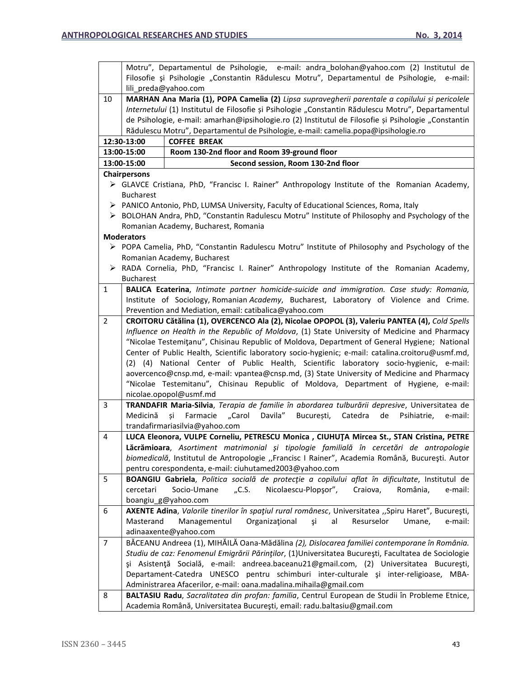|                |                                                                                                    | Motru", Departamentul de Psihologie, e-mail: andra_bolohan@yahoo.com (2) Institutul de              |  |  |  |  |  |  |
|----------------|----------------------------------------------------------------------------------------------------|-----------------------------------------------------------------------------------------------------|--|--|--|--|--|--|
|                | Filosofie și Psihologie "Constantin Rădulescu Motru", Departamentul de Psihologie,<br>e-mail:      |                                                                                                     |  |  |  |  |  |  |
|                | lili_preda@yahoo.com                                                                               |                                                                                                     |  |  |  |  |  |  |
| 10             |                                                                                                    | MARHAN Ana Maria (1), POPA Camelia (2) Lipsa supravegherii parentale a copilului și pericolele      |  |  |  |  |  |  |
|                | Internetului (1) Institutul de Filosofie și Psihologie "Constantin Rădulescu Motru", Departamentul |                                                                                                     |  |  |  |  |  |  |
|                |                                                                                                    | de Psihologie, e-mail: amarhan@ipsihologie.ro (2) Institutul de Filosofie și Psihologie "Constantin |  |  |  |  |  |  |
|                |                                                                                                    | Rădulescu Motru", Departamentul de Psihologie, e-mail: camelia.popa@ipsihologie.ro                  |  |  |  |  |  |  |
|                | 12:30-13:00                                                                                        | <b>COFFEE BREAK</b>                                                                                 |  |  |  |  |  |  |
|                | 13:00-15:00                                                                                        | Room 130-2nd floor and Room 39-ground floor                                                         |  |  |  |  |  |  |
|                | 13:00-15:00                                                                                        | Second session, Room 130-2nd floor                                                                  |  |  |  |  |  |  |
|                | <b>Chairpersons</b>                                                                                |                                                                                                     |  |  |  |  |  |  |
|                |                                                                                                    | > GLAVCE Cristiana, PhD, "Francisc I. Rainer" Anthropology Institute of the Romanian Academy,       |  |  |  |  |  |  |
|                | <b>Bucharest</b>                                                                                   |                                                                                                     |  |  |  |  |  |  |
|                |                                                                                                    | > PANICO Antonio, PhD, LUMSA University, Faculty of Educational Sciences, Roma, Italy               |  |  |  |  |  |  |
|                |                                                                                                    | > BOLOHAN Andra, PhD, "Constantin Radulescu Motru" Institute of Philosophy and Psychology of the    |  |  |  |  |  |  |
|                |                                                                                                    | Romanian Academy, Bucharest, Romania                                                                |  |  |  |  |  |  |
|                | <b>Moderators</b>                                                                                  |                                                                                                     |  |  |  |  |  |  |
|                |                                                                                                    | ▶ POPA Camelia, PhD, "Constantin Radulescu Motru" Institute of Philosophy and Psychology of the     |  |  |  |  |  |  |
|                |                                                                                                    | Romanian Academy, Bucharest                                                                         |  |  |  |  |  |  |
|                |                                                                                                    | > RADA Cornelia, PhD, "Francisc I. Rainer" Anthropology Institute of the Romanian Academy,          |  |  |  |  |  |  |
|                | <b>Bucharest</b>                                                                                   |                                                                                                     |  |  |  |  |  |  |
| $\mathbf{1}$   |                                                                                                    | BALICA Ecaterina, Intimate partner homicide-suicide and immigration. Case study: Romania,           |  |  |  |  |  |  |
|                |                                                                                                    | Institute of Sociology, Romanian Academy, Bucharest, Laboratory of Violence and Crime.              |  |  |  |  |  |  |
|                |                                                                                                    | Prevention and Mediation, email: catibalica@yahoo.com                                               |  |  |  |  |  |  |
| $\overline{2}$ |                                                                                                    | CROITORU Cătălina (1), OVERCENCO Ala (2), Nicolae OPOPOL (3), Valeriu PANTEA (4), Cold Spells       |  |  |  |  |  |  |
|                |                                                                                                    | Influence on Health in the Republic of Moldova, (1) State University of Medicine and Pharmacy       |  |  |  |  |  |  |
|                |                                                                                                    | "Nicolae Testemiţanu", Chisinau Republic of Moldova, Department of General Hygiene; National        |  |  |  |  |  |  |
|                |                                                                                                    | Center of Public Health, Scientific laboratory socio-hygienic; e-mail: catalina.croitoru@usmf.md,   |  |  |  |  |  |  |
|                | (2) (4) National Center of Public Health, Scientific laboratory socio-hygienic, e-mail:            |                                                                                                     |  |  |  |  |  |  |
|                |                                                                                                    | aovercenco@cnsp.md, e-mail: vpantea@cnsp.md, (3) State University of Medicine and Pharmacy          |  |  |  |  |  |  |
|                |                                                                                                    | "Nicolae Testemitanu", Chisinau Republic of Moldova, Department of Hygiene, e-mail:                 |  |  |  |  |  |  |
|                |                                                                                                    | nicolae.opopol@usmf.md                                                                              |  |  |  |  |  |  |
| 3              |                                                                                                    | TRANDAFIR Maria-Silvia, Terapia de familie în abordarea tulburării depresive, Universitatea de      |  |  |  |  |  |  |
|                | Medicină                                                                                           | Davila" București,<br>și Farmacie<br>"Carol<br>Catedra<br>de<br>Psihiatrie,<br>e-mail:              |  |  |  |  |  |  |
|                |                                                                                                    | trandafirmariasilvia@yahoo.com                                                                      |  |  |  |  |  |  |
| 4              |                                                                                                    | LUCA Eleonora, VULPE Corneliu, PETRESCU Monica, CIUHUȚA Mircea St., STAN Cristina, PETRE            |  |  |  |  |  |  |
|                |                                                                                                    | Lăcrămioara, Asortiment matrimonial și tipologie familială în cercetări de antropologie             |  |  |  |  |  |  |
|                |                                                                                                    | biomedicală, Institutul de Antropologie "Francisc I Rainer", Academia Română, București. Autor      |  |  |  |  |  |  |
|                |                                                                                                    | pentru corespondenta, e-mail: ciuhutamed2003@yahoo.com                                              |  |  |  |  |  |  |
| 5              |                                                                                                    | BOANGIU Gabriela, Politica socială de protecție a copilului aflat în dificultate, Institutul de     |  |  |  |  |  |  |
|                | cercetari                                                                                          | Nicolaescu-Plopşor",<br>Socio-Umane<br>"C.S.<br>Craiova,<br>România,<br>e-mail:                     |  |  |  |  |  |  |
|                |                                                                                                    | boangiu_g@yahoo.com                                                                                 |  |  |  |  |  |  |
| 6              |                                                                                                    | AXENTE Adina, Valorile tinerilor în spațiul rural românesc, Universitatea "Spiru Haret", București, |  |  |  |  |  |  |
|                | Masterand                                                                                          | al<br>Resurselor<br>Managementul<br>Organizațional<br>si<br>Umane,<br>e-mail:                       |  |  |  |  |  |  |
|                |                                                                                                    | adinaaxente@yahoo.com                                                                               |  |  |  |  |  |  |
| $\overline{7}$ |                                                                                                    | BĂCEANU Andreea (1), MIHĂILĂ Oana-Mădălina (2), Dislocarea familiei contemporane în România.        |  |  |  |  |  |  |
|                |                                                                                                    | Studiu de caz: Fenomenul Emigrării Părinților, (1)Universitatea București, Facultatea de Sociologie |  |  |  |  |  |  |
|                |                                                                                                    | și Asistență Socială, e-mail: andreea.baceanu21@gmail.com, (2) Universitatea București,             |  |  |  |  |  |  |
|                |                                                                                                    | Departament-Catedra UNESCO pentru schimburi inter-culturale și inter-religioase, MBA-               |  |  |  |  |  |  |
|                |                                                                                                    | Administrarea Afacerilor, e-mail: oana.madalina.mihaila@gmail.com                                   |  |  |  |  |  |  |
| 8              |                                                                                                    | BALTASIU Radu, Sacralitatea din profan: familia, Centrul European de Studii în Probleme Etnice,     |  |  |  |  |  |  |
|                |                                                                                                    | Academia Română, Universitatea București, email: radu.baltasiu@gmail.com                            |  |  |  |  |  |  |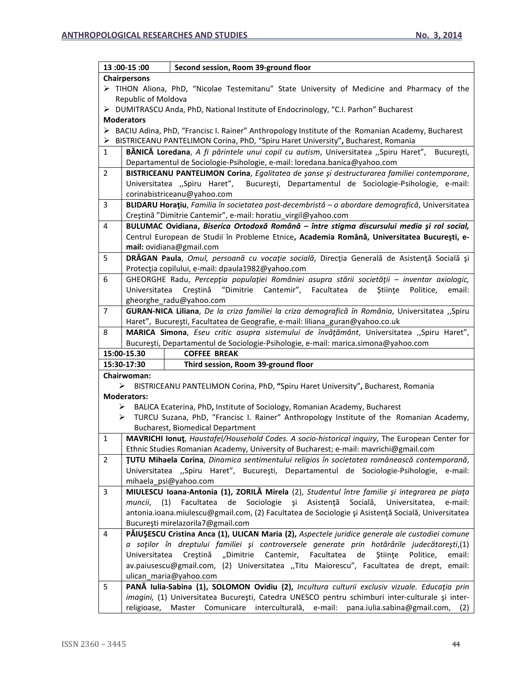|                | 13:00-15:00<br>Second session, Room 39-ground floor                                                |                                                                                                 |  |  |  |  |  |  |  |
|----------------|----------------------------------------------------------------------------------------------------|-------------------------------------------------------------------------------------------------|--|--|--|--|--|--|--|
|                | <b>Chairpersons</b>                                                                                |                                                                                                 |  |  |  |  |  |  |  |
|                |                                                                                                    | TIHON Aliona, PhD, "Nicolae Testemitanu" State University of Medicine and Pharmacy of the       |  |  |  |  |  |  |  |
|                | Republic of Moldova                                                                                |                                                                                                 |  |  |  |  |  |  |  |
|                | > DUMITRASCU Anda, PhD, National Institute of Endocrinology, "C.I. Parhon" Bucharest               |                                                                                                 |  |  |  |  |  |  |  |
|                | <b>Moderators</b>                                                                                  |                                                                                                 |  |  |  |  |  |  |  |
|                | > BACIU Adina, PhD, "Francisc I. Rainer" Anthropology Institute of the Romanian Academy, Bucharest |                                                                                                 |  |  |  |  |  |  |  |
| ➤              | BISTRICEANU PANTELIMON Corina, PhD, "Spiru Haret University", Bucharest, Romania                   |                                                                                                 |  |  |  |  |  |  |  |
| $\mathbf{1}$   | BĂNICĂ Loredana, A fi părintele unui copil cu autism, Universitatea "Spiru Haret", București,      |                                                                                                 |  |  |  |  |  |  |  |
|                | Departamentul de Sociologie-Psihologie, e-mail: loredana.banica@yahoo.com                          |                                                                                                 |  |  |  |  |  |  |  |
| 2              | BISTRICEANU PANTELIMON Corina, Egalitatea de sanse și destructurarea familiei contemporane,        |                                                                                                 |  |  |  |  |  |  |  |
|                |                                                                                                    | Universitatea "Spiru Haret", București, Departamentul de Sociologie-Psihologie, e-mail:         |  |  |  |  |  |  |  |
|                |                                                                                                    | corinabistriceanu@yahoo.com                                                                     |  |  |  |  |  |  |  |
| 3              |                                                                                                    | BLIDARU Horațiu, Familia în societatea post-decembristă - o abordare demografică, Universitatea |  |  |  |  |  |  |  |
|                |                                                                                                    | Creștină "Dimitrie Cantemir", e-mail: horatiu_virgil@yahoo.com                                  |  |  |  |  |  |  |  |
| 4              |                                                                                                    | BULUMAC Ovidiana, Biserica Ortodoxă Română - între stigma discursului media și rol social,      |  |  |  |  |  |  |  |
|                |                                                                                                    | Centrul European de Studii în Probleme Etnice, Academia Română, Universitatea București, e-     |  |  |  |  |  |  |  |
|                |                                                                                                    | mail: ovidiana@gmail.com                                                                        |  |  |  |  |  |  |  |
| 5              |                                                                                                    | DRĂGAN Paula, Omul, persoană cu vocație socială, Direcția Generală de Asistență Socială și      |  |  |  |  |  |  |  |
|                |                                                                                                    | Protecția copilului, e-mail: dpaula1982@yahoo.com                                               |  |  |  |  |  |  |  |
| 6              |                                                                                                    | GHEORGHE Radu, Percepția populației României asupra stării societății - inventar axiologic,     |  |  |  |  |  |  |  |
|                | Universitatea                                                                                      | Creștină "Dimitrie Cantemir", Facultatea<br>de<br>Ştiințe<br>Politice,<br>email:                |  |  |  |  |  |  |  |
|                |                                                                                                    | gheorghe_radu@yahoo.com                                                                         |  |  |  |  |  |  |  |
| $\overline{7}$ |                                                                                                    | GURAN-NICA Liliana, De la criza familiei la criza demografică în România, Universitatea "Spiru  |  |  |  |  |  |  |  |
|                |                                                                                                    | Haret", București, Facultatea de Geografie, e-mail: liliana_guran@yahoo.co.uk                   |  |  |  |  |  |  |  |
| 8              |                                                                                                    | MARICA Simona, Eseu critic asupra sistemului de învățământ, Universitatea "Spiru Haret",        |  |  |  |  |  |  |  |
|                |                                                                                                    | București, Departamentul de Sociologie-Psihologie, e-mail: marica.simona@yahoo.com              |  |  |  |  |  |  |  |
|                | 15:00-15.30                                                                                        | <b>COFFEE BREAK</b>                                                                             |  |  |  |  |  |  |  |
|                | 15:30-17:30                                                                                        | Third session, Room 39-ground floor                                                             |  |  |  |  |  |  |  |
|                | Chairwoman:                                                                                        |                                                                                                 |  |  |  |  |  |  |  |
|                | ➤                                                                                                  | BISTRICEANU PANTELIMON Corina, PhD, "Spiru Haret University", Bucharest, Romania                |  |  |  |  |  |  |  |
|                | <b>Moderators:</b>                                                                                 |                                                                                                 |  |  |  |  |  |  |  |
|                |                                                                                                    | > BALICA Ecaterina, PhD, Institute of Sociology, Romanian Academy, Bucharest                    |  |  |  |  |  |  |  |
|                |                                                                                                    | TURCU Suzana, PhD, "Francisc I. Rainer" Anthropology Institute of the Romanian Academy,         |  |  |  |  |  |  |  |
|                |                                                                                                    | <b>Bucharest, Biomedical Department</b>                                                         |  |  |  |  |  |  |  |
| $\mathbf{1}$   |                                                                                                    | MAVRICHI Ionut, Haustafel/Household Codes. A socio-historical inquiry, The European Center for  |  |  |  |  |  |  |  |
|                |                                                                                                    | Ethnic Studies Romanian Academy, University of Bucharest; e-mail: mavrichi@gmail.com            |  |  |  |  |  |  |  |
| 2              |                                                                                                    | TUTU Mihaela Corina, Dinamica sentimentului religios în societatea românească contemporană,     |  |  |  |  |  |  |  |
|                |                                                                                                    | Universitatea "Spiru Haret", București, Departamentul de Sociologie-Psihologie, e-mail:         |  |  |  |  |  |  |  |
|                |                                                                                                    | mihaela_psi@yahoo.com                                                                           |  |  |  |  |  |  |  |
| 3              |                                                                                                    | MIULESCU Ioana-Antonia (1), ZORILĂ Mirela (2), Studentul între familie și integrarea pe piața   |  |  |  |  |  |  |  |
|                | (1)<br>muncii,                                                                                     | Facultatea<br>de Sociologie<br>și Asistență<br>Socială, Universitatea,<br>e-mail:               |  |  |  |  |  |  |  |
|                | antonia.ioana.miulescu@gmail.com, (2) Facultatea de Sociologie și Asistență Socială, Universitatea |                                                                                                 |  |  |  |  |  |  |  |
|                |                                                                                                    | București mirelazorila7@gmail.com                                                               |  |  |  |  |  |  |  |
| 4              |                                                                                                    | PĂIUȘESCU Cristina Anca (1), ULICAN Maria (2), Aspectele juridice generale ale custodiei comune |  |  |  |  |  |  |  |
|                |                                                                                                    | a soților în dreptului familiei și controversele generate prin hotărârile judecătorești,(1)     |  |  |  |  |  |  |  |
|                | Universitatea                                                                                      | Creștină<br>"Dimitrie<br>Cantemir, Facultatea<br>Ştiințe<br>de<br>Politice,<br>email:           |  |  |  |  |  |  |  |
|                |                                                                                                    | av.paiusescu@gmail.com, (2) Universitatea "Titu Maiorescu", Facultatea de drept, email:         |  |  |  |  |  |  |  |
|                |                                                                                                    | ulican maria@yahoo.com                                                                          |  |  |  |  |  |  |  |
| 5              |                                                                                                    | PANĂ Iulia-Sabina (1), SOLOMON Ovidiu (2), Incultura culturii exclusiv vizuale. Educația prin   |  |  |  |  |  |  |  |
|                |                                                                                                    | imagini, (1) Universitatea București, Catedra UNESCO pentru schimburi inter-culturale și inter- |  |  |  |  |  |  |  |
|                |                                                                                                    | religioase, Master Comunicare interculturală, e-mail: pana.iulia.sabina@gmail.com, (2)          |  |  |  |  |  |  |  |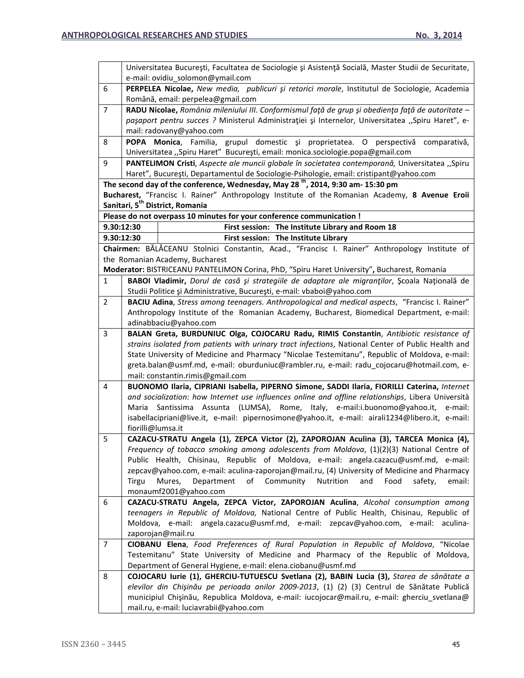|                | Universitatea București, Facultatea de Sociologie și Asistență Socială, Master Studii de Securitate,<br>e-mail: ovidiu_solomon@ymail.com |                                                                                                                                    |  |  |  |  |  |  |
|----------------|------------------------------------------------------------------------------------------------------------------------------------------|------------------------------------------------------------------------------------------------------------------------------------|--|--|--|--|--|--|
|                |                                                                                                                                          |                                                                                                                                    |  |  |  |  |  |  |
| 6              |                                                                                                                                          | PERPELEA Nicolae, New media, publicuri și retorici morale, Institutul de Sociologie, Academia<br>Română, email: perpelea@gmail.com |  |  |  |  |  |  |
| $\overline{7}$ |                                                                                                                                          | RADU Nicolae, România mileniului III. Conformismul față de grup și obediența față de autoritate -                                  |  |  |  |  |  |  |
|                | pașaport pentru succes ? Ministerul Administrației și Internelor, Universitatea "Spiru Haret", e-                                        |                                                                                                                                    |  |  |  |  |  |  |
|                | mail: radovany@yahoo.com                                                                                                                 |                                                                                                                                    |  |  |  |  |  |  |
| 8              | POPA Monica, Familia, grupul domestic și proprietatea. O perspectivă comparativă,                                                        |                                                                                                                                    |  |  |  |  |  |  |
|                | Universitatea "Spiru Haret" București, email: monica.sociologie.popa@gmail.com                                                           |                                                                                                                                    |  |  |  |  |  |  |
| 9              | PANTELIMON Cristi, Aspecte ale muncii globale în societatea contemporană, Universitatea "Spiru                                           |                                                                                                                                    |  |  |  |  |  |  |
|                |                                                                                                                                          | Haret", București, Departamentul de Sociologie-Psihologie, email: cristipant@yahoo.com                                             |  |  |  |  |  |  |
|                |                                                                                                                                          | The second day of the conference, Wednesday, May 28 <sup>th</sup> , 2014, 9:30 am- 15:30 pm                                        |  |  |  |  |  |  |
|                |                                                                                                                                          | Bucharest, "Francisc I. Rainer" Anthropology Institute of the Romanian Academy, 8 Avenue Eroii                                     |  |  |  |  |  |  |
|                |                                                                                                                                          | Sanitari, 5 <sup>th</sup> District, Romania                                                                                        |  |  |  |  |  |  |
|                |                                                                                                                                          | Please do not overpass 10 minutes for your conference communication !                                                              |  |  |  |  |  |  |
|                | 9.30:12:30                                                                                                                               | First session: The Institute Library and Room 18                                                                                   |  |  |  |  |  |  |
|                | 9.30:12:30                                                                                                                               | First session: The Institute Library                                                                                               |  |  |  |  |  |  |
|                |                                                                                                                                          | Chairmen: BĂLĂCEANU Stolnici Constantin, Acad., "Francisc I. Rainer" Anthropology Institute of                                     |  |  |  |  |  |  |
|                |                                                                                                                                          | the Romanian Academy, Bucharest                                                                                                    |  |  |  |  |  |  |
|                |                                                                                                                                          | Moderator: BISTRICEANU PANTELIMON Corina, PhD, "Spiru Haret University", Bucharest, Romania                                        |  |  |  |  |  |  |
| $\mathbf{1}$   |                                                                                                                                          | BABOI Vladimir, Dorul de casă și strategiile de adaptare ale migranților, Școala Națională de                                      |  |  |  |  |  |  |
|                |                                                                                                                                          | Studii Politice și Administrative, București, e-mail: vbaboi@yahoo.com                                                             |  |  |  |  |  |  |
| 2              |                                                                                                                                          | BACIU Adina, Stress among teenagers. Anthropological and medical aspects, "Francisc I. Rainer"                                     |  |  |  |  |  |  |
|                |                                                                                                                                          | Anthropology Institute of the Romanian Academy, Bucharest, Biomedical Department, e-mail:                                          |  |  |  |  |  |  |
|                |                                                                                                                                          | adinabbaciu@yahoo.com                                                                                                              |  |  |  |  |  |  |
| 3              |                                                                                                                                          | BALAN Greta, BURDUNIUC Olga, COJOCARU Radu, RIMIS Constantin, Antibiotic resistance of                                             |  |  |  |  |  |  |
|                |                                                                                                                                          | strains isolated from patients with urinary tract infections, National Center of Public Health and                                 |  |  |  |  |  |  |
|                |                                                                                                                                          | State University of Medicine and Pharmacy "Nicolae Testemitanu", Republic of Moldova, e-mail:                                      |  |  |  |  |  |  |
|                |                                                                                                                                          | greta.balan@usmf.md, e-mail: oburduniuc@rambler.ru, e-mail: radu_cojocaru@hotmail.com, e-                                          |  |  |  |  |  |  |
|                |                                                                                                                                          | mail: constantin.rimis@gmail.com                                                                                                   |  |  |  |  |  |  |
| 4              |                                                                                                                                          | BUONOMO Ilaria, CIPRIANI Isabella, PIPERNO Simone, SADDI Ilaria, FIORILLI Caterina, Internet                                       |  |  |  |  |  |  |
|                |                                                                                                                                          | and socialization: how Internet use influences online and offline relationships, Libera Università                                 |  |  |  |  |  |  |
|                | Maria                                                                                                                                    | Santissima Assunta (LUMSA), Rome, Italy, e-mail:i.buonomo@yahoo.it, e-mail:                                                        |  |  |  |  |  |  |
|                |                                                                                                                                          | isabellacipriani@live.it, e-mail: pipernosimone@yahoo.it, e-mail: airali1234@libero.it, e-mail:                                    |  |  |  |  |  |  |
|                | fiorilli@lumsa.it                                                                                                                        |                                                                                                                                    |  |  |  |  |  |  |
| 5              |                                                                                                                                          | CAZACU-STRATU Angela (1), ZEPCA Victor (2), ZAPOROJAN Aculina (3), TARCEA Monica (4),                                              |  |  |  |  |  |  |
|                |                                                                                                                                          | Frequency of tobacco smoking among adolescents from Moldova, (1)(2)(3) National Centre of                                          |  |  |  |  |  |  |
|                |                                                                                                                                          | Public Health, Chisinau, Republic of Moldova, e-mail: angela.cazacu@usmf.md, e-mail:                                               |  |  |  |  |  |  |
|                |                                                                                                                                          | zepcav@yahoo.com, e-mail: aculina-zaporojan@mail.ru, (4) University of Medicine and Pharmacy                                       |  |  |  |  |  |  |
|                | Tirgu                                                                                                                                    | Community<br>Mures,<br>Department<br>of<br>Nutrition<br>and<br>Food<br>safety,<br>email:                                           |  |  |  |  |  |  |
|                |                                                                                                                                          | monaumf2001@yahoo.com                                                                                                              |  |  |  |  |  |  |
| 6              |                                                                                                                                          | CAZACU-STRATU Angela, ZEPCA Victor, ZAPOROJAN Aculina, Alcohol consumption among                                                   |  |  |  |  |  |  |
|                |                                                                                                                                          | teenagers in Republic of Moldova, National Centre of Public Health, Chisinau, Republic of                                          |  |  |  |  |  |  |
|                |                                                                                                                                          | Moldova, e-mail: angela.cazacu@usmf.md, e-mail: zepcav@yahoo.com, e-mail: aculina-                                                 |  |  |  |  |  |  |
|                |                                                                                                                                          | zaporojan@mail.ru                                                                                                                  |  |  |  |  |  |  |
| $\overline{7}$ |                                                                                                                                          | CIOBANU Elena, Food Preferences of Rural Population in Republic of Moldova, "Nicolae                                               |  |  |  |  |  |  |
|                |                                                                                                                                          | Testemitanu" State University of Medicine and Pharmacy of the Republic of Moldova,                                                 |  |  |  |  |  |  |
|                |                                                                                                                                          | Department of General Hygiene, e-mail: elena.ciobanu@usmf.md                                                                       |  |  |  |  |  |  |
| 8              |                                                                                                                                          | COJOCARU lurie (1), GHERCIU-TUTUESCU Svetlana (2), BABIN Lucia (3), Starea de sănătate a                                           |  |  |  |  |  |  |
|                |                                                                                                                                          | elevilor din Chișinău pe perioada anilor 2009-2013, (1) (2) (3) Centrul de Sănătate Publică                                        |  |  |  |  |  |  |
|                |                                                                                                                                          | municipiul Chișinău, Republica Moldova, e-mail: iucojocar@mail.ru, e-mail: gherciu_svetlana@                                       |  |  |  |  |  |  |
|                | mail.ru, e-mail: luciavrabii@yahoo.com                                                                                                   |                                                                                                                                    |  |  |  |  |  |  |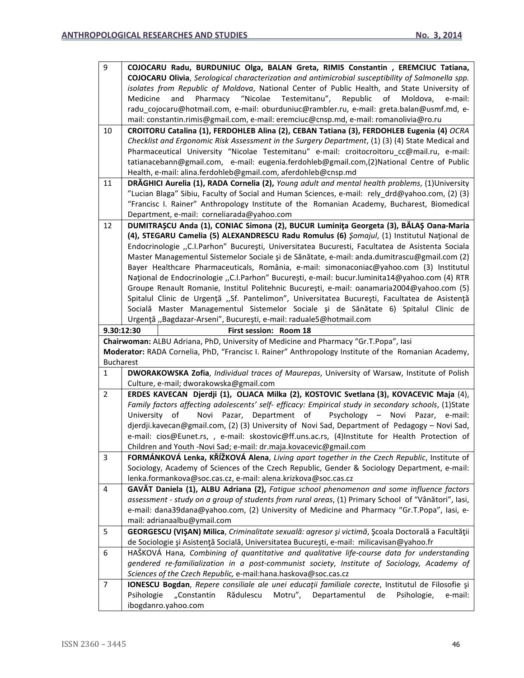| $9\,$                                                                                | COJOCARU Radu, BURDUNIUC Olga, BALAN Greta, RIMIS Constantin, EREMCIUC Tatiana,                                                                                                                    |  |  |  |  |  |  |  |  |
|--------------------------------------------------------------------------------------|----------------------------------------------------------------------------------------------------------------------------------------------------------------------------------------------------|--|--|--|--|--|--|--|--|
|                                                                                      | COJOCARU Olivia, Serological characterization and antimicrobial susceptibility of Salmonella spp.                                                                                                  |  |  |  |  |  |  |  |  |
|                                                                                      | isolates from Republic of Moldova, National Center of Public Health, and State University of                                                                                                       |  |  |  |  |  |  |  |  |
|                                                                                      | Testemitanu", Republic<br>of<br>Medicine<br>and<br>Pharmacy "Nicolae<br>Moldova,<br>e-mail:                                                                                                        |  |  |  |  |  |  |  |  |
|                                                                                      | radu_cojocaru@hotmail.com, e-mail: oburduniuc@rambler.ru, e-mail: greta.balan@usmf.md, e-                                                                                                          |  |  |  |  |  |  |  |  |
|                                                                                      | mail: constantin.rimis@gmail.com, e-mail: eremciuc@cnsp.md, e-mail: romanolivia@ro.ru                                                                                                              |  |  |  |  |  |  |  |  |
| 10                                                                                   | CROITORU Catalina (1), FERDOHLEB Alina (2), CEBAN Tatiana (3), FERDOHLEB Eugenia (4) OCRA                                                                                                          |  |  |  |  |  |  |  |  |
|                                                                                      | Checklist and Ergonomic Risk Assessment in the Surgery Department, (1) (3) (4) State Medical and                                                                                                   |  |  |  |  |  |  |  |  |
|                                                                                      | Pharmaceutical University "Nicolae Testemitanu" e-mail: croitocroitoru_cc@mail.ru, e-mail:                                                                                                         |  |  |  |  |  |  |  |  |
|                                                                                      | tatianacebann@gmail.com, e-mail: eugenia.ferdohleb@gmail.com,(2)National Centre of Public                                                                                                          |  |  |  |  |  |  |  |  |
|                                                                                      | Health, e-mail: alina.ferdohleb@gmail.com, aferdohleb@cnsp.md                                                                                                                                      |  |  |  |  |  |  |  |  |
| 11                                                                                   | DRĂGHICI Aurelia (1), RADA Cornelia (2), Young adult and mental health problems, (1)University                                                                                                     |  |  |  |  |  |  |  |  |
|                                                                                      | "Lucian Blaga" Sibiu, Faculty of Social and Human Sciences, e-mail: rely_drd@yahoo.com, (2) (3)                                                                                                    |  |  |  |  |  |  |  |  |
|                                                                                      | "Francisc I. Rainer" Anthropology Institute of the Romanian Academy, Bucharest, Biomedical                                                                                                         |  |  |  |  |  |  |  |  |
|                                                                                      | Department, e-mail: corneliarada@yahoo.com                                                                                                                                                         |  |  |  |  |  |  |  |  |
| 12                                                                                   | DUMITRAȘCU Anda (1), CONIAC Simona (2), BUCUR Luminița Georgeta (3), BĂLAȘ Oana-Maria                                                                                                              |  |  |  |  |  |  |  |  |
|                                                                                      | (4), STEGARU Camelia (5) ALEXANDRESCU Radu Romulus (6) Şomajul, (1) Institutul Național de                                                                                                         |  |  |  |  |  |  |  |  |
|                                                                                      | Endocrinologie "C.I.Parhon" București, Universitatea Bucuresti, Facultatea de Asistenta Sociala                                                                                                    |  |  |  |  |  |  |  |  |
|                                                                                      | Master Managementul Sistemelor Sociale și de Sănătate, e-mail: anda.dumitrascu@gmail.com (2)                                                                                                       |  |  |  |  |  |  |  |  |
|                                                                                      | Bayer Healthcare Pharmaceuticals, România, e-mail: simonaconiac@yahoo.com (3) Institutul                                                                                                           |  |  |  |  |  |  |  |  |
|                                                                                      | Național de Endocrinologie "C.I.Parhon" București, e-mail: bucur.luminita14@yahoo.com (4) RTR                                                                                                      |  |  |  |  |  |  |  |  |
|                                                                                      | Groupe Renault Romanie, Institul Politehnic București, e-mail: oanamaria2004@yahoo.com (5)                                                                                                         |  |  |  |  |  |  |  |  |
|                                                                                      | Spitalul Clinic de Urgență "Sf. Pantelimon", Universitatea București, Facultatea de Asistență                                                                                                      |  |  |  |  |  |  |  |  |
|                                                                                      | Socială Master Managementul Sistemelor Sociale și de Sănătate 6) Spitalul Clinic de                                                                                                                |  |  |  |  |  |  |  |  |
|                                                                                      | Urgență "Bagdazar-Arseni", București, e-mail: raduale5@hotmail.com                                                                                                                                 |  |  |  |  |  |  |  |  |
|                                                                                      | 9.30:12:30<br>First session: Room 18                                                                                                                                                               |  |  |  |  |  |  |  |  |
| Chairwoman: ALBU Adriana, PhD, University of Medicine and Pharmacy "Gr.T.Popa", lasi |                                                                                                                                                                                                    |  |  |  |  |  |  |  |  |
|                                                                                      |                                                                                                                                                                                                    |  |  |  |  |  |  |  |  |
|                                                                                      | Moderator: RADA Cornelia, PhD, "Francisc I. Rainer" Anthropology Institute of the Romanian Academy,                                                                                                |  |  |  |  |  |  |  |  |
| <b>Bucharest</b>                                                                     |                                                                                                                                                                                                    |  |  |  |  |  |  |  |  |
| $\mathbf{1}$                                                                         | DWORAKOWSKA Zofia, Individual traces of Maurepas, University of Warsaw, Institute of Polish                                                                                                        |  |  |  |  |  |  |  |  |
|                                                                                      | Culture, e-mail; dworakowska@gmail.com                                                                                                                                                             |  |  |  |  |  |  |  |  |
| $\overline{2}$                                                                       | ERDES KAVECAN Djerdji (1), OLJACA Milka (2), KOSTOVIC Svetlana (3), KOVACEVIC Maja (4),                                                                                                            |  |  |  |  |  |  |  |  |
|                                                                                      | Family factors affecting adolescents' self- efficacy: Empirical study in secondary schools, (1)State                                                                                               |  |  |  |  |  |  |  |  |
|                                                                                      | Psychology - Novi Pazar, e-mail:<br>University of<br>Novi Pazar, Department of                                                                                                                     |  |  |  |  |  |  |  |  |
|                                                                                      | djerdji.kavecan@gmail.com, (2) (3) University of Novi Sad, Department of Pedagogy - Novi Sad,                                                                                                      |  |  |  |  |  |  |  |  |
|                                                                                      | e-mail: cios@Eunet.rs, , e-mail: skostovic@ff.uns.ac.rs, (4)Institute for Health Protection of                                                                                                     |  |  |  |  |  |  |  |  |
|                                                                                      | Children and Youth -Novi Sad; e-mail: dr.maja.kovacevic@gmail.com                                                                                                                                  |  |  |  |  |  |  |  |  |
| 3                                                                                    | FORMÁNKOVÁ Lenka, KŘÍŽKOVÁ Alena, Living apart together in the Czech Republic, Institute of                                                                                                        |  |  |  |  |  |  |  |  |
|                                                                                      | Sociology, Academy of Sciences of the Czech Republic, Gender & Sociology Department, e-mail:                                                                                                       |  |  |  |  |  |  |  |  |
| $\overline{4}$                                                                       | lenka.formankova@soc.cas.cz, e-mail: alena.krizkova@soc.cas.cz                                                                                                                                     |  |  |  |  |  |  |  |  |
|                                                                                      | GAVĂT Daniela (1), ALBU Adriana (2), Fatigue school phenomenon and some influence factors                                                                                                          |  |  |  |  |  |  |  |  |
|                                                                                      | assessment - study on a group of students from rural areas, (1) Primary School of "Vânători", Iasi,<br>e-mail: dana39dana@yahoo.com, (2) University of Medicine and Pharmacy "Gr.T.Popa", lasi, e- |  |  |  |  |  |  |  |  |
|                                                                                      | mail: adrianaalbu@ymail.com                                                                                                                                                                        |  |  |  |  |  |  |  |  |
| 5                                                                                    | GEORGESCU (VIȘAN) Milica, Criminalitate sexuală: agresor și victimă, Școala Doctorală a Facultății                                                                                                 |  |  |  |  |  |  |  |  |
|                                                                                      | de Sociologie și Asistență Socială, Universitatea București, e-mail: milicavisan@yahoo.fr                                                                                                          |  |  |  |  |  |  |  |  |
| $\boldsymbol{6}$                                                                     | HAŠKOVÁ Hana, Combining of quantitative and qualitative life-course data for understanding                                                                                                         |  |  |  |  |  |  |  |  |
|                                                                                      | gendered re-familialization in a post-communist society, Institute of Sociology, Academy of                                                                                                        |  |  |  |  |  |  |  |  |
|                                                                                      | Sciences of the Czech Republic, e-mail:hana.haskova@soc.cas.cz                                                                                                                                     |  |  |  |  |  |  |  |  |
| 7                                                                                    | IONESCU Bogdan, Repere consiliale ale unei educații familiale corecte, Institutul de Filosofie și                                                                                                  |  |  |  |  |  |  |  |  |
|                                                                                      | Psihologie<br>Rădulescu<br>Motru", Departamentul<br>"Constantin<br>de<br>Psihologie,<br>e-mail:<br>ibogdanro.yahoo.com                                                                             |  |  |  |  |  |  |  |  |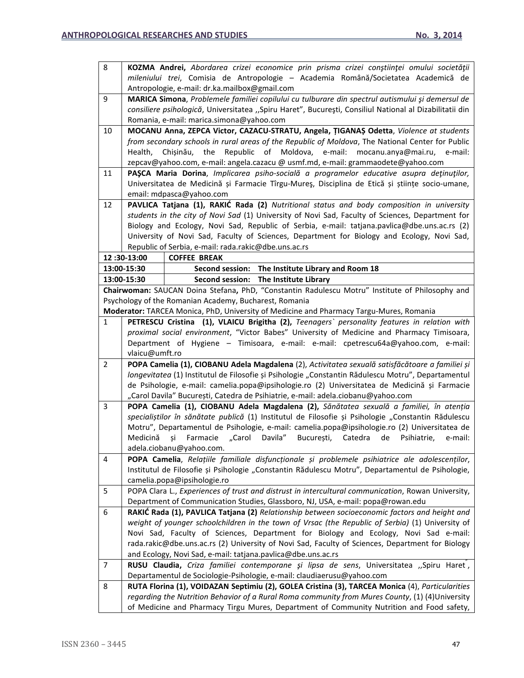| 8              |                                                                                                         |  |  |  |  |  |  |  |  |
|----------------|---------------------------------------------------------------------------------------------------------|--|--|--|--|--|--|--|--|
|                | KOZMA Andrei, Abordarea crizei economice prin prisma crizei conștiinței omului societății               |  |  |  |  |  |  |  |  |
|                | mileniului trei, Comisia de Antropologie - Academia Română/Societatea Academică de                      |  |  |  |  |  |  |  |  |
|                | Antropologie, e-mail: dr.ka.mailbox@gmail.com                                                           |  |  |  |  |  |  |  |  |
| 9              | MARICA Simona, Problemele familiei copilului cu tulburare din spectrul autismului și demersul de        |  |  |  |  |  |  |  |  |
|                | consiliere psihologică, Universitatea "Spiru Haret", București, Consiliul National al Dizabilitatii din |  |  |  |  |  |  |  |  |
|                | Romania, e-mail: marica.simona@yahoo.com                                                                |  |  |  |  |  |  |  |  |
| 10             | MOCANU Anna, ZEPCA Victor, CAZACU-STRATU, Angela, ȚIGANAȘ Odetta, Violence at students                  |  |  |  |  |  |  |  |  |
|                | from secondary schools in rural areas of the Republic of Moldova, The National Center for Public        |  |  |  |  |  |  |  |  |
|                |                                                                                                         |  |  |  |  |  |  |  |  |
|                | Republic of Moldova, e-mail: mocanu.anya@mai.ru, e-mail:<br>Chișinău, the<br>Health.                    |  |  |  |  |  |  |  |  |
|                | zepcav@yahoo.com, e-mail: angela.cazacu @ usmf.md, e-mail: grammaodete@yahoo.com                        |  |  |  |  |  |  |  |  |
| 11             | PAŞCA Maria Dorina, Implicarea psiho-socială a programelor educative asupra deținuților,                |  |  |  |  |  |  |  |  |
|                | Universitatea de Medicină și Farmacie Tîrgu-Mureș, Disciplina de Etică și științe socio-umane,          |  |  |  |  |  |  |  |  |
|                | email: mdpasca@yahoo.com                                                                                |  |  |  |  |  |  |  |  |
| 12             | PAVLICA Tatjana (1), RAKIĆ Rada (2) Nutritional status and body composition in university               |  |  |  |  |  |  |  |  |
|                | students in the city of Novi Sad (1) University of Novi Sad, Faculty of Sciences, Department for        |  |  |  |  |  |  |  |  |
|                | Biology and Ecology, Novi Sad, Republic of Serbia, e-mail: tatjana.pavlica@dbe.uns.ac.rs (2)            |  |  |  |  |  |  |  |  |
|                | University of Novi Sad, Faculty of Sciences, Department for Biology and Ecology, Novi Sad,              |  |  |  |  |  |  |  |  |
|                |                                                                                                         |  |  |  |  |  |  |  |  |
|                | Republic of Serbia, e-mail: rada.rakic@dbe.uns.ac.rs                                                    |  |  |  |  |  |  |  |  |
|                | 12:30-13:00<br><b>COFFEE BREAK</b>                                                                      |  |  |  |  |  |  |  |  |
|                | 13:00-15:30<br>Second session: The Institute Library and Room 18                                        |  |  |  |  |  |  |  |  |
|                | 13:00-15:30<br>Second session: The Institute Library                                                    |  |  |  |  |  |  |  |  |
|                | Chairwoman: SAUCAN Doina Stefana, PhD, "Constantin Radulescu Motru" Institute of Philosophy and         |  |  |  |  |  |  |  |  |
|                | Psychology of the Romanian Academy, Bucharest, Romania                                                  |  |  |  |  |  |  |  |  |
|                | Moderator: TARCEA Monica, PhD, University of Medicine and Pharmacy Targu-Mures, Romania                 |  |  |  |  |  |  |  |  |
| 1              | PETRESCU Cristina (1), VLAICU Brigitha (2), Teenagers` personality features in relation with            |  |  |  |  |  |  |  |  |
|                | proximal social environment, "Victor Babes" University of Medicine and Pharmacy Timisoara,              |  |  |  |  |  |  |  |  |
|                | Department of Hygiene - Timisoara, e-mail: e-mail: cpetrescu64a@yahoo.com, e-mail:                      |  |  |  |  |  |  |  |  |
|                | vlaicu@umft.ro                                                                                          |  |  |  |  |  |  |  |  |
| $\overline{2}$ |                                                                                                         |  |  |  |  |  |  |  |  |
|                | POPA Camelia (1), CIOBANU Adela Magdalena (2), Activitatea sexuală satisfăcătoare a familiei și         |  |  |  |  |  |  |  |  |
|                |                                                                                                         |  |  |  |  |  |  |  |  |
|                | longevitatea (1) Institutul de Filosofie și Psihologie "Constantin Rădulescu Motru", Departamentul      |  |  |  |  |  |  |  |  |
|                | de Psihologie, e-mail: camelia.popa@ipsihologie.ro (2) Universitatea de Medicină și Farmacie            |  |  |  |  |  |  |  |  |
|                | "Carol Davila" București, Catedra de Psihiatrie, e-mail: adela.ciobanu@yahoo.com                        |  |  |  |  |  |  |  |  |
| $\overline{3}$ | POPA Camelia (1), CIOBANU Adela Magdalena (2), Sănătatea sexuală a familiei, în atenția                 |  |  |  |  |  |  |  |  |
|                | specialiștilor în sănătate publică (1) Institutul de Filosofie și Psihologie "Constantin Rădulescu      |  |  |  |  |  |  |  |  |
|                | Motru", Departamentul de Psihologie, e-mail: camelia.popa@ipsihologie.ro (2) Universitatea de           |  |  |  |  |  |  |  |  |
|                | Farmacie "Carol Davila"<br>Medicină<br>București, Catedra<br>și –<br>de<br>Psihiatrie,<br>e-mail:       |  |  |  |  |  |  |  |  |
|                | adela.ciobanu@yahoo.com.                                                                                |  |  |  |  |  |  |  |  |
| 4              | POPA Camelia, Relațiile familiale disfuncționale și problemele psihiatrice ale adolescenților,          |  |  |  |  |  |  |  |  |
|                | Institutul de Filosofie și Psihologie "Constantin Rădulescu Motru", Departamentul de Psihologie,        |  |  |  |  |  |  |  |  |
|                |                                                                                                         |  |  |  |  |  |  |  |  |
|                | camelia.popa@ipsihologie.ro                                                                             |  |  |  |  |  |  |  |  |
| 5              | POPA Clara L., Experiences of trust and distrust in intercultural communication, Rowan University,      |  |  |  |  |  |  |  |  |
|                | Department of Communication Studies, Glassboro, NJ, USA, e-mail: popa@rowan.edu                         |  |  |  |  |  |  |  |  |
| 6              | RAKIĆ Rada (1), PAVLICA Tatjana (2) Relationship between socioeconomic factors and height and           |  |  |  |  |  |  |  |  |
|                | weight of younger schoolchildren in the town of Vrsac (the Republic of Serbia) (1) University of        |  |  |  |  |  |  |  |  |
|                | Novi Sad, Faculty of Sciences, Department for Biology and Ecology, Novi Sad e-mail:                     |  |  |  |  |  |  |  |  |
|                | rada.rakic@dbe.uns.ac.rs (2) University of Novi Sad, Faculty of Sciences, Department for Biology        |  |  |  |  |  |  |  |  |
|                | and Ecology, Novi Sad, e-mail: tatjana.pavlica@dbe.uns.ac.rs                                            |  |  |  |  |  |  |  |  |
| $\overline{7}$ | RUSU Claudia, Criza familiei contemporane și lipsa de sens, Universitatea "Spiru Haret,                 |  |  |  |  |  |  |  |  |
|                | Departamentul de Sociologie-Psihologie, e-mail: claudiaerusu@yahoo.com                                  |  |  |  |  |  |  |  |  |
| 8              | RUTA Florina (1), VOIDAZAN Septimiu (2), GOLEA Cristina (3), TARCEA Monica (4), Particularities         |  |  |  |  |  |  |  |  |
|                | regarding the Nutrition Behavior of a Rural Roma community from Mures County, (1) (4) University        |  |  |  |  |  |  |  |  |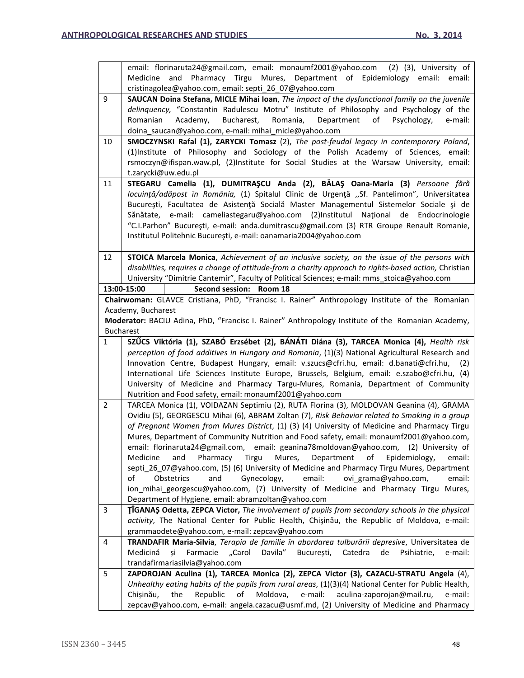|                | email: florinaruta24@gmail.com, email: monaumf2001@yahoo.com (2) (3), University of                                                                                                                        |
|----------------|------------------------------------------------------------------------------------------------------------------------------------------------------------------------------------------------------------|
|                | and Pharmacy Tirgu Mures, Department of Epidemiology email:<br>email:<br>Medicine                                                                                                                          |
|                | cristinagolea@yahoo.com, email: septi_26_07@yahoo.com                                                                                                                                                      |
| 9              | SAUCAN Doina Stefana, MICLE Mihai Ioan, The impact of the dysfunctional family on the juvenile                                                                                                             |
|                | delinquency, "Constantin Radulescu Motru" Institute of Philosophy and Psychology of the                                                                                                                    |
|                | Academy,<br>Bucharest, Romania, Department of<br>Romanian<br>Psychology,<br>e-mail:                                                                                                                        |
|                | doina_saucan@yahoo.com, e-mail: mihai_micle@yahoo.com                                                                                                                                                      |
| 10             | SMOCZYNSKI Rafal (1), ZARYCKI Tomasz (2), The post-feudal legacy in contemporary Poland,                                                                                                                   |
|                | (1)Institute of Philosophy and Sociology of the Polish Academy of Sciences, email:                                                                                                                         |
|                | rsmoczyn@ifispan.waw.pl, (2)Institute for Social Studies at the Warsaw University, email:                                                                                                                  |
| 11             | t.zarycki@uw.edu.pl<br>STEGARU Camelia (1), DUMITRAȘCU Anda (2), BĂLAȘ Oana-Maria (3) Persoane fără                                                                                                        |
|                | locuință/adăpost în România, (1) Spitalul Clinic de Urgență "Sf. Pantelimon", Universitatea                                                                                                                |
|                | București, Facultatea de Asistență Socială Master Managementul Sistemelor Sociale și de                                                                                                                    |
|                | e-mail: cameliastegaru@yahoo.com (2)Institutul Național de Endocrinologie<br>Sănătate,                                                                                                                     |
|                | "C.I.Parhon" București, e-mail: anda.dumitrascu@gmail.com (3) RTR Groupe Renault Romanie,                                                                                                                  |
|                | Institutul Politehnic București, e-mail: oanamaria2004@yahoo.com                                                                                                                                           |
|                |                                                                                                                                                                                                            |
| 12             | STOICA Marcela Monica, Achievement of an inclusive society, on the issue of the persons with                                                                                                               |
|                | disabilities, requires a change of attitude-from a charity approach to rights-based action, Christian                                                                                                      |
|                | University "Dimitrie Cantemir", Faculty of Political Sciences; e-mail: mms_stoica@yahoo.com                                                                                                                |
|                | 13:00-15:00<br>Second session: Room 18                                                                                                                                                                     |
|                | Chairwoman: GLAVCE Cristiana, PhD, "Francisc I. Rainer" Anthropology Institute of the Romanian                                                                                                             |
|                | Academy, Bucharest                                                                                                                                                                                         |
|                | Moderator: BACIU Adina, PhD, "Francisc I. Rainer" Anthropology Institute of the Romanian Academy,                                                                                                          |
|                | <b>Bucharest</b>                                                                                                                                                                                           |
| $\mathbf{1}$   | SZŰCS Viktória (1), SZABÓ Erzsébet (2), BÁNÁTI Diána (3), TARCEA Monica (4), Health risk                                                                                                                   |
|                | perception of food additives in Hungary and Romania, (1)(3) National Agricultural Research and                                                                                                             |
|                | Innovation Centre, Budapest Hungary, email: v.szucs@cfri.hu, email: d.banati@cfri.hu,<br>(2)<br>International Life Sciences Institute Europe, Brussels, Belgium, email: e.szabo@cfri.hu, (4)               |
|                | University of Medicine and Pharmacy Targu-Mures, Romania, Department of Community                                                                                                                          |
|                | Nutrition and Food safety, email: monaumf2001@yahoo.com                                                                                                                                                    |
| $\overline{2}$ | TARCEA Monica (1), VOIDAZAN Septimiu (2), RUTA Florina (3), MOLDOVAN Geanina (4), GRAMA                                                                                                                    |
|                | Ovidiu (5), GEORGESCU Mihai (6), ABRAM Zoltan (7), Risk Behavior related to Smoking in a group                                                                                                             |
|                | of Pregnant Women from Mures District, (1) (3) (4) University of Medicine and Pharmacy Tirgu                                                                                                               |
|                | Mures, Department of Community Nutrition and Food safety, email: monaumf2001@yahoo.com,                                                                                                                    |
|                | email: florinaruta24@gmail.com, email: geanina78moldovan@yahoo.com, (2) University of                                                                                                                      |
|                | Medicine<br>Pharmacy<br>Tirgu<br>Mures,<br>Department<br>of<br>Epidemiology,<br>email:<br>and                                                                                                              |
|                | septi_26_07@yahoo.com, (5) (6) University of Medicine and Pharmacy Tirgu Mures, Department                                                                                                                 |
|                | Obstetrics<br>of<br>and<br>Gynecology,<br>email:<br>ovi grama@yahoo.com,<br>email:                                                                                                                         |
|                | ion mihai georgescu@yahoo.com, (7) University of Medicine and Pharmacy Tirgu Mures,                                                                                                                        |
|                | Department of Hygiene, email: abramzoltan@yahoo.com                                                                                                                                                        |
| 3              | TIGANAS Odetta, ZEPCA Victor, The involvement of pupils from secondary schools in the physical                                                                                                             |
|                | activity, The National Center for Public Health, Chișinău, the Republic of Moldova, e-mail:                                                                                                                |
|                | grammaodete@yahoo.com, e-mail: zepcav@yahoo.com                                                                                                                                                            |
| 4              |                                                                                                                                                                                                            |
|                | TRANDAFIR Maria-Silvia, Terapia de familie în abordarea tulburării depresive, Universitatea de                                                                                                             |
|                | Farmacie<br>"Carol Davila"<br>Catedra<br>Medicină<br>şi<br>București,<br>de<br>Psihiatrie,<br>e-mail:                                                                                                      |
|                | trandafirmariasilvia@yahoo.com                                                                                                                                                                             |
| 5              | ZAPOROJAN Aculina (1), TARCEA Monica (2), ZEPCA Victor (3), CAZACU-STRATU Angela (4),                                                                                                                      |
|                | Unhealthy eating habits of the pupils from rural areas, (1)(3)(4) National Center for Public Health,<br>Chișinău,<br>the<br>Republic<br>οf<br>Moldova,<br>e-mail:<br>aculina-zaporojan@mail.ru,<br>e-mail: |